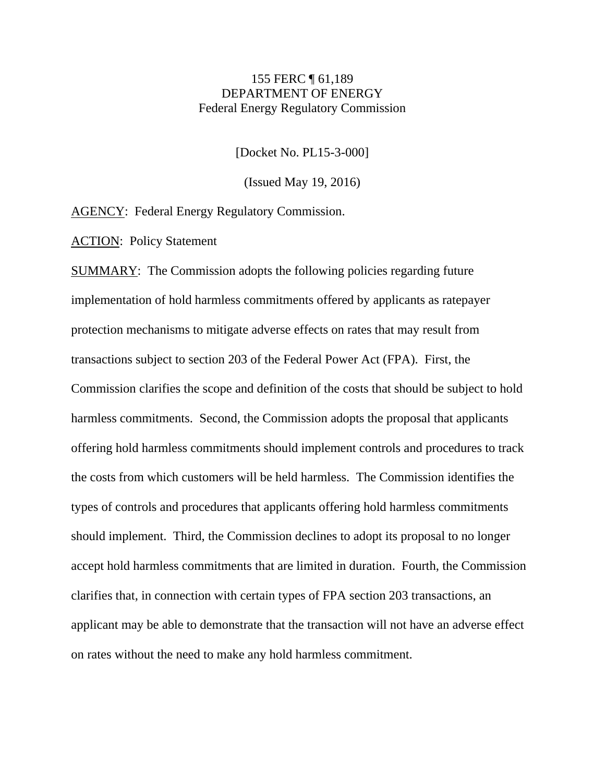## 155 FERC ¶ 61,189 DEPARTMENT OF ENERGY Federal Energy Regulatory Commission

[Docket No. PL15-3-000]

(Issued May 19, 2016)

AGENCY: Federal Energy Regulatory Commission.

ACTION: Policy Statement

SUMMARY: The Commission adopts the following policies regarding future implementation of hold harmless commitments offered by applicants as ratepayer protection mechanisms to mitigate adverse effects on rates that may result from transactions subject to section 203 of the Federal Power Act (FPA). First, the Commission clarifies the scope and definition of the costs that should be subject to hold harmless commitments. Second, the Commission adopts the proposal that applicants offering hold harmless commitments should implement controls and procedures to track the costs from which customers will be held harmless. The Commission identifies the types of controls and procedures that applicants offering hold harmless commitments should implement. Third, the Commission declines to adopt its proposal to no longer accept hold harmless commitments that are limited in duration. Fourth, the Commission clarifies that, in connection with certain types of FPA section 203 transactions, an applicant may be able to demonstrate that the transaction will not have an adverse effect on rates without the need to make any hold harmless commitment.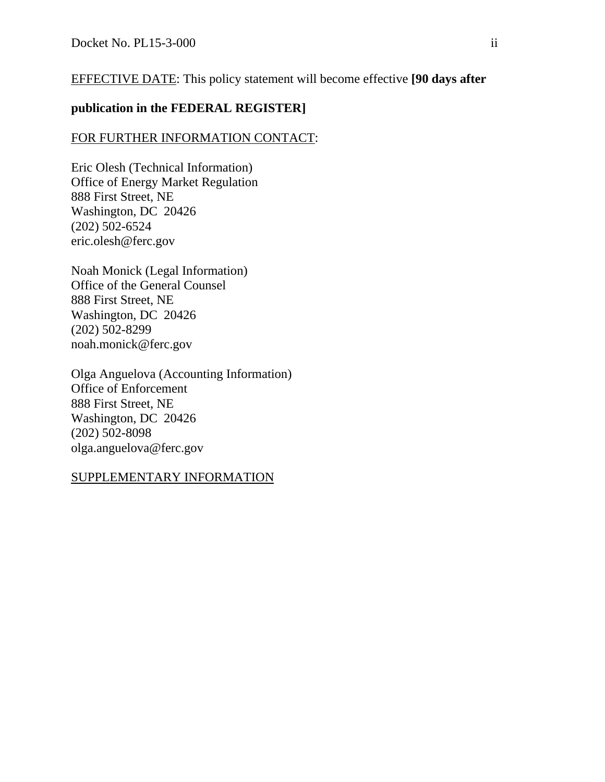# EFFECTIVE DATE: This policy statement will become effective **[90 days after**

## **publication in the FEDERAL REGISTER]**

## FOR FURTHER INFORMATION CONTACT:

Eric Olesh (Technical Information) Office of Energy Market Regulation 888 First Street, NE Washington, DC 20426 (202) 502-6524 eric.olesh@ferc.gov

Noah Monick (Legal Information) Office of the General Counsel 888 First Street, NE Washington, DC 20426 (202) 502-8299 noah.monick@ferc.gov

Olga Anguelova (Accounting Information) Office of Enforcement 888 First Street, NE Washington, DC 20426 (202) 502-8098 olga.anguelova@ferc.gov

## SUPPLEMENTARY INFORMATION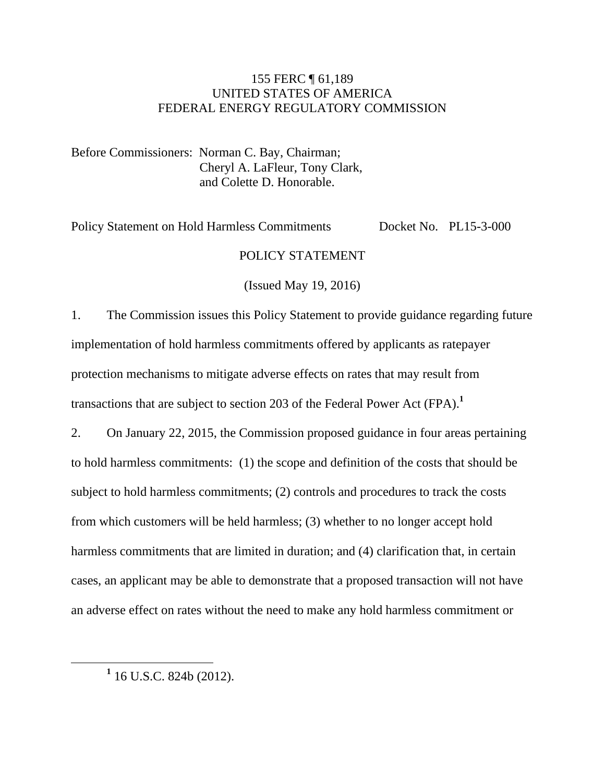## 155 FERC ¶ 61,189 UNITED STATES OF AMERICA FEDERAL ENERGY REGULATORY COMMISSION

Before Commissioners: Norman C. Bay, Chairman; Cheryl A. LaFleur, Tony Clark, and Colette D. Honorable.

Policy Statement on Hold Harmless Commitments Docket No. PL15-3-000

## POLICY STATEMENT

(Issued May 19, 2016)

1. The Commission issues this Policy Statement to provide guidance regarding future implementation of hold harmless commitments offered by applicants as ratepayer protection mechanisms to mitigate adverse effects on rates that may result from transactions that are subject to section 203 of the Federal Power Act (FPA).**<sup>1</sup>**

2. On January 22, 2015, the Commission proposed guidance in four areas pertaining to hold harmless commitments: (1) the scope and definition of the costs that should be subject to hold harmless commitments; (2) controls and procedures to track the costs from which customers will be held harmless; (3) whether to no longer accept hold harmless commitments that are limited in duration; and (4) clarification that, in certain cases, an applicant may be able to demonstrate that a proposed transaction will not have an adverse effect on rates without the need to make any hold harmless commitment or

**1** 16 U.S.C. 824b (2012).

 $\overline{a}$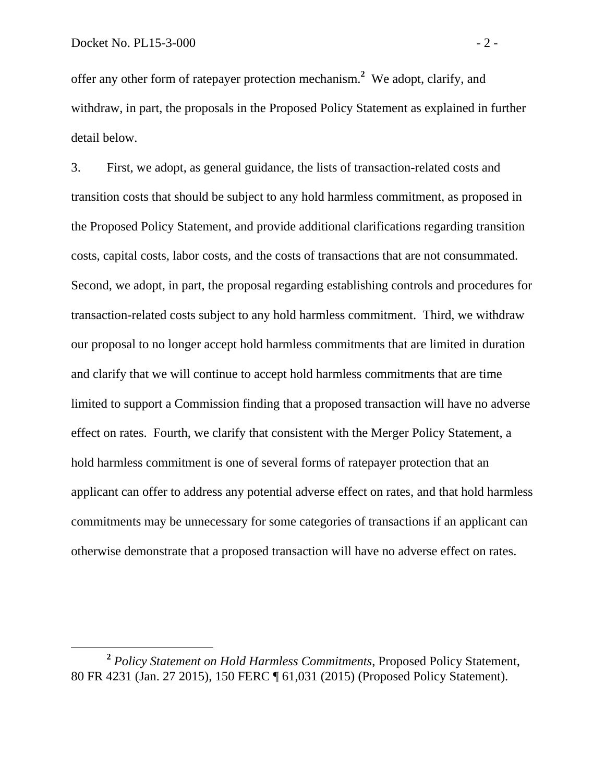offer any other form of ratepayer protection mechanism.**<sup>2</sup>** We adopt, clarify, and withdraw, in part, the proposals in the Proposed Policy Statement as explained in further detail below.

3. First, we adopt, as general guidance, the lists of transaction-related costs and transition costs that should be subject to any hold harmless commitment, as proposed in the Proposed Policy Statement, and provide additional clarifications regarding transition costs, capital costs, labor costs, and the costs of transactions that are not consummated. Second, we adopt, in part, the proposal regarding establishing controls and procedures for transaction-related costs subject to any hold harmless commitment. Third, we withdraw our proposal to no longer accept hold harmless commitments that are limited in duration and clarify that we will continue to accept hold harmless commitments that are time limited to support a Commission finding that a proposed transaction will have no adverse effect on rates. Fourth, we clarify that consistent with the Merger Policy Statement, a hold harmless commitment is one of several forms of ratepayer protection that an applicant can offer to address any potential adverse effect on rates, and that hold harmless commitments may be unnecessary for some categories of transactions if an applicant can otherwise demonstrate that a proposed transaction will have no adverse effect on rates.

**<sup>2</sup>** *Policy Statement on Hold Harmless Commitments*, Proposed Policy Statement, 80 FR 4231 (Jan. 27 2015), 150 FERC ¶ 61,031 (2015) (Proposed Policy Statement).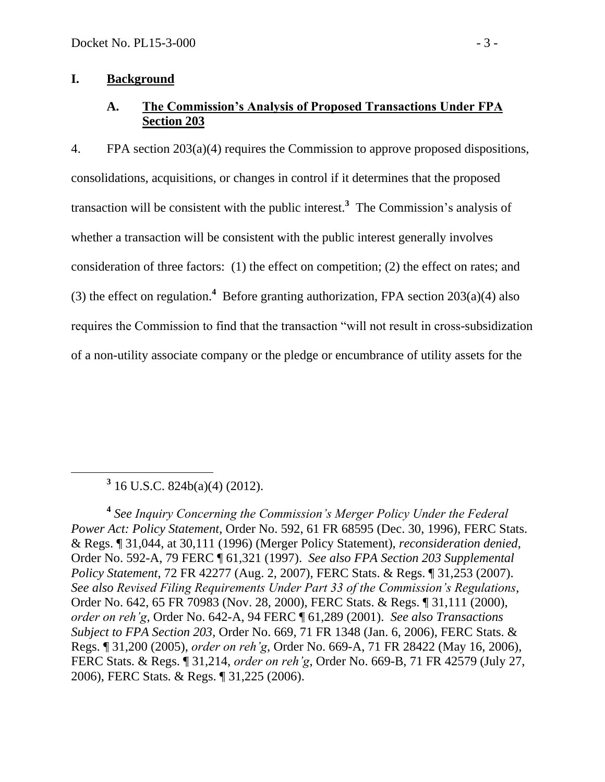## **I. Background**

# **A. The Commission's Analysis of Proposed Transactions Under FPA Section 203**

4. FPA section 203(a)(4) requires the Commission to approve proposed dispositions, consolidations, acquisitions, or changes in control if it determines that the proposed transaction will be consistent with the public interest.**<sup>3</sup>** The Commission's analysis of whether a transaction will be consistent with the public interest generally involves consideration of three factors: (1) the effect on competition; (2) the effect on rates; and (3) the effect on regulation.<sup>4</sup> Before granting authorization, FPA section  $203(a)(4)$  also requires the Commission to find that the transaction "will not result in cross-subsidization of a non-utility associate company or the pledge or encumbrance of utility assets for the

**3** 16 U.S.C. 824b(a)(4) (2012).

 $\overline{a}$ 

**4** *See Inquiry Concerning the Commission's Merger Policy Under the Federal Power Act: Policy Statement*, Order No. 592, 61 FR 68595 (Dec. 30, 1996), FERC Stats. & Regs. ¶ 31,044, at 30,111 (1996) (Merger Policy Statement), *reconsideration denied*, Order No. 592-A, 79 FERC ¶ 61,321 (1997). *See also FPA Section 203 Supplemental Policy Statement*, 72 FR 42277 (Aug. 2, 2007), FERC Stats. & Regs. ¶ 31,253 (2007). *See also Revised Filing Requirements Under Part 33 of the Commission's Regulations*, Order No. 642, 65 FR 70983 (Nov. 28, 2000), FERC Stats. & Regs. ¶ 31,111 (2000), *order on reh'g*, Order No. 642-A, 94 FERC ¶ 61,289 (2001). *See also Transactions Subject to FPA Section 203*, Order No. 669, 71 FR 1348 (Jan. 6, 2006), FERC Stats. & Regs. ¶ 31,200 (2005), *order on reh'g*, Order No. 669-A, 71 FR 28422 (May 16, 2006), FERC Stats. & Regs. ¶ 31,214, *order on reh'g*, Order No. 669-B, 71 FR 42579 (July 27, 2006), FERC Stats. & Regs. ¶ 31,225 (2006).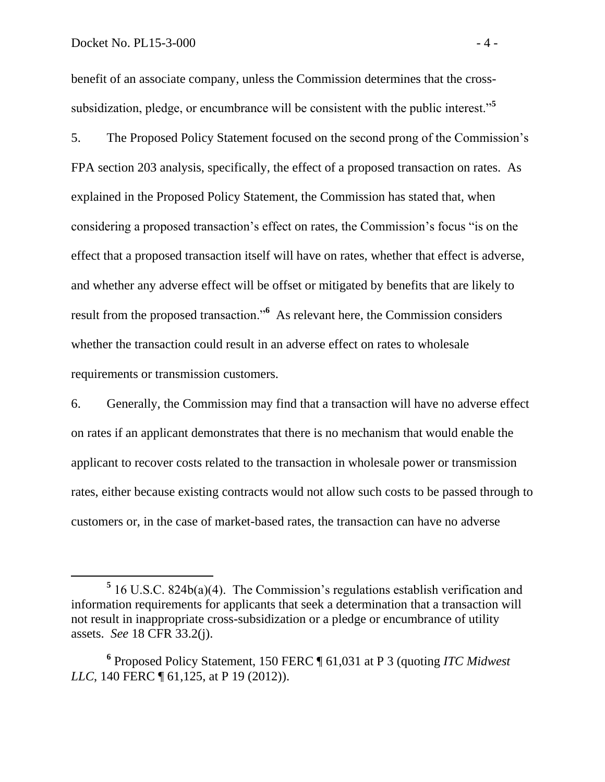benefit of an associate company, unless the Commission determines that the crosssubsidization, pledge, or encumbrance will be consistent with the public interest."**<sup>5</sup>**

5. The Proposed Policy Statement focused on the second prong of the Commission's FPA section 203 analysis, specifically, the effect of a proposed transaction on rates. As explained in the Proposed Policy Statement, the Commission has stated that, when considering a proposed transaction's effect on rates, the Commission's focus "is on the effect that a proposed transaction itself will have on rates, whether that effect is adverse, and whether any adverse effect will be offset or mitigated by benefits that are likely to result from the proposed transaction.<sup>56</sup> As relevant here, the Commission considers whether the transaction could result in an adverse effect on rates to wholesale requirements or transmission customers.

6. Generally, the Commission may find that a transaction will have no adverse effect on rates if an applicant demonstrates that there is no mechanism that would enable the applicant to recover costs related to the transaction in wholesale power or transmission rates, either because existing contracts would not allow such costs to be passed through to customers or, in the case of market-based rates, the transaction can have no adverse

<sup>&</sup>lt;sup>5</sup> 16 U.S.C. 824b(a)(4). The Commission's regulations establish verification and information requirements for applicants that seek a determination that a transaction will not result in inappropriate cross-subsidization or a pledge or encumbrance of utility assets. *See* 18 CFR 33.2(j).

**<sup>6</sup>** Proposed Policy Statement, 150 FERC ¶ 61,031 at P 3 (quoting *ITC Midwest LLC*, 140 FERC ¶ 61, 125, at P 19 (2012)).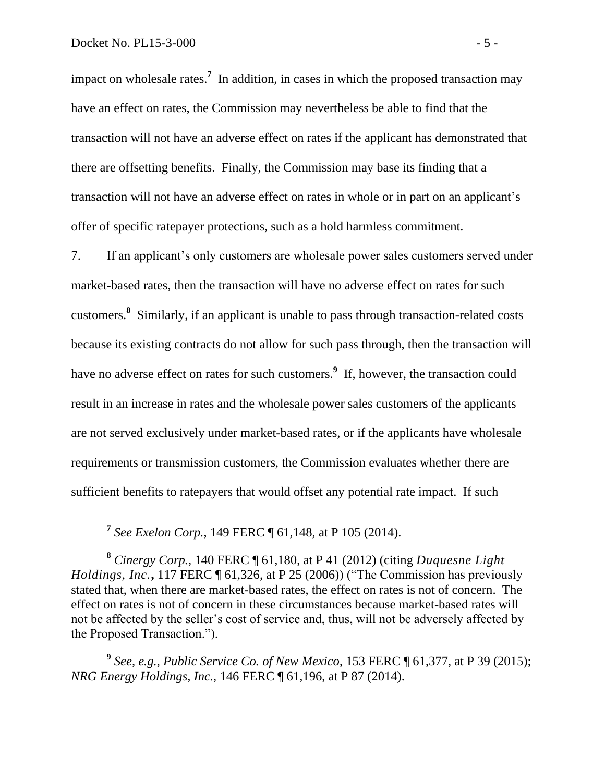impact on wholesale rates.<sup>7</sup> In addition, in cases in which the proposed transaction may have an effect on rates, the Commission may nevertheless be able to find that the transaction will not have an adverse effect on rates if the applicant has demonstrated that there are offsetting benefits. Finally, the Commission may base its finding that a transaction will not have an adverse effect on rates in whole or in part on an applicant's offer of specific ratepayer protections, such as a hold harmless commitment.

7. If an applicant's only customers are wholesale power sales customers served under market-based rates, then the transaction will have no adverse effect on rates for such customers.**<sup>8</sup>** Similarly, if an applicant is unable to pass through transaction-related costs because its existing contracts do not allow for such pass through, then the transaction will have no adverse effect on rates for such customers. **9** If, however, the transaction could result in an increase in rates and the wholesale power sales customers of the applicants are not served exclusively under market-based rates, or if the applicants have wholesale requirements or transmission customers, the Commission evaluates whether there are sufficient benefits to ratepayers that would offset any potential rate impact. If such

**7** *See Exelon Corp.*, 149 FERC ¶ 61,148, at P 105 (2014).

**<sup>8</sup>** *Cinergy Corp.*, 140 FERC ¶ 61,180, at P 41 (2012) (citing *Duquesne Light Holdings, Inc.*, 117 FERC  $\P$  61,326, at P 25 (2006)) ("The Commission has previously stated that, when there are market-based rates, the effect on rates is not of concern. The effect on rates is not of concern in these circumstances because market-based rates will not be affected by the seller's cost of service and, thus, will not be adversely affected by the Proposed Transaction.").

**9** *See, e.g.*, *Public Service Co. of New Mexico*, 153 FERC ¶ 61,377, at P 39 (2015); *NRG Energy Holdings, Inc.*, 146 FERC ¶ 61,196, at P 87 (2014).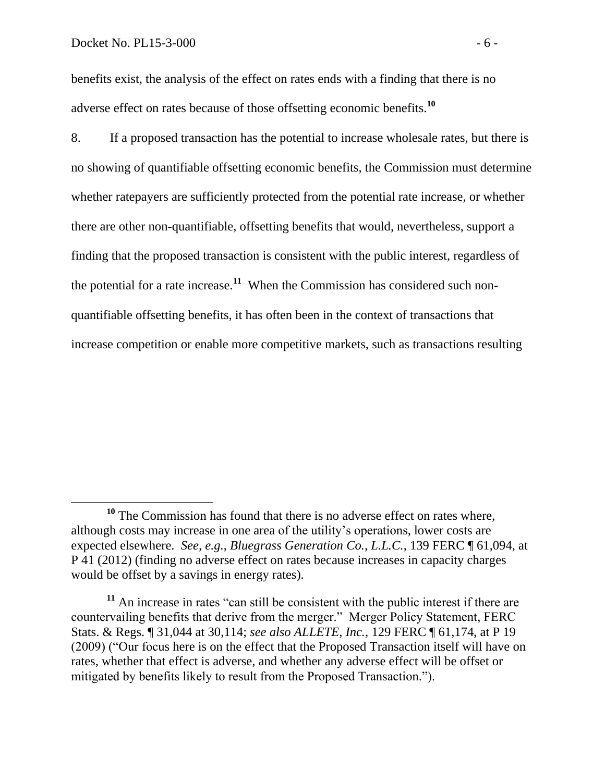benefits exist, the analysis of the effect on rates ends with a finding that there is no adverse effect on rates because of those offsetting economic benefits.**<sup>10</sup>**

8. If a proposed transaction has the potential to increase wholesale rates, but there is no showing of quantifiable offsetting economic benefits, the Commission must determine whether ratepayers are sufficiently protected from the potential rate increase, or whether there are other non-quantifiable, offsetting benefits that would, nevertheless, support a finding that the proposed transaction is consistent with the public interest, regardless of the potential for a rate increase.**<sup>11</sup>** When the Commission has considered such nonquantifiable offsetting benefits, it has often been in the context of transactions that increase competition or enable more competitive markets, such as transactions resulting

**<sup>10</sup>** The Commission has found that there is no adverse effect on rates where, although costs may increase in one area of the utility's operations, lower costs are expected elsewhere. *See, e.g.*, *Bluegrass Generation Co., L.L.C.*, 139 FERC ¶ 61,094, at P 41 (2012) (finding no adverse effect on rates because increases in capacity charges would be offset by a savings in energy rates).

**<sup>11</sup>** An increase in rates "can still be consistent with the public interest if there are countervailing benefits that derive from the merger." Merger Policy Statement, FERC Stats. & Regs. ¶ 31,044 at 30,114; *see also ALLETE, Inc.*, 129 FERC ¶ 61,174, at P 19 (2009) ("Our focus here is on the effect that the Proposed Transaction itself will have on rates, whether that effect is adverse, and whether any adverse effect will be offset or mitigated by benefits likely to result from the Proposed Transaction.").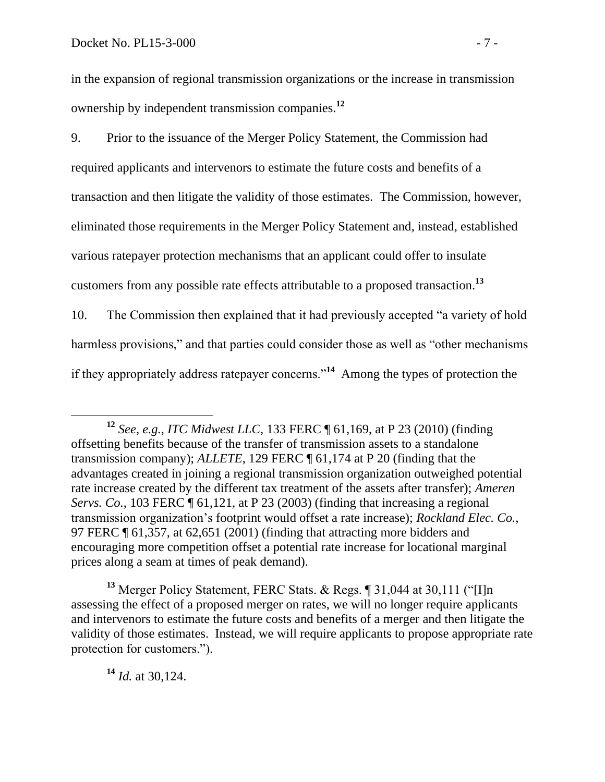in the expansion of regional transmission organizations or the increase in transmission ownership by independent transmission companies.**<sup>12</sup>**

9. Prior to the issuance of the Merger Policy Statement, the Commission had required applicants and intervenors to estimate the future costs and benefits of a transaction and then litigate the validity of those estimates. The Commission, however, eliminated those requirements in the Merger Policy Statement and, instead, established various ratepayer protection mechanisms that an applicant could offer to insulate customers from any possible rate effects attributable to a proposed transaction. **13**

10. The Commission then explained that it had previously accepted "a variety of hold harmless provisions," and that parties could consider those as well as "other mechanisms" if they appropriately address ratepayer concerns."**<sup>14</sup>** Among the types of protection the

**<sup>13</sup>** Merger Policy Statement, FERC Stats. & Regs. ¶ 31,044 at 30,111 ("[I]n assessing the effect of a proposed merger on rates, we will no longer require applicants and intervenors to estimate the future costs and benefits of a merger and then litigate the validity of those estimates. Instead, we will require applicants to propose appropriate rate protection for customers.").

**<sup>14</sup>** *Id.* at 30,124.

**<sup>12</sup>** *See, e.g.*, *ITC Midwest LLC*, 133 FERC ¶ 61,169, at P 23 (2010) (finding offsetting benefits because of the transfer of transmission assets to a standalone transmission company); *ALLETE*, 129 FERC ¶ 61,174 at P 20 (finding that the advantages created in joining a regional transmission organization outweighed potential rate increase created by the different tax treatment of the assets after transfer); *Ameren Servs. Co.*, 103 FERC ¶ 61,121, at P 23 (2003) (finding that increasing a regional transmission organization's footprint would offset a rate increase); *Rockland Elec. Co.*, 97 FERC ¶ 61,357, at 62,651 (2001) (finding that attracting more bidders and encouraging more competition offset a potential rate increase for locational marginal prices along a seam at times of peak demand).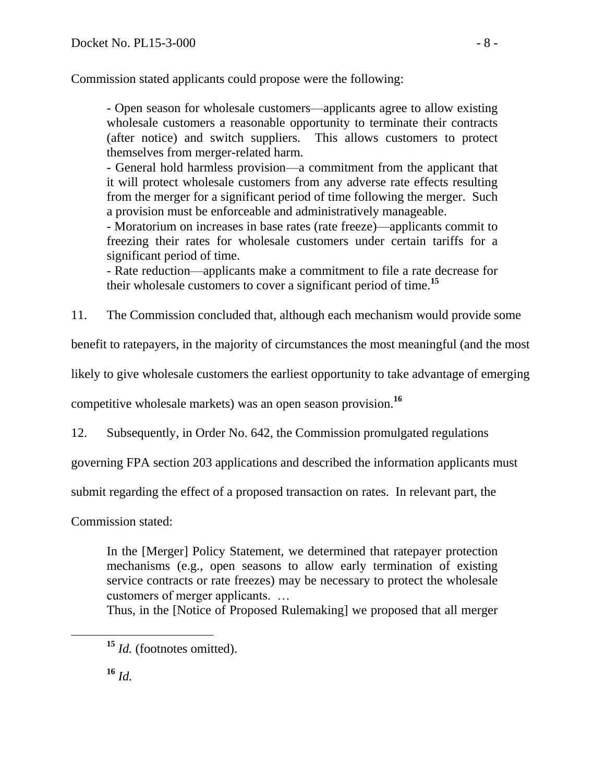Commission stated applicants could propose were the following:

- Open season for wholesale customers—applicants agree to allow existing wholesale customers a reasonable opportunity to terminate their contracts (after notice) and switch suppliers. This allows customers to protect themselves from merger-related harm.

- General hold harmless provision—a commitment from the applicant that it will protect wholesale customers from any adverse rate effects resulting from the merger for a significant period of time following the merger. Such a provision must be enforceable and administratively manageable.

- Moratorium on increases in base rates (rate freeze)—applicants commit to freezing their rates for wholesale customers under certain tariffs for a significant period of time.

- Rate reduction—applicants make a commitment to file a rate decrease for their wholesale customers to cover a significant period of time.**<sup>15</sup>**

11. The Commission concluded that, although each mechanism would provide some

benefit to ratepayers, in the majority of circumstances the most meaningful (and the most

likely to give wholesale customers the earliest opportunity to take advantage of emerging

competitive wholesale markets) was an open season provision.**<sup>16</sup>**

12. Subsequently, in Order No. 642, the Commission promulgated regulations

governing FPA section 203 applications and described the information applicants must

submit regarding the effect of a proposed transaction on rates. In relevant part, the

Commission stated:

In the [Merger] Policy Statement, we determined that ratepayer protection mechanisms (e.g., open seasons to allow early termination of existing service contracts or rate freezes) may be necessary to protect the wholesale customers of merger applicants. …

Thus, in the [Notice of Proposed Rulemaking] we proposed that all merger

**<sup>15</sup>** *Id.* (footnotes omitted).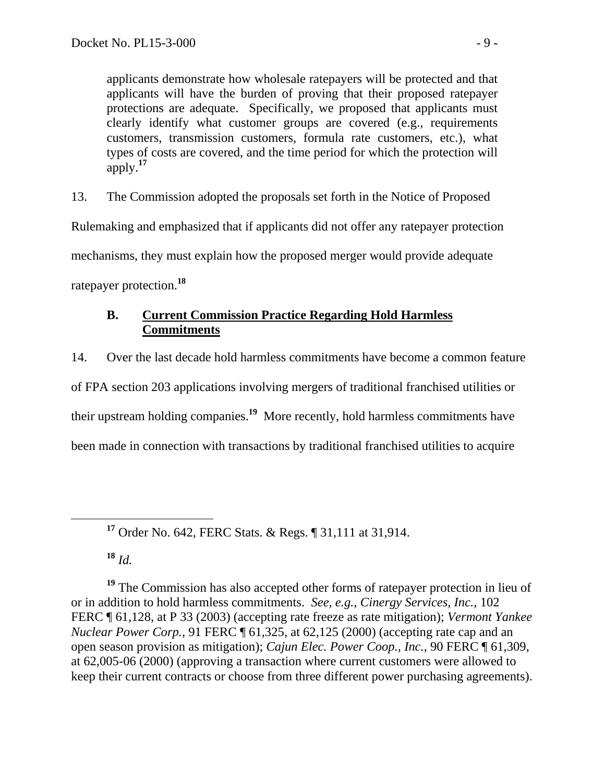applicants demonstrate how wholesale ratepayers will be protected and that applicants will have the burden of proving that their proposed ratepayer protections are adequate. Specifically, we proposed that applicants must clearly identify what customer groups are covered (e.g., requirements customers, transmission customers, formula rate customers, etc.), what types of costs are covered, and the time period for which the protection will apply.**<sup>17</sup>**

13. The Commission adopted the proposals set forth in the Notice of Proposed

Rulemaking and emphasized that if applicants did not offer any ratepayer protection

mechanisms, they must explain how the proposed merger would provide adequate

ratepayer protection.**<sup>18</sup>**

# **B. Current Commission Practice Regarding Hold Harmless Commitments**

14. Over the last decade hold harmless commitments have become a common feature of FPA section 203 applications involving mergers of traditional franchised utilities or their upstream holding companies.**<sup>19</sup>** More recently, hold harmless commitments have been made in connection with transactions by traditional franchised utilities to acquire

**<sup>17</sup>** Order No. 642, FERC Stats. & Regs. ¶ 31,111 at 31,914.

**<sup>18</sup>** *Id.*

**<sup>19</sup>** The Commission has also accepted other forms of ratepayer protection in lieu of or in addition to hold harmless commitments. *See, e.g.*, *Cinergy Services, Inc.*, 102 FERC ¶ 61,128, at P 33 (2003) (accepting rate freeze as rate mitigation); *Vermont Yankee Nuclear Power Corp.*, 91 FERC ¶ 61,325, at 62,125 (2000) (accepting rate cap and an open season provision as mitigation); *Cajun Elec. Power Coop., Inc.*, 90 FERC ¶ 61,309, at 62,005-06 (2000) (approving a transaction where current customers were allowed to keep their current contracts or choose from three different power purchasing agreements).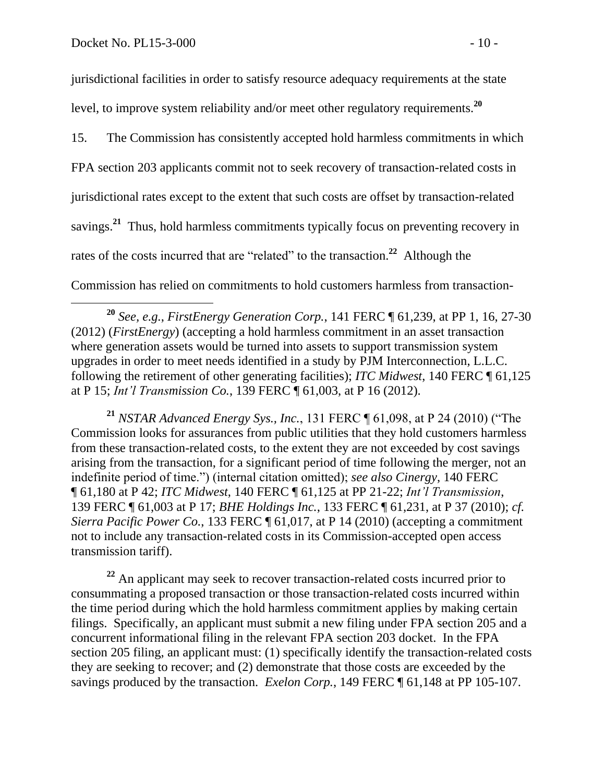jurisdictional facilities in order to satisfy resource adequacy requirements at the state level, to improve system reliability and/or meet other regulatory requirements.**<sup>20</sup>**

15. The Commission has consistently accepted hold harmless commitments in which FPA section 203 applicants commit not to seek recovery of transaction-related costs in jurisdictional rates except to the extent that such costs are offset by transaction-related savings.**<sup>21</sup>** Thus, hold harmless commitments typically focus on preventing recovery in rates of the costs incurred that are "related" to the transaction.<sup>22</sup> Although the Commission has relied on commitments to hold customers harmless from transaction-

**<sup>21</sup>** *NSTAR Advanced Energy Sys., Inc.*, 131 FERC ¶ 61,098, at P 24 (2010) ("The Commission looks for assurances from public utilities that they hold customers harmless from these transaction-related costs, to the extent they are not exceeded by cost savings arising from the transaction, for a significant period of time following the merger, not an indefinite period of time.") (internal citation omitted); *see also Cinergy*, 140 FERC ¶ 61,180 at P 42; *ITC Midwest*, 140 FERC ¶ 61,125 at PP 21-22; *Int'l Transmission*, 139 FERC ¶ 61,003 at P 17; *BHE Holdings Inc.*, 133 FERC ¶ 61,231, at P 37 (2010); *cf. Sierra Pacific Power Co.*, 133 FERC ¶ 61,017, at P 14 (2010) (accepting a commitment not to include any transaction-related costs in its Commission-accepted open access transmission tariff).

**<sup>22</sup>** An applicant may seek to recover transaction-related costs incurred prior to consummating a proposed transaction or those transaction-related costs incurred within the time period during which the hold harmless commitment applies by making certain filings. Specifically, an applicant must submit a new filing under FPA section 205 and a concurrent informational filing in the relevant FPA section 203 docket. In the FPA section 205 filing, an applicant must: (1) specifically identify the transaction-related costs they are seeking to recover; and (2) demonstrate that those costs are exceeded by the savings produced by the transaction. *Exelon Corp.*, 149 FERC ¶ 61,148 at PP 105-107.

**<sup>20</sup>** *See, e.g.*, *FirstEnergy Generation Corp.*, 141 FERC ¶ 61,239, at PP 1, 16, 27-30 (2012) (*FirstEnergy*) (accepting a hold harmless commitment in an asset transaction where generation assets would be turned into assets to support transmission system upgrades in order to meet needs identified in a study by PJM Interconnection, L.L.C. following the retirement of other generating facilities); *ITC Midwest*, 140 FERC ¶ 61,125 at P 15; *Int'l Transmission Co.*, 139 FERC ¶ 61,003, at P 16 (2012).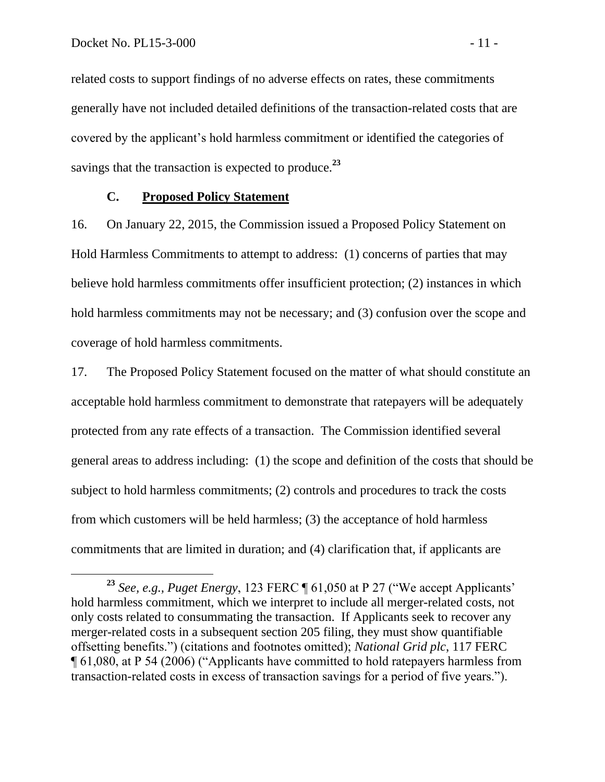related costs to support findings of no adverse effects on rates, these commitments generally have not included detailed definitions of the transaction-related costs that are covered by the applicant's hold harmless commitment or identified the categories of savings that the transaction is expected to produce. **23**

## **C. Proposed Policy Statement**

16. On January 22, 2015, the Commission issued a Proposed Policy Statement on Hold Harmless Commitments to attempt to address: (1) concerns of parties that may believe hold harmless commitments offer insufficient protection; (2) instances in which hold harmless commitments may not be necessary; and (3) confusion over the scope and coverage of hold harmless commitments.

17. The Proposed Policy Statement focused on the matter of what should constitute an acceptable hold harmless commitment to demonstrate that ratepayers will be adequately protected from any rate effects of a transaction. The Commission identified several general areas to address including: (1) the scope and definition of the costs that should be subject to hold harmless commitments; (2) controls and procedures to track the costs from which customers will be held harmless; (3) the acceptance of hold harmless commitments that are limited in duration; and (4) clarification that, if applicants are

**<sup>23</sup>** *See, e.g., Puget Energy*, 123 FERC ¶ 61,050 at P 27 ("We accept Applicants' hold harmless commitment, which we interpret to include all merger-related costs, not only costs related to consummating the transaction. If Applicants seek to recover any merger-related costs in a subsequent section 205 filing, they must show quantifiable offsetting benefits.") (citations and footnotes omitted); *National Grid plc*, 117 FERC ¶ 61,080, at P 54 (2006) ("Applicants have committed to hold ratepayers harmless from transaction-related costs in excess of transaction savings for a period of five years.").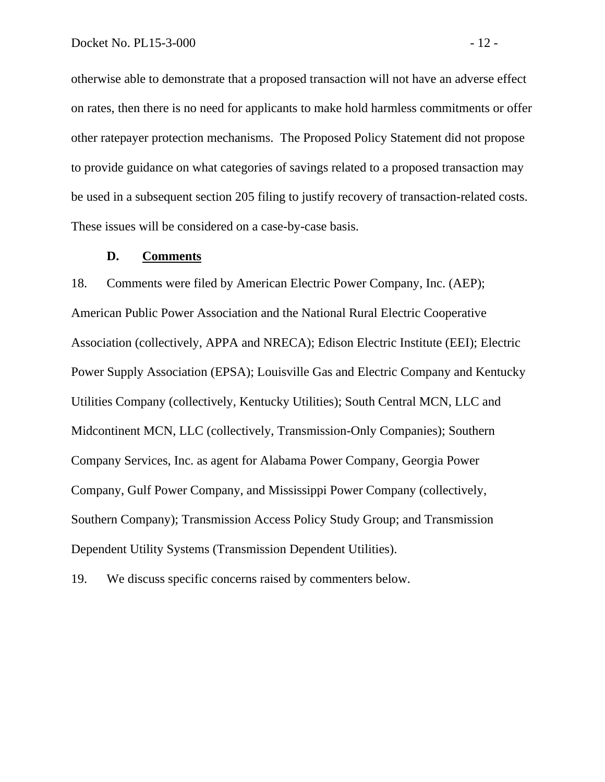otherwise able to demonstrate that a proposed transaction will not have an adverse effect on rates, then there is no need for applicants to make hold harmless commitments or offer other ratepayer protection mechanisms. The Proposed Policy Statement did not propose to provide guidance on what categories of savings related to a proposed transaction may be used in a subsequent section 205 filing to justify recovery of transaction-related costs. These issues will be considered on a case-by-case basis.

#### **D. Comments**

18. Comments were filed by American Electric Power Company, Inc. (AEP); American Public Power Association and the National Rural Electric Cooperative Association (collectively, APPA and NRECA); Edison Electric Institute (EEI); Electric Power Supply Association (EPSA); Louisville Gas and Electric Company and Kentucky Utilities Company (collectively, Kentucky Utilities); South Central MCN, LLC and Midcontinent MCN, LLC (collectively, Transmission-Only Companies); Southern Company Services, Inc. as agent for Alabama Power Company, Georgia Power Company, Gulf Power Company, and Mississippi Power Company (collectively, Southern Company); Transmission Access Policy Study Group; and Transmission Dependent Utility Systems (Transmission Dependent Utilities).

19. We discuss specific concerns raised by commenters below.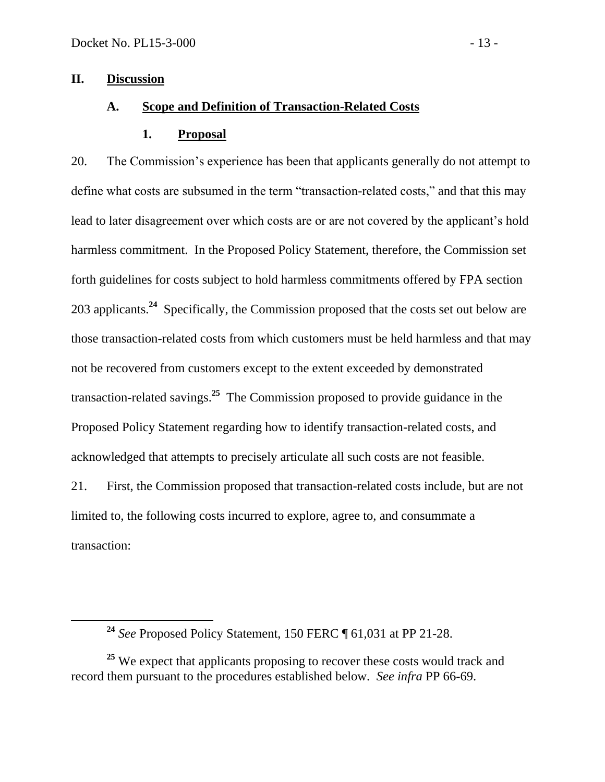## **II. Discussion**

## **A. Scope and Definition of Transaction-Related Costs**

### **1. Proposal**

20. The Commission's experience has been that applicants generally do not attempt to define what costs are subsumed in the term "transaction-related costs," and that this may lead to later disagreement over which costs are or are not covered by the applicant's hold harmless commitment. In the Proposed Policy Statement, therefore, the Commission set forth guidelines for costs subject to hold harmless commitments offered by FPA section 203 applicants.**<sup>24</sup>** Specifically, the Commission proposed that the costs set out below are those transaction-related costs from which customers must be held harmless and that may not be recovered from customers except to the extent exceeded by demonstrated transaction-related savings.**<sup>25</sup>** The Commission proposed to provide guidance in the Proposed Policy Statement regarding how to identify transaction-related costs, and acknowledged that attempts to precisely articulate all such costs are not feasible.

21. First, the Commission proposed that transaction-related costs include, but are not limited to, the following costs incurred to explore, agree to, and consummate a transaction:

**<sup>24</sup>** *See* Proposed Policy Statement, 150 FERC ¶ 61,031 at PP 21-28.

<sup>&</sup>lt;sup>25</sup> We expect that applicants proposing to recover these costs would track and record them pursuant to the procedures established below. *See infra* PP 66-69.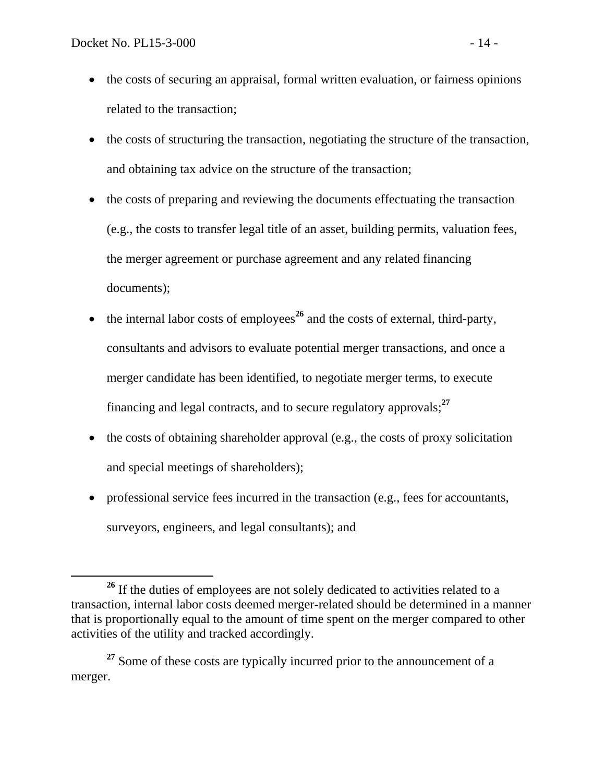- the costs of securing an appraisal, formal written evaluation, or fairness opinions related to the transaction;
- the costs of structuring the transaction, negotiating the structure of the transaction, and obtaining tax advice on the structure of the transaction;
- the costs of preparing and reviewing the documents effectuating the transaction (e.g., the costs to transfer legal title of an asset, building permits, valuation fees, the merger agreement or purchase agreement and any related financing documents);
- $\bullet$  the internal labor costs of employees<sup>26</sup> and the costs of external, third-party, consultants and advisors to evaluate potential merger transactions, and once a merger candidate has been identified, to negotiate merger terms, to execute financing and legal contracts, and to secure regulatory approvals;**<sup>27</sup>**
- $\bullet$  the costs of obtaining shareholder approval (e.g., the costs of proxy solicitation and special meetings of shareholders);
- professional service fees incurred in the transaction (e.g., fees for accountants, surveyors, engineers, and legal consultants); and

<sup>&</sup>lt;sup>26</sup> If the duties of employees are not solely dedicated to activities related to a transaction, internal labor costs deemed merger-related should be determined in a manner that is proportionally equal to the amount of time spent on the merger compared to other activities of the utility and tracked accordingly.

<sup>&</sup>lt;sup>27</sup> Some of these costs are typically incurred prior to the announcement of a merger.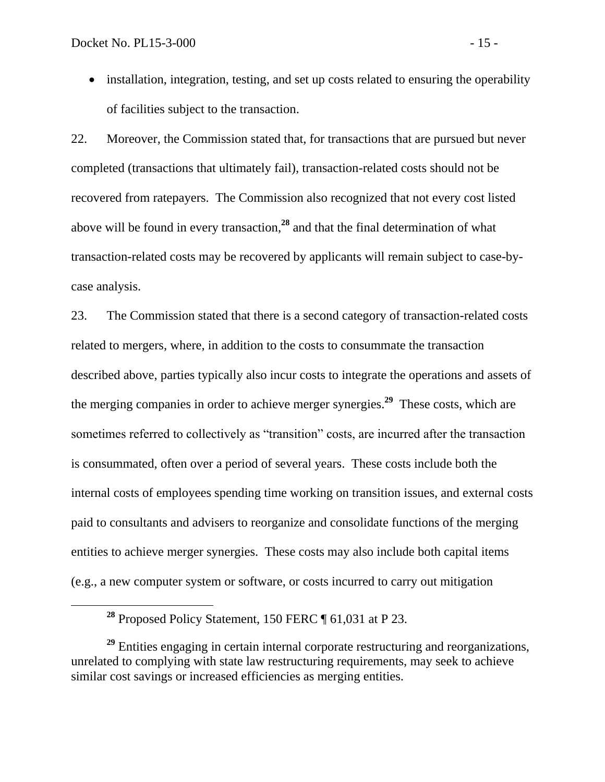• installation, integration, testing, and set up costs related to ensuring the operability of facilities subject to the transaction.

22. Moreover, the Commission stated that, for transactions that are pursued but never completed (transactions that ultimately fail), transaction-related costs should not be recovered from ratepayers. The Commission also recognized that not every cost listed above will be found in every transaction, **<sup>28</sup>** and that the final determination of what transaction-related costs may be recovered by applicants will remain subject to case-bycase analysis.

23. The Commission stated that there is a second category of transaction-related costs related to mergers, where, in addition to the costs to consummate the transaction described above, parties typically also incur costs to integrate the operations and assets of the merging companies in order to achieve merger synergies.**<sup>29</sup>** These costs, which are sometimes referred to collectively as "transition" costs, are incurred after the transaction is consummated, often over a period of several years. These costs include both the internal costs of employees spending time working on transition issues, and external costs paid to consultants and advisers to reorganize and consolidate functions of the merging entities to achieve merger synergies. These costs may also include both capital items (e.g., a new computer system or software, or costs incurred to carry out mitigation

**<sup>28</sup>** Proposed Policy Statement, 150 FERC ¶ 61,031 at P 23.

<sup>&</sup>lt;sup>29</sup> Entities engaging in certain internal corporate restructuring and reorganizations, unrelated to complying with state law restructuring requirements, may seek to achieve similar cost savings or increased efficiencies as merging entities.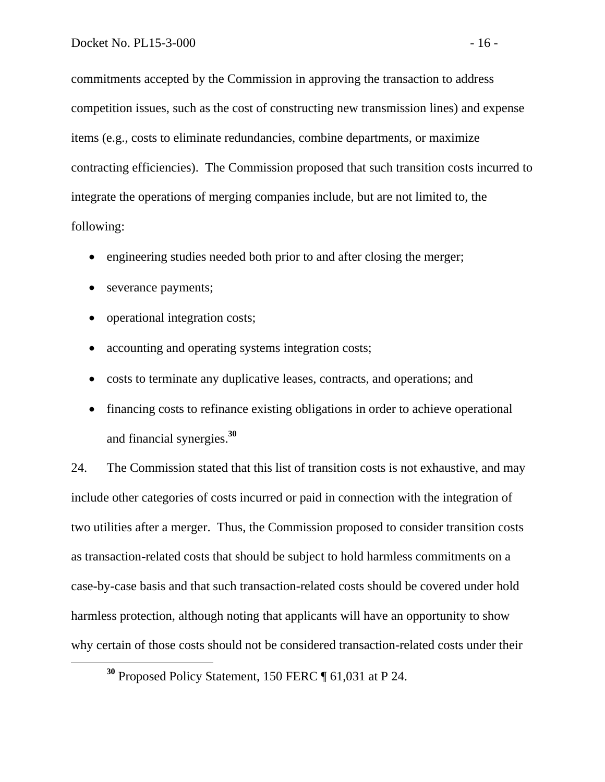commitments accepted by the Commission in approving the transaction to address competition issues, such as the cost of constructing new transmission lines) and expense items (e.g., costs to eliminate redundancies, combine departments, or maximize contracting efficiencies). The Commission proposed that such transition costs incurred to integrate the operations of merging companies include, but are not limited to, the following:

- engineering studies needed both prior to and after closing the merger;
- severance payments;

 $\overline{a}$ 

- operational integration costs;
- accounting and operating systems integration costs;
- costs to terminate any duplicative leases, contracts, and operations; and
- financing costs to refinance existing obligations in order to achieve operational and financial synergies.**<sup>30</sup>**

24. The Commission stated that this list of transition costs is not exhaustive, and may include other categories of costs incurred or paid in connection with the integration of two utilities after a merger. Thus, the Commission proposed to consider transition costs as transaction-related costs that should be subject to hold harmless commitments on a case-by-case basis and that such transaction-related costs should be covered under hold harmless protection, although noting that applicants will have an opportunity to show why certain of those costs should not be considered transaction-related costs under their

**<sup>30</sup>** Proposed Policy Statement, 150 FERC ¶ 61,031 at P 24.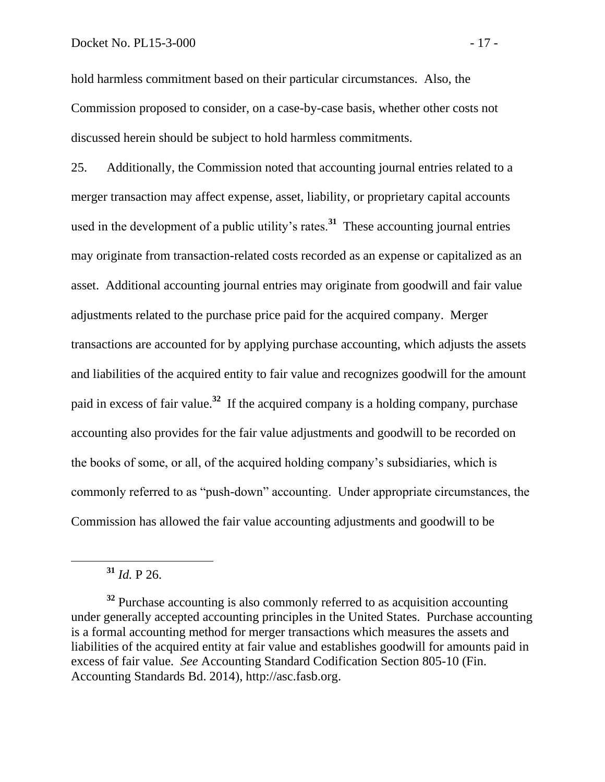hold harmless commitment based on their particular circumstances. Also, the Commission proposed to consider, on a case-by-case basis, whether other costs not discussed herein should be subject to hold harmless commitments.

25. Additionally, the Commission noted that accounting journal entries related to a merger transaction may affect expense, asset, liability, or proprietary capital accounts used in the development of a public utility's rates.**<sup>31</sup>** These accounting journal entries may originate from transaction-related costs recorded as an expense or capitalized as an asset. Additional accounting journal entries may originate from goodwill and fair value adjustments related to the purchase price paid for the acquired company. Merger transactions are accounted for by applying purchase accounting, which adjusts the assets and liabilities of the acquired entity to fair value and recognizes goodwill for the amount paid in excess of fair value.**<sup>32</sup>** If the acquired company is a holding company, purchase accounting also provides for the fair value adjustments and goodwill to be recorded on the books of some, or all, of the acquired holding company's subsidiaries, which is commonly referred to as "push-down" accounting. Under appropriate circumstances, the Commission has allowed the fair value accounting adjustments and goodwill to be

**<sup>31</sup>** *Id.* P 26.

 $\overline{a}$ 

<sup>&</sup>lt;sup>32</sup> Purchase accounting is also commonly referred to as acquisition accounting under generally accepted accounting principles in the United States. Purchase accounting is a formal accounting method for merger transactions which measures the assets and liabilities of the acquired entity at fair value and establishes goodwill for amounts paid in excess of fair value. *See* Accounting Standard Codification Section 805-10 (Fin. Accounting Standards Bd. 2014), http://asc.fasb.org.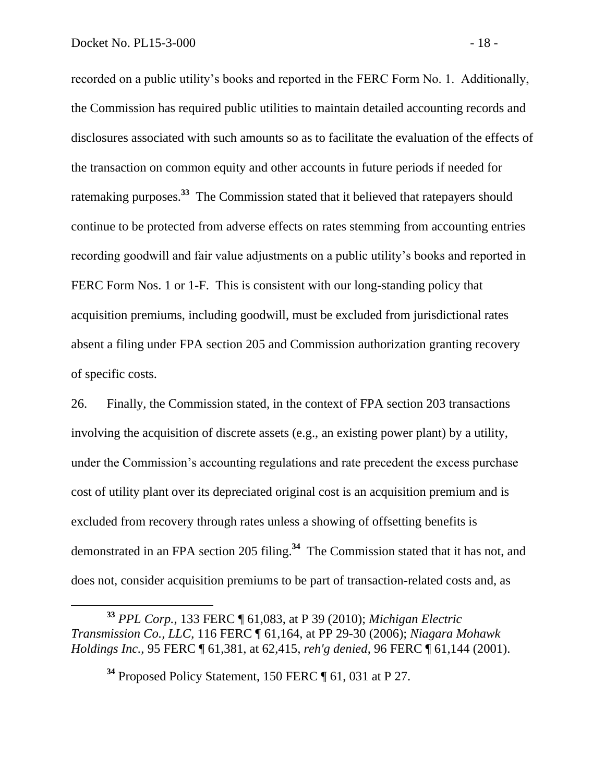recorded on a public utility's books and reported in the FERC Form No. 1. Additionally, the Commission has required public utilities to maintain detailed accounting records and disclosures associated with such amounts so as to facilitate the evaluation of the effects of the transaction on common equity and other accounts in future periods if needed for ratemaking purposes.**<sup>33</sup>** The Commission stated that it believed that ratepayers should continue to be protected from adverse effects on rates stemming from accounting entries recording goodwill and fair value adjustments on a public utility's books and reported in FERC Form Nos. 1 or 1-F. This is consistent with our long-standing policy that acquisition premiums, including goodwill, must be excluded from jurisdictional rates absent a filing under FPA section 205 and Commission authorization granting recovery of specific costs.

26. Finally, the Commission stated, in the context of FPA section 203 transactions involving the acquisition of discrete assets (e.g., an existing power plant) by a utility, under the Commission's accounting regulations and rate precedent the excess purchase cost of utility plant over its depreciated original cost is an acquisition premium and is excluded from recovery through rates unless a showing of offsetting benefits is demonstrated in an FPA section 205 filing.**<sup>34</sup>** The Commission stated that it has not, and does not, consider acquisition premiums to be part of transaction-related costs and, as

**<sup>33</sup>** *PPL Corp.*, 133 FERC ¶ 61,083, at P 39 (2010); *Michigan Electric Transmission Co., LLC*, 116 FERC ¶ 61,164, at PP 29-30 (2006); *Niagara Mohawk Holdings Inc.*, 95 FERC ¶ 61,381, at 62,415, *reh'g denied*, 96 FERC ¶ 61,144 (2001).

**<sup>34</sup>** Proposed Policy Statement, 150 FERC ¶ 61, 031 at P 27.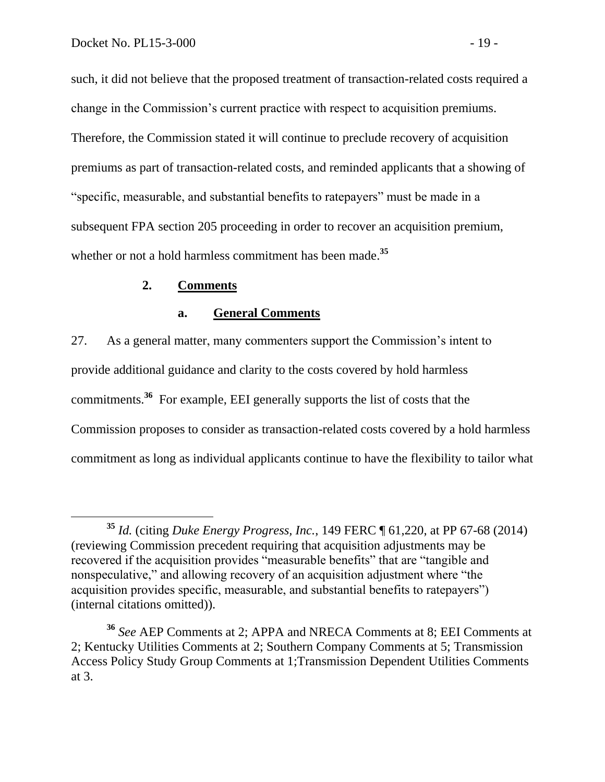such, it did not believe that the proposed treatment of transaction-related costs required a change in the Commission's current practice with respect to acquisition premiums. Therefore, the Commission stated it will continue to preclude recovery of acquisition premiums as part of transaction-related costs, and reminded applicants that a showing of "specific, measurable, and substantial benefits to ratepayers" must be made in a subsequent FPA section 205 proceeding in order to recover an acquisition premium, whether or not a hold harmless commitment has been made. **35**

### **2. Comments**

### **a. General Comments**

27. As a general matter, many commenters support the Commission's intent to provide additional guidance and clarity to the costs covered by hold harmless commitments.**<sup>36</sup>** For example, EEI generally supports the list of costs that the Commission proposes to consider as transaction-related costs covered by a hold harmless commitment as long as individual applicants continue to have the flexibility to tailor what

**<sup>35</sup>** *Id.* (citing *Duke Energy Progress, Inc.*, 149 FERC ¶ 61,220, at PP 67-68 (2014) (reviewing Commission precedent requiring that acquisition adjustments may be recovered if the acquisition provides "measurable benefits" that are "tangible and nonspeculative," and allowing recovery of an acquisition adjustment where "the acquisition provides specific, measurable, and substantial benefits to ratepayers") (internal citations omitted)).

**<sup>36</sup>** *See* AEP Comments at 2; APPA and NRECA Comments at 8; EEI Comments at 2; Kentucky Utilities Comments at 2; Southern Company Comments at 5; Transmission Access Policy Study Group Comments at 1;Transmission Dependent Utilities Comments at 3.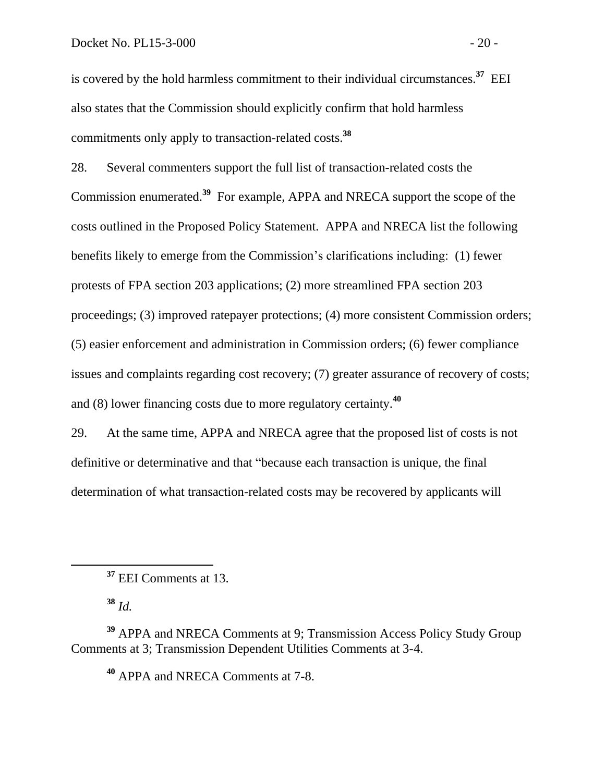is covered by the hold harmless commitment to their individual circumstances.**<sup>37</sup>** EEI also states that the Commission should explicitly confirm that hold harmless commitments only apply to transaction-related costs.**<sup>38</sup>**

28. Several commenters support the full list of transaction-related costs the Commission enumerated.**<sup>39</sup>** For example, APPA and NRECA support the scope of the costs outlined in the Proposed Policy Statement. APPA and NRECA list the following benefits likely to emerge from the Commission's clarifications including: (1) fewer protests of FPA section 203 applications; (2) more streamlined FPA section 203 proceedings; (3) improved ratepayer protections; (4) more consistent Commission orders; (5) easier enforcement and administration in Commission orders; (6) fewer compliance issues and complaints regarding cost recovery; (7) greater assurance of recovery of costs; and (8) lower financing costs due to more regulatory certainty.**<sup>40</sup>**

29. At the same time, APPA and NRECA agree that the proposed list of costs is not definitive or determinative and that "because each transaction is unique, the final determination of what transaction-related costs may be recovered by applicants will

**<sup>38</sup>** *Id.*

**<sup>40</sup>** APPA and NRECA Comments at 7-8.

**<sup>37</sup>** EEI Comments at 13.

**<sup>39</sup>** APPA and NRECA Comments at 9; Transmission Access Policy Study Group Comments at 3; Transmission Dependent Utilities Comments at 3-4.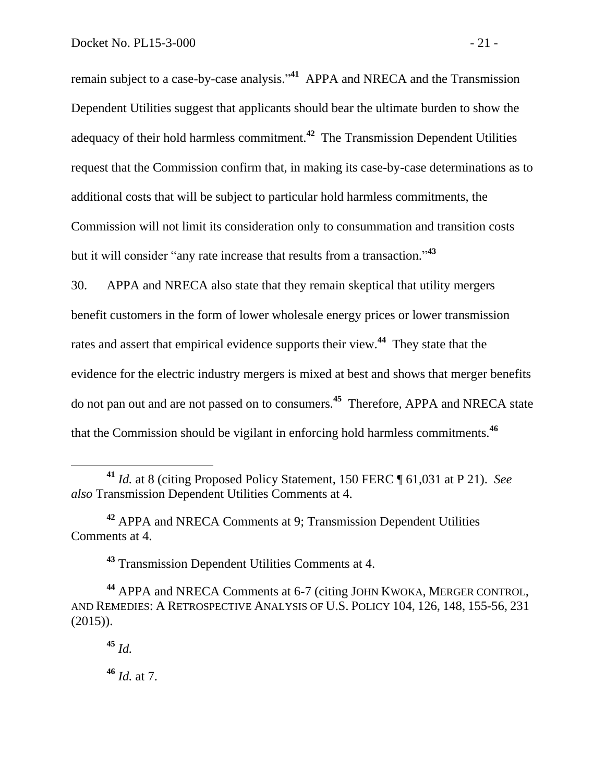remain subject to a case-by-case analysis."<sup>41</sup> APPA and NRECA and the Transmission Dependent Utilities suggest that applicants should bear the ultimate burden to show the adequacy of their hold harmless commitment.**<sup>42</sup>** The Transmission Dependent Utilities request that the Commission confirm that, in making its case-by-case determinations as to additional costs that will be subject to particular hold harmless commitments, the Commission will not limit its consideration only to consummation and transition costs but it will consider "any rate increase that results from a transaction." **43**

30. APPA and NRECA also state that they remain skeptical that utility mergers benefit customers in the form of lower wholesale energy prices or lower transmission rates and assert that empirical evidence supports their view.**<sup>44</sup>** They state that the evidence for the electric industry mergers is mixed at best and shows that merger benefits do not pan out and are not passed on to consumers.**<sup>45</sup>** Therefore, APPA and NRECA state that the Commission should be vigilant in enforcing hold harmless commitments.**<sup>46</sup>**

**<sup>43</sup>** Transmission Dependent Utilities Comments at 4.

**<sup>45</sup>** *Id.*

 $\overline{a}$ 

**<sup>46</sup>** *Id.* at 7.

**<sup>41</sup>** *Id.* at 8 (citing Proposed Policy Statement, 150 FERC ¶ 61,031 at P 21). *See also* Transmission Dependent Utilities Comments at 4.

**<sup>42</sup>** APPA and NRECA Comments at 9; Transmission Dependent Utilities Comments at 4.

**<sup>44</sup>** APPA and NRECA Comments at 6-7 (citing JOHN KWOKA, MERGER CONTROL, AND REMEDIES: A RETROSPECTIVE ANALYSIS OF U.S. POLICY 104, 126, 148, 155-56, 231 (2015)).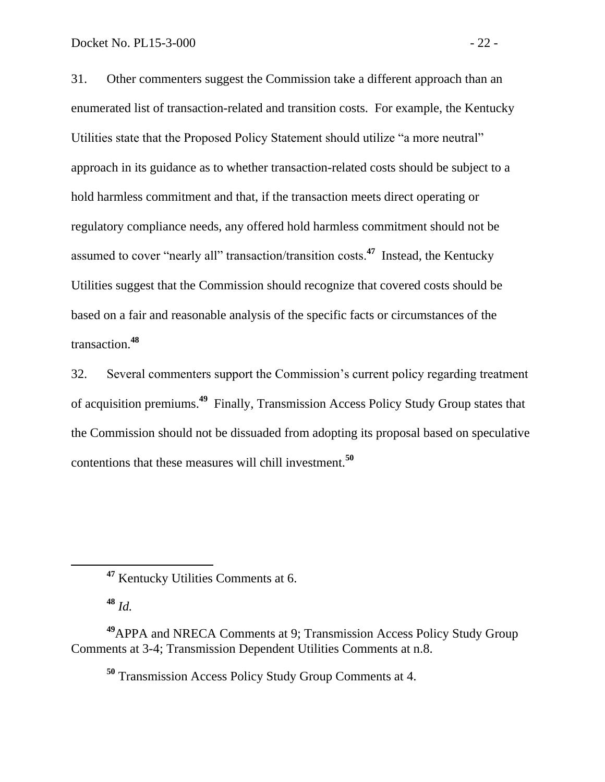31. Other commenters suggest the Commission take a different approach than an enumerated list of transaction-related and transition costs. For example, the Kentucky Utilities state that the Proposed Policy Statement should utilize "a more neutral" approach in its guidance as to whether transaction-related costs should be subject to a hold harmless commitment and that, if the transaction meets direct operating or regulatory compliance needs, any offered hold harmless commitment should not be assumed to cover "nearly all" transaction/transition costs.**<sup>47</sup>** Instead, the Kentucky Utilities suggest that the Commission should recognize that covered costs should be based on a fair and reasonable analysis of the specific facts or circumstances of the transaction.**<sup>48</sup>**

32. Several commenters support the Commission's current policy regarding treatment of acquisition premiums.**<sup>49</sup>** Finally, Transmission Access Policy Study Group states that the Commission should not be dissuaded from adopting its proposal based on speculative contentions that these measures will chill investment.**<sup>50</sup>**

**<sup>48</sup>** *Id.*

**<sup>50</sup>** Transmission Access Policy Study Group Comments at 4.

**<sup>47</sup>** Kentucky Utilities Comments at 6.

**<sup>49</sup>**APPA and NRECA Comments at 9; Transmission Access Policy Study Group Comments at 3-4; Transmission Dependent Utilities Comments at n.8.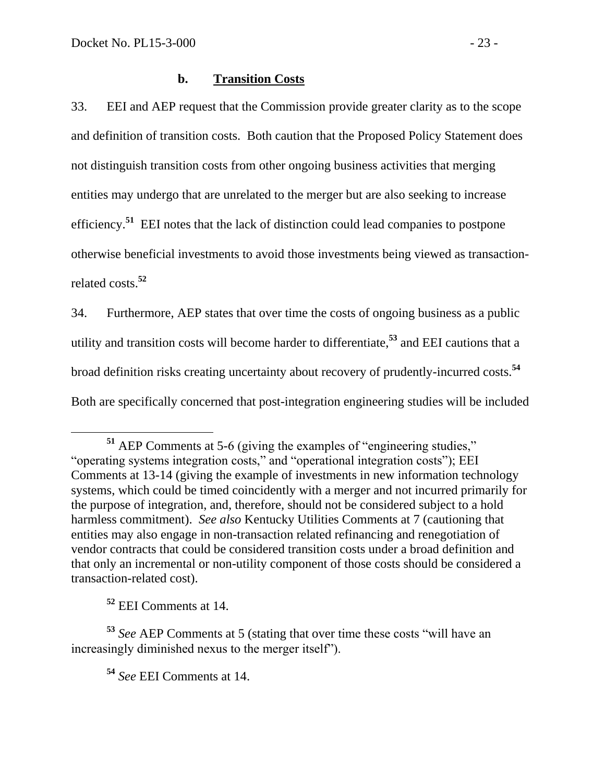## **b. Transition Costs**

33. EEI and AEP request that the Commission provide greater clarity as to the scope and definition of transition costs. Both caution that the Proposed Policy Statement does not distinguish transition costs from other ongoing business activities that merging entities may undergo that are unrelated to the merger but are also seeking to increase efficiency.<sup>51</sup> EEI notes that the lack of distinction could lead companies to postpone otherwise beneficial investments to avoid those investments being viewed as transactionrelated costs.**<sup>52</sup>**

34. Furthermore, AEP states that over time the costs of ongoing business as a public utility and transition costs will become harder to differentiate, **<sup>53</sup>** and EEI cautions that a broad definition risks creating uncertainty about recovery of prudently-incurred costs.**<sup>54</sup>** Both are specifically concerned that post-integration engineering studies will be included

**<sup>52</sup>** EEI Comments at 14.

 $\overline{a}$ 

**<sup>54</sup>** *See* EEI Comments at 14.

**<sup>51</sup>** AEP Comments at 5-6 (giving the examples of "engineering studies," "operating systems integration costs," and "operational integration costs"); EEI Comments at 13-14 (giving the example of investments in new information technology systems, which could be timed coincidently with a merger and not incurred primarily for the purpose of integration, and, therefore, should not be considered subject to a hold harmless commitment). *See also* Kentucky Utilities Comments at 7 (cautioning that entities may also engage in non-transaction related refinancing and renegotiation of vendor contracts that could be considered transition costs under a broad definition and that only an incremental or non-utility component of those costs should be considered a transaction-related cost).

**<sup>53</sup>** *See* AEP Comments at 5 (stating that over time these costs "will have an increasingly diminished nexus to the merger itself").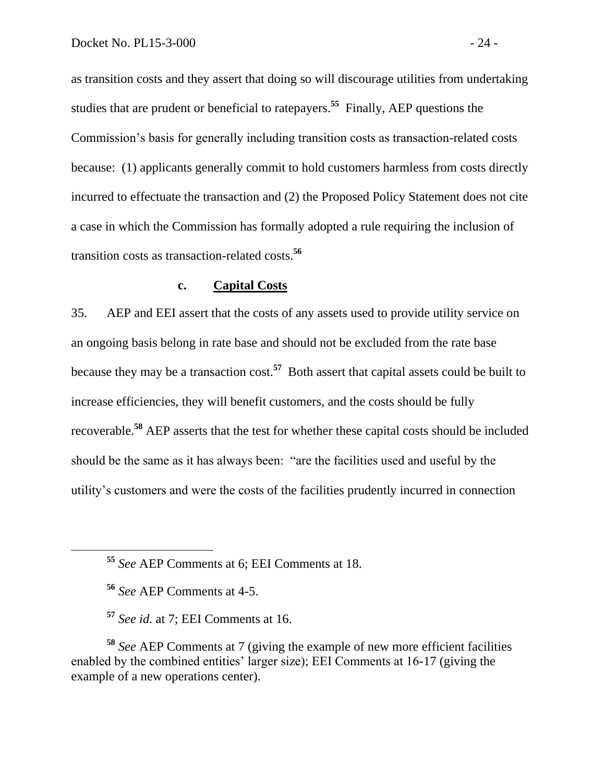as transition costs and they assert that doing so will discourage utilities from undertaking studies that are prudent or beneficial to ratepayers.**<sup>55</sup>** Finally, AEP questions the Commission's basis for generally including transition costs as transaction-related costs because: (1) applicants generally commit to hold customers harmless from costs directly incurred to effectuate the transaction and (2) the Proposed Policy Statement does not cite a case in which the Commission has formally adopted a rule requiring the inclusion of transition costs as transaction-related costs. **56**

#### **c. Capital Costs**

35. AEP and EEI assert that the costs of any assets used to provide utility service on an ongoing basis belong in rate base and should not be excluded from the rate base because they may be a transaction cost.**<sup>57</sup>** Both assert that capital assets could be built to increase efficiencies, they will benefit customers, and the costs should be fully recoverable.**<sup>58</sup>** AEP asserts that the test for whether these capital costs should be included should be the same as it has always been: "are the facilities used and useful by the utility's customers and were the costs of the facilities prudently incurred in connection

**<sup>58</sup>** *See* AEP Comments at 7 (giving the example of new more efficient facilities enabled by the combined entities' larger size); EEI Comments at 16-17 (giving the example of a new operations center).

**<sup>55</sup>** *See* AEP Comments at 6; EEI Comments at 18.

**<sup>56</sup>** *See* AEP Comments at 4-5.

**<sup>57</sup>** *See id.* at 7; EEI Comments at 16.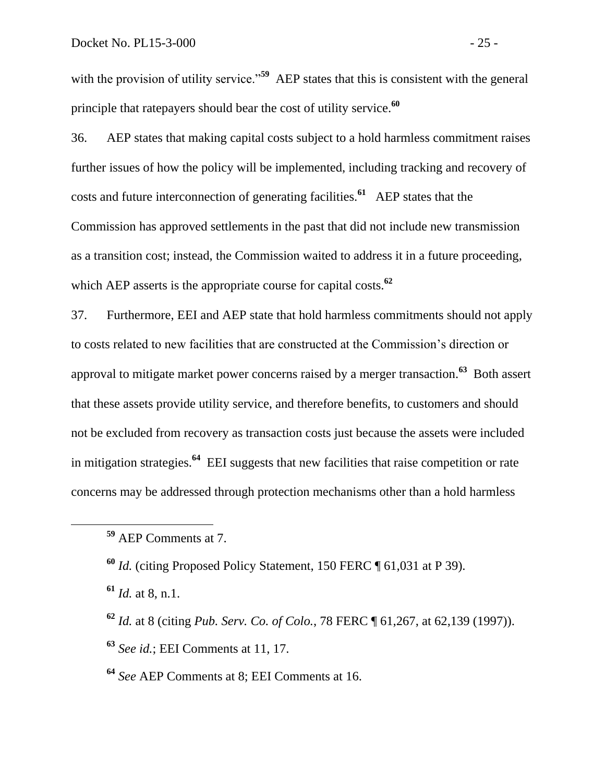with the provision of utility service."<sup>59</sup> AEP states that this is consistent with the general principle that ratepayers should bear the cost of utility service.**<sup>60</sup>**

36. AEP states that making capital costs subject to a hold harmless commitment raises further issues of how the policy will be implemented, including tracking and recovery of costs and future interconnection of generating facilities.**<sup>61</sup>** AEP states that the Commission has approved settlements in the past that did not include new transmission as a transition cost; instead, the Commission waited to address it in a future proceeding, which AEP asserts is the appropriate course for capital costs.**<sup>62</sup>**

37. Furthermore, EEI and AEP state that hold harmless commitments should not apply to costs related to new facilities that are constructed at the Commission's direction or approval to mitigate market power concerns raised by a merger transaction.**<sup>63</sup>** Both assert that these assets provide utility service, and therefore benefits, to customers and should not be excluded from recovery as transaction costs just because the assets were included in mitigation strategies.**<sup>64</sup>** EEI suggests that new facilities that raise competition or rate concerns may be addressed through protection mechanisms other than a hold harmless

- **<sup>62</sup>** *Id.* at 8 (citing *Pub. Serv. Co. of Colo.*, 78 FERC ¶ 61,267, at 62,139 (1997)).
- **<sup>63</sup>** *See id.*; EEI Comments at 11, 17.
- **<sup>64</sup>** *See* AEP Comments at 8; EEI Comments at 16.

**<sup>59</sup>** AEP Comments at 7.

**<sup>60</sup>** *Id.* (citing Proposed Policy Statement, 150 FERC ¶ 61,031 at P 39).

**<sup>61</sup>** *Id.* at 8, n.1.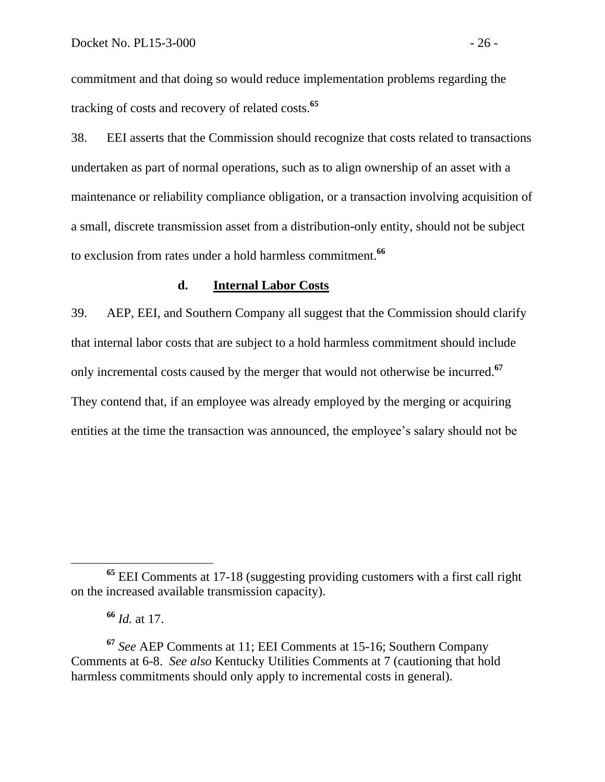commitment and that doing so would reduce implementation problems regarding the tracking of costs and recovery of related costs.**<sup>65</sup>**

38. EEI asserts that the Commission should recognize that costs related to transactions undertaken as part of normal operations, such as to align ownership of an asset with a maintenance or reliability compliance obligation, or a transaction involving acquisition of a small, discrete transmission asset from a distribution-only entity, should not be subject to exclusion from rates under a hold harmless commitment.**<sup>66</sup>**

#### **d. Internal Labor Costs**

39. AEP, EEI, and Southern Company all suggest that the Commission should clarify that internal labor costs that are subject to a hold harmless commitment should include only incremental costs caused by the merger that would not otherwise be incurred.**<sup>67</sup>** They contend that, if an employee was already employed by the merging or acquiring entities at the time the transaction was announced, the employee's salary should not be

**<sup>65</sup>** EEI Comments at 17-18 (suggesting providing customers with a first call right on the increased available transmission capacity).

**<sup>66</sup>** *Id.* at 17.

**<sup>67</sup>** *See* AEP Comments at 11; EEI Comments at 15-16; Southern Company Comments at 6-8. *See also* Kentucky Utilities Comments at 7 (cautioning that hold harmless commitments should only apply to incremental costs in general).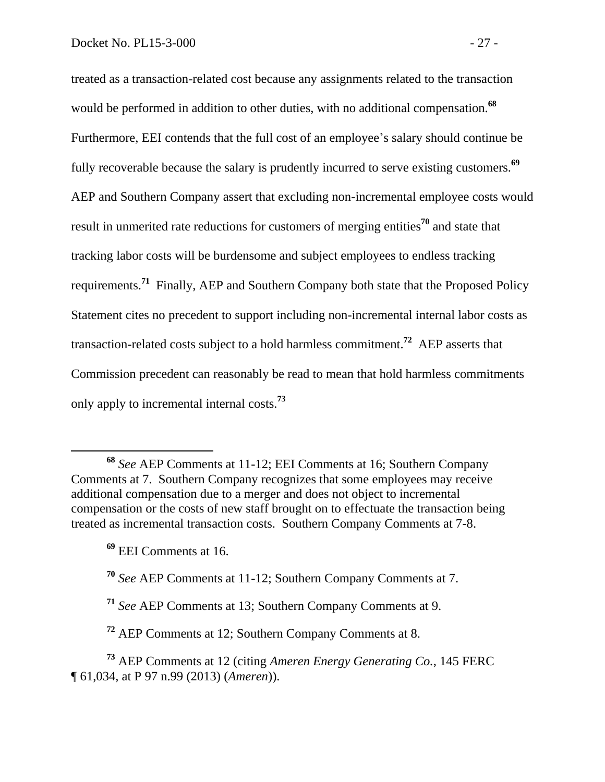treated as a transaction-related cost because any assignments related to the transaction would be performed in addition to other duties, with no additional compensation.**<sup>68</sup>** Furthermore, EEI contends that the full cost of an employee's salary should continue be fully recoverable because the salary is prudently incurred to serve existing customers. **69** AEP and Southern Company assert that excluding non-incremental employee costs would result in unmerited rate reductions for customers of merging entities**<sup>70</sup>** and state that tracking labor costs will be burdensome and subject employees to endless tracking requirements.**<sup>71</sup>** Finally, AEP and Southern Company both state that the Proposed Policy Statement cites no precedent to support including non-incremental internal labor costs as transaction-related costs subject to a hold harmless commitment. **<sup>72</sup>** AEP asserts that Commission precedent can reasonably be read to mean that hold harmless commitments only apply to incremental internal costs.**<sup>73</sup>**

 $\overline{a}$ 

**<sup>68</sup>** *See* AEP Comments at 11-12; EEI Comments at 16; Southern Company Comments at 7. Southern Company recognizes that some employees may receive additional compensation due to a merger and does not object to incremental compensation or the costs of new staff brought on to effectuate the transaction being treated as incremental transaction costs. Southern Company Comments at 7-8.

**<sup>69</sup>** EEI Comments at 16.

**<sup>70</sup>** *See* AEP Comments at 11-12; Southern Company Comments at 7.

**<sup>71</sup>** *See* AEP Comments at 13; Southern Company Comments at 9.

**<sup>72</sup>** AEP Comments at 12; Southern Company Comments at 8.

**<sup>73</sup>** AEP Comments at 12 (citing *Ameren Energy Generating Co.*, 145 FERC ¶ 61,034, at P 97 n.99 (2013) (*Ameren*)).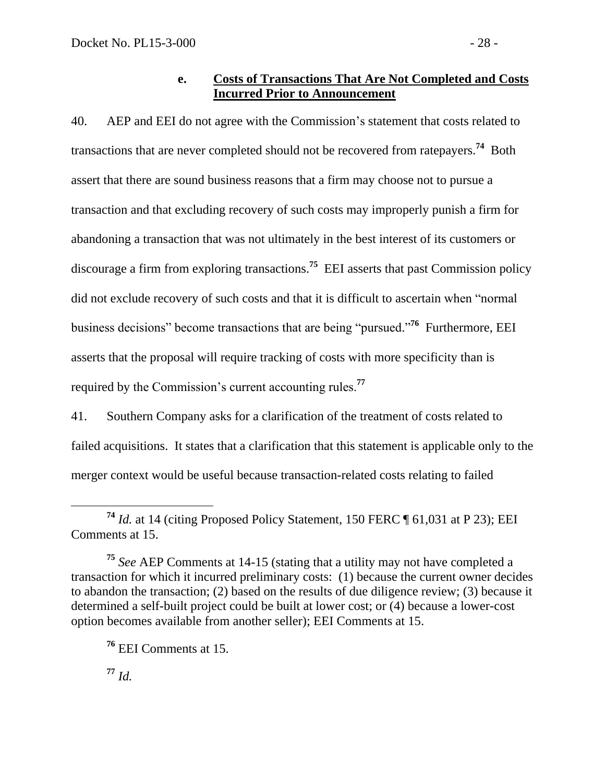## **e. Costs of Transactions That Are Not Completed and Costs Incurred Prior to Announcement**

40. AEP and EEI do not agree with the Commission's statement that costs related to transactions that are never completed should not be recovered from ratepayers.**<sup>74</sup>** Both assert that there are sound business reasons that a firm may choose not to pursue a transaction and that excluding recovery of such costs may improperly punish a firm for abandoning a transaction that was not ultimately in the best interest of its customers or discourage a firm from exploring transactions.**<sup>75</sup>** EEI asserts that past Commission policy did not exclude recovery of such costs and that it is difficult to ascertain when "normal business decisions" become transactions that are being "pursued." **76** Furthermore, EEI asserts that the proposal will require tracking of costs with more specificity than is required by the Commission's current accounting rules.**<sup>77</sup>**

41. Southern Company asks for a clarification of the treatment of costs related to failed acquisitions. It states that a clarification that this statement is applicable only to the merger context would be useful because transaction-related costs relating to failed

**<sup>77</sup>** *Id.*

 $\overline{a}$ **<sup>74</sup>** *Id.* at 14 (citing Proposed Policy Statement, 150 FERC ¶ 61,031 at P 23); EEI Comments at 15.

**<sup>75</sup>** *See* AEP Comments at 14-15 (stating that a utility may not have completed a transaction for which it incurred preliminary costs: (1) because the current owner decides to abandon the transaction; (2) based on the results of due diligence review; (3) because it determined a self-built project could be built at lower cost; or (4) because a lower-cost option becomes available from another seller); EEI Comments at 15.

**<sup>76</sup>** EEI Comments at 15.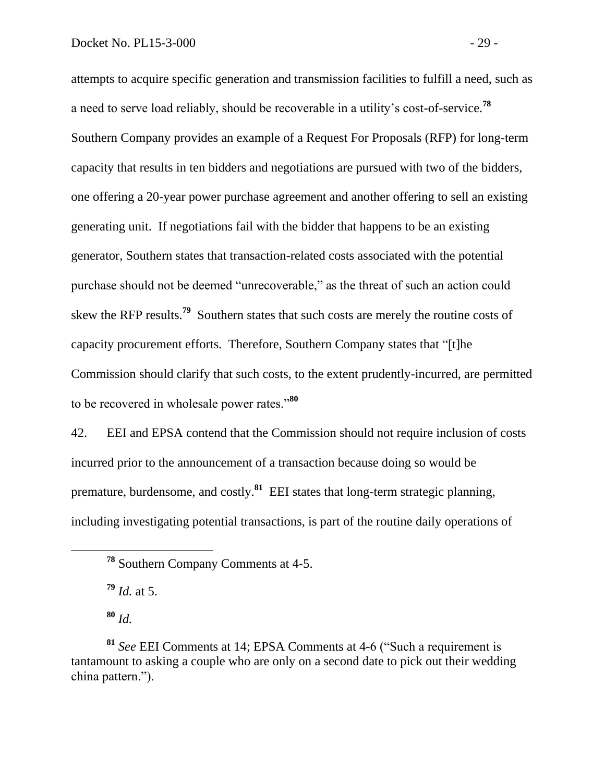attempts to acquire specific generation and transmission facilities to fulfill a need, such as a need to serve load reliably, should be recoverable in a utility's cost-of-service.**<sup>78</sup>** Southern Company provides an example of a Request For Proposals (RFP) for long-term capacity that results in ten bidders and negotiations are pursued with two of the bidders, one offering a 20-year power purchase agreement and another offering to sell an existing generating unit. If negotiations fail with the bidder that happens to be an existing generator, Southern states that transaction-related costs associated with the potential purchase should not be deemed "unrecoverable," as the threat of such an action could skew the RFP results.**<sup>79</sup>** Southern states that such costs are merely the routine costs of capacity procurement efforts. Therefore, Southern Company states that "[t]he Commission should clarify that such costs, to the extent prudently-incurred, are permitted to be recovered in wholesale power rates."**<sup>80</sup>**

42. EEI and EPSA contend that the Commission should not require inclusion of costs incurred prior to the announcement of a transaction because doing so would be premature, burdensome, and costly.**<sup>81</sup>** EEI states that long-term strategic planning, including investigating potential transactions, is part of the routine daily operations of

**<sup>79</sup>** *Id.* at 5.

**<sup>80</sup>** *Id.*

**<sup>78</sup>** Southern Company Comments at 4-5.

**<sup>81</sup>** *See* EEI Comments at 14; EPSA Comments at 4-6 ("Such a requirement is tantamount to asking a couple who are only on a second date to pick out their wedding china pattern.").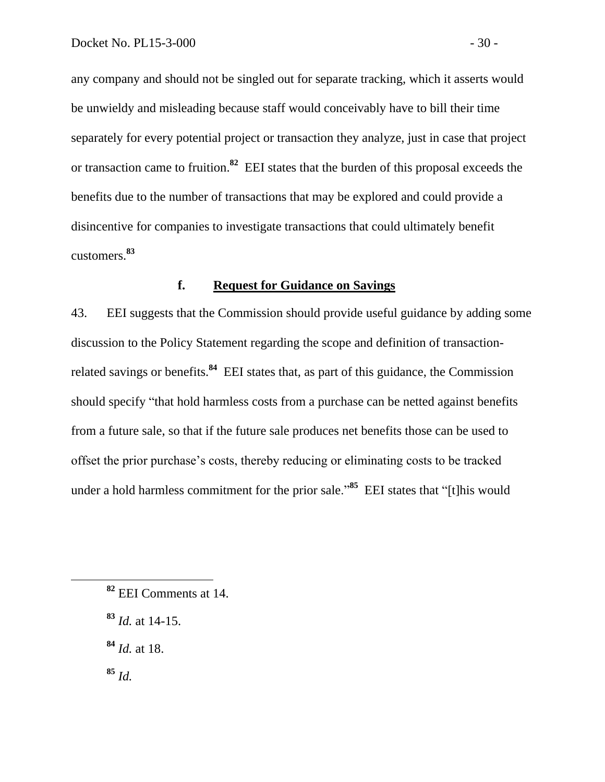any company and should not be singled out for separate tracking, which it asserts would be unwieldy and misleading because staff would conceivably have to bill their time separately for every potential project or transaction they analyze, just in case that project or transaction came to fruition.**<sup>82</sup>** EEI states that the burden of this proposal exceeds the benefits due to the number of transactions that may be explored and could provide a disincentive for companies to investigate transactions that could ultimately benefit customers.**<sup>83</sup>**

## **f. Request for Guidance on Savings**

43. EEI suggests that the Commission should provide useful guidance by adding some discussion to the Policy Statement regarding the scope and definition of transactionrelated savings or benefits.<sup>84</sup> EEI states that, as part of this guidance, the Commission should specify "that hold harmless costs from a purchase can be netted against benefits from a future sale, so that if the future sale produces net benefits those can be used to offset the prior purchase's costs, thereby reducing or eliminating costs to be tracked under a hold harmless commitment for the prior sale."**<sup>85</sup>** EEI states that "[t]his would

- **<sup>83</sup>** *Id.* at 14-15.
- **<sup>84</sup>** *Id.* at 18.

**<sup>85</sup>** *Id.*

 $\overline{a}$ 

**<sup>82</sup>** EEI Comments at 14.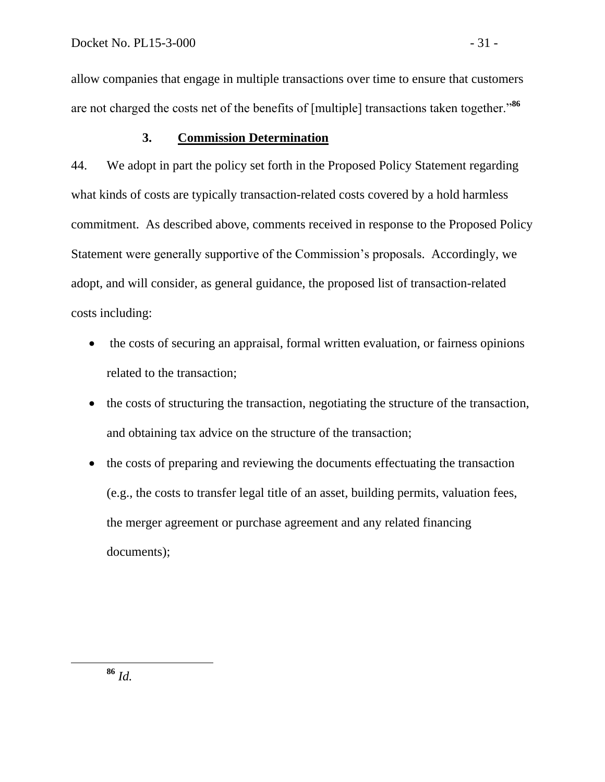allow companies that engage in multiple transactions over time to ensure that customers are not charged the costs net of the benefits of [multiple] transactions taken together."**<sup>86</sup>**

# **3. Commission Determination**

44. We adopt in part the policy set forth in the Proposed Policy Statement regarding what kinds of costs are typically transaction-related costs covered by a hold harmless commitment. As described above, comments received in response to the Proposed Policy Statement were generally supportive of the Commission's proposals. Accordingly, we adopt, and will consider, as general guidance, the proposed list of transaction-related costs including:

- the costs of securing an appraisal, formal written evaluation, or fairness opinions related to the transaction;
- the costs of structuring the transaction, negotiating the structure of the transaction, and obtaining tax advice on the structure of the transaction;
- the costs of preparing and reviewing the documents effectuating the transaction (e.g., the costs to transfer legal title of an asset, building permits, valuation fees, the merger agreement or purchase agreement and any related financing documents);

 $\overline{a}$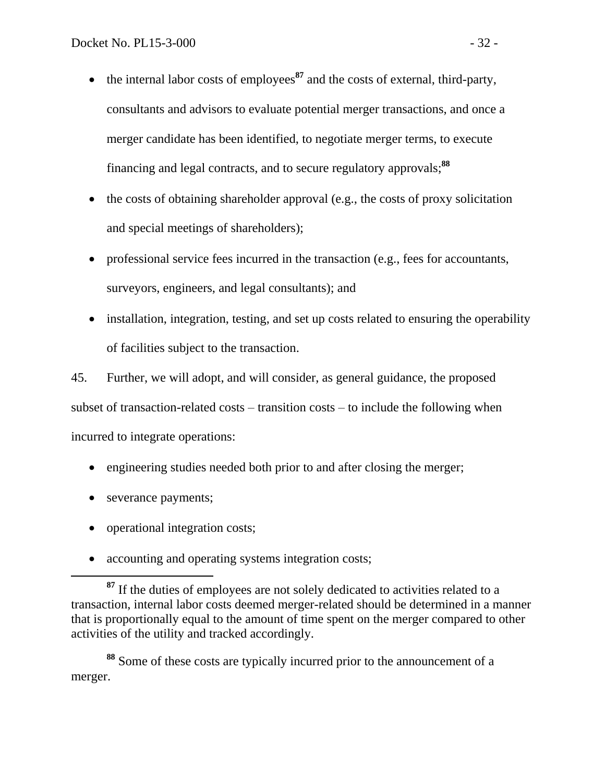- $\bullet$  the internal labor costs of employees<sup>87</sup> and the costs of external, third-party, consultants and advisors to evaluate potential merger transactions, and once a merger candidate has been identified, to negotiate merger terms, to execute financing and legal contracts, and to secure regulatory approvals;**<sup>88</sup>**
- the costs of obtaining shareholder approval (e.g., the costs of proxy solicitation and special meetings of shareholders);
- professional service fees incurred in the transaction (e.g., fees for accountants, surveyors, engineers, and legal consultants); and
- installation, integration, testing, and set up costs related to ensuring the operability of facilities subject to the transaction.

45. Further, we will adopt, and will consider, as general guidance, the proposed subset of transaction-related costs – transition costs – to include the following when incurred to integrate operations:

- engineering studies needed both prior to and after closing the merger;
- severance payments;

 $\overline{a}$ 

- operational integration costs;
- accounting and operating systems integration costs;

**<sup>88</sup>** Some of these costs are typically incurred prior to the announcement of a merger.

**<sup>87</sup>** If the duties of employees are not solely dedicated to activities related to a transaction, internal labor costs deemed merger-related should be determined in a manner that is proportionally equal to the amount of time spent on the merger compared to other activities of the utility and tracked accordingly.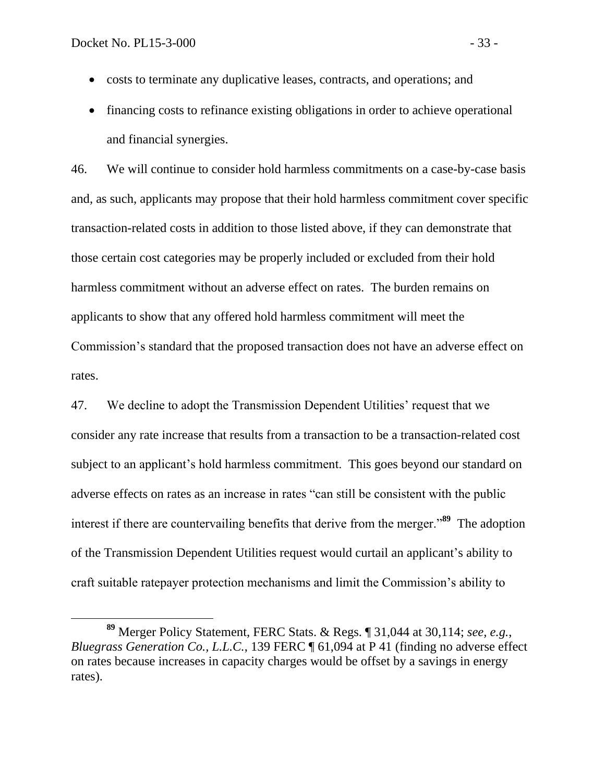- costs to terminate any duplicative leases, contracts, and operations; and
- financing costs to refinance existing obligations in order to achieve operational and financial synergies.

46. We will continue to consider hold harmless commitments on a case-by-case basis and, as such, applicants may propose that their hold harmless commitment cover specific transaction-related costs in addition to those listed above, if they can demonstrate that those certain cost categories may be properly included or excluded from their hold harmless commitment without an adverse effect on rates. The burden remains on applicants to show that any offered hold harmless commitment will meet the Commission's standard that the proposed transaction does not have an adverse effect on rates.

47. We decline to adopt the Transmission Dependent Utilities' request that we consider any rate increase that results from a transaction to be a transaction-related cost subject to an applicant's hold harmless commitment. This goes beyond our standard on adverse effects on rates as an increase in rates "can still be consistent with the public interest if there are countervailing benefits that derive from the merger."**<sup>89</sup>** The adoption of the Transmission Dependent Utilities request would curtail an applicant's ability to craft suitable ratepayer protection mechanisms and limit the Commission's ability to

**<sup>89</sup>** Merger Policy Statement, FERC Stats. & Regs. ¶ 31,044 at 30,114; *see, e.g.*, *Bluegrass Generation Co., L.L.C.,* 139 FERC ¶ 61,094 at P 41 (finding no adverse effect on rates because increases in capacity charges would be offset by a savings in energy rates).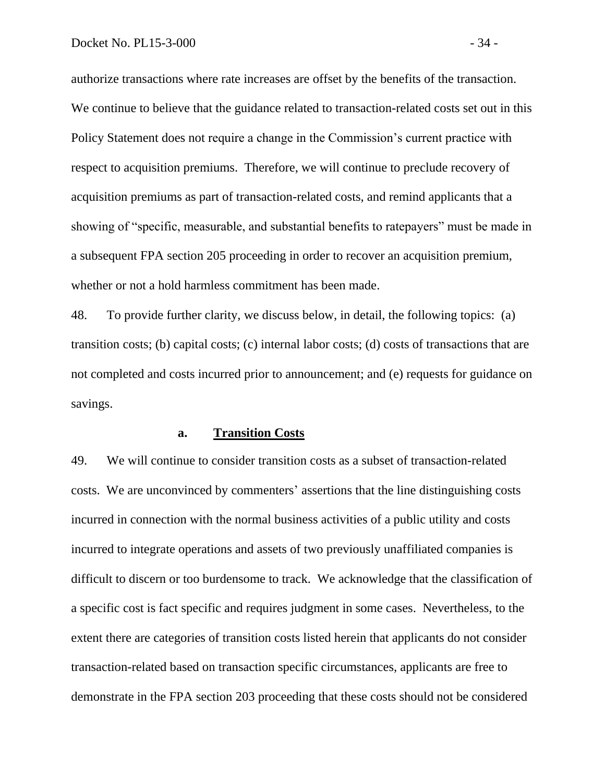authorize transactions where rate increases are offset by the benefits of the transaction. We continue to believe that the guidance related to transaction-related costs set out in this Policy Statement does not require a change in the Commission's current practice with respect to acquisition premiums. Therefore, we will continue to preclude recovery of acquisition premiums as part of transaction-related costs, and remind applicants that a showing of "specific, measurable, and substantial benefits to ratepayers" must be made in a subsequent FPA section 205 proceeding in order to recover an acquisition premium, whether or not a hold harmless commitment has been made.

48. To provide further clarity, we discuss below, in detail, the following topics: (a) transition costs; (b) capital costs; (c) internal labor costs; (d) costs of transactions that are not completed and costs incurred prior to announcement; and (e) requests for guidance on savings.

#### **a. Transition Costs**

49. We will continue to consider transition costs as a subset of transaction-related costs. We are unconvinced by commenters' assertions that the line distinguishing costs incurred in connection with the normal business activities of a public utility and costs incurred to integrate operations and assets of two previously unaffiliated companies is difficult to discern or too burdensome to track. We acknowledge that the classification of a specific cost is fact specific and requires judgment in some cases. Nevertheless, to the extent there are categories of transition costs listed herein that applicants do not consider transaction-related based on transaction specific circumstances, applicants are free to demonstrate in the FPA section 203 proceeding that these costs should not be considered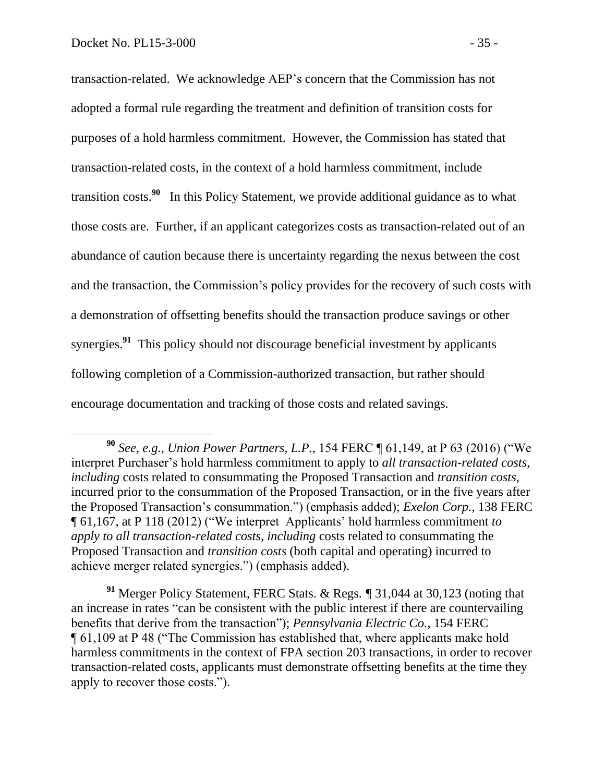transaction-related. We acknowledge AEP's concern that the Commission has not adopted a formal rule regarding the treatment and definition of transition costs for purposes of a hold harmless commitment. However, the Commission has stated that transaction-related costs, in the context of a hold harmless commitment, include transition costs.**<sup>90</sup>** In this Policy Statement, we provide additional guidance as to what those costs are. Further, if an applicant categorizes costs as transaction-related out of an abundance of caution because there is uncertainty regarding the nexus between the cost and the transaction, the Commission's policy provides for the recovery of such costs with a demonstration of offsetting benefits should the transaction produce savings or other synergies.<sup>91</sup> This policy should not discourage beneficial investment by applicants following completion of a Commission-authorized transaction, but rather should encourage documentation and tracking of those costs and related savings.

**<sup>90</sup>** *See, e.g.*, *Union Power Partners, L.P.*, 154 FERC ¶ 61,149, at P 63 (2016) ("We interpret Purchaser's hold harmless commitment to apply to *all transaction-related costs, including* costs related to consummating the Proposed Transaction and *transition costs*, incurred prior to the consummation of the Proposed Transaction, or in the five years after the Proposed Transaction's consummation.") (emphasis added); *Exelon Corp.*, 138 FERC ¶ 61,167, at P 118 (2012) ("We interpret Applicants' hold harmless commitment *to apply to all transaction-related costs, including* costs related to consummating the Proposed Transaction and *transition costs* (both capital and operating) incurred to achieve merger related synergies.") (emphasis added).

**<sup>91</sup>** Merger Policy Statement, FERC Stats. & Regs. *¶* 31,044 at 30,123 (noting that an increase in rates "can be consistent with the public interest if there are countervailing benefits that derive from the transaction"); *Pennsylvania Electric Co.*, 154 FERC ¶ 61,109 at P 48 ("The Commission has established that, where applicants make hold harmless commitments in the context of FPA section 203 transactions, in order to recover transaction-related costs, applicants must demonstrate offsetting benefits at the time they apply to recover those costs.").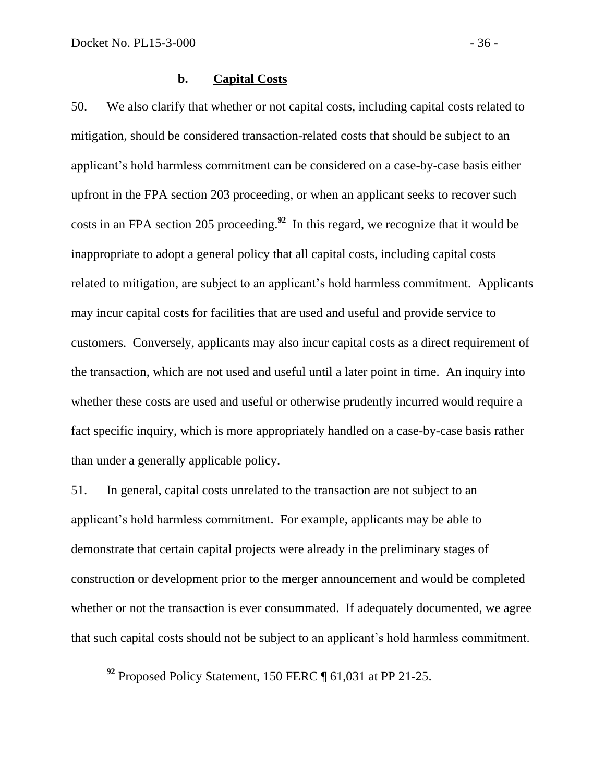50. We also clarify that whether or not capital costs, including capital costs related to mitigation, should be considered transaction-related costs that should be subject to an applicant's hold harmless commitment can be considered on a case-by-case basis either upfront in the FPA section 203 proceeding, or when an applicant seeks to recover such costs in an FPA section 205 proceeding. **92** In this regard, we recognize that it would be inappropriate to adopt a general policy that all capital costs, including capital costs related to mitigation, are subject to an applicant's hold harmless commitment. Applicants may incur capital costs for facilities that are used and useful and provide service to customers. Conversely, applicants may also incur capital costs as a direct requirement of the transaction, which are not used and useful until a later point in time. An inquiry into whether these costs are used and useful or otherwise prudently incurred would require a fact specific inquiry, which is more appropriately handled on a case-by-case basis rather than under a generally applicable policy.

51. In general, capital costs unrelated to the transaction are not subject to an applicant's hold harmless commitment. For example, applicants may be able to demonstrate that certain capital projects were already in the preliminary stages of construction or development prior to the merger announcement and would be completed whether or not the transaction is ever consummated. If adequately documented, we agree that such capital costs should not be subject to an applicant's hold harmless commitment.

**<sup>92</sup>** Proposed Policy Statement, 150 FERC ¶ 61,031 at PP 21-25.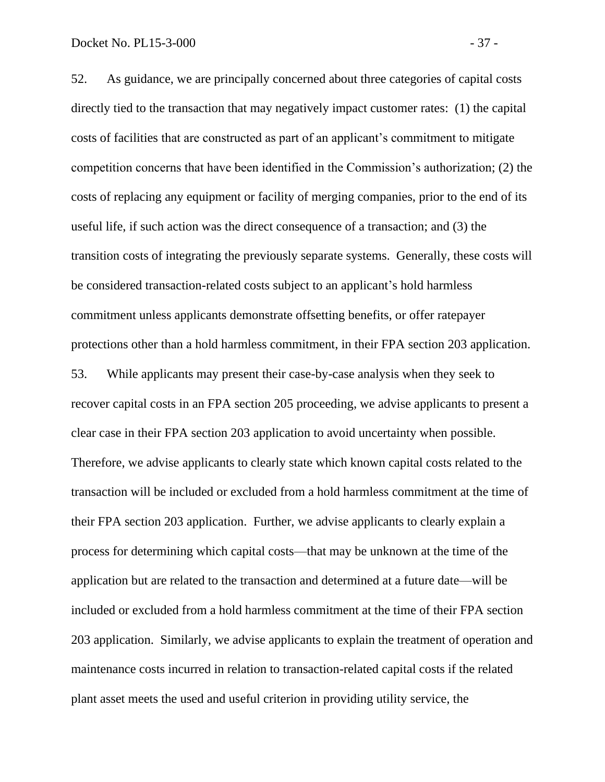52. As guidance, we are principally concerned about three categories of capital costs directly tied to the transaction that may negatively impact customer rates: (1) the capital costs of facilities that are constructed as part of an applicant's commitment to mitigate competition concerns that have been identified in the Commission's authorization; (2) the costs of replacing any equipment or facility of merging companies, prior to the end of its useful life, if such action was the direct consequence of a transaction; and (3) the transition costs of integrating the previously separate systems. Generally, these costs will be considered transaction-related costs subject to an applicant's hold harmless commitment unless applicants demonstrate offsetting benefits, or offer ratepayer protections other than a hold harmless commitment, in their FPA section 203 application. 53. While applicants may present their case-by-case analysis when they seek to recover capital costs in an FPA section 205 proceeding, we advise applicants to present a clear case in their FPA section 203 application to avoid uncertainty when possible. Therefore, we advise applicants to clearly state which known capital costs related to the transaction will be included or excluded from a hold harmless commitment at the time of their FPA section 203 application. Further, we advise applicants to clearly explain a

process for determining which capital costs—that may be unknown at the time of the application but are related to the transaction and determined at a future date—will be included or excluded from a hold harmless commitment at the time of their FPA section 203 application. Similarly, we advise applicants to explain the treatment of operation and maintenance costs incurred in relation to transaction-related capital costs if the related plant asset meets the used and useful criterion in providing utility service, the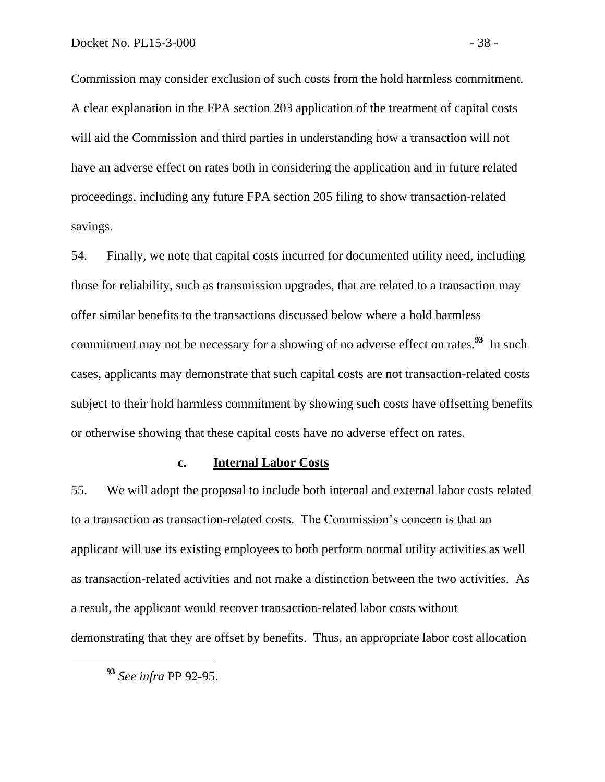Commission may consider exclusion of such costs from the hold harmless commitment. A clear explanation in the FPA section 203 application of the treatment of capital costs will aid the Commission and third parties in understanding how a transaction will not have an adverse effect on rates both in considering the application and in future related proceedings, including any future FPA section 205 filing to show transaction-related savings.

54. Finally, we note that capital costs incurred for documented utility need, including those for reliability, such as transmission upgrades, that are related to a transaction may offer similar benefits to the transactions discussed below where a hold harmless commitment may not be necessary for a showing of no adverse effect on rates.<sup>93</sup> In such cases, applicants may demonstrate that such capital costs are not transaction-related costs subject to their hold harmless commitment by showing such costs have offsetting benefits or otherwise showing that these capital costs have no adverse effect on rates.

### **c. Internal Labor Costs**

55. We will adopt the proposal to include both internal and external labor costs related to a transaction as transaction-related costs. The Commission's concern is that an applicant will use its existing employees to both perform normal utility activities as well as transaction-related activities and not make a distinction between the two activities. As a result, the applicant would recover transaction-related labor costs without demonstrating that they are offset by benefits. Thus, an appropriate labor cost allocation

 $\overline{a}$ 

**<sup>93</sup>** *See infra* PP 92-95.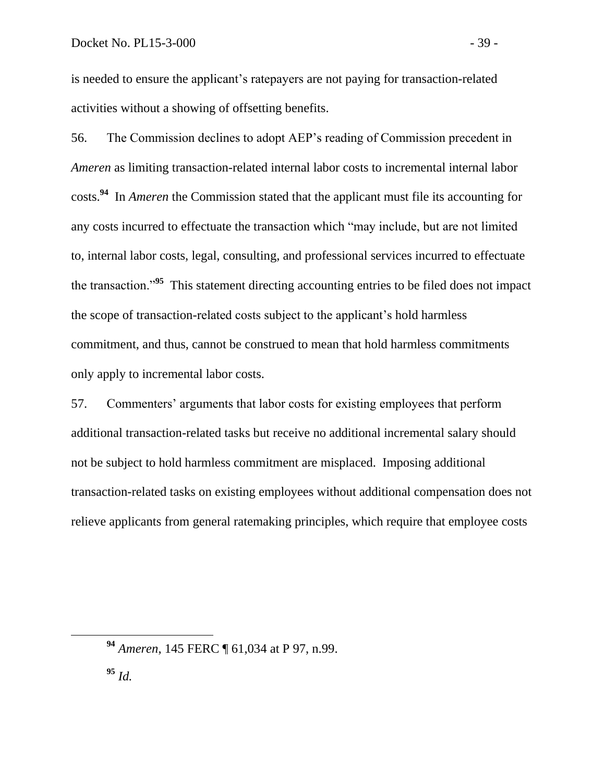is needed to ensure the applicant's ratepayers are not paying for transaction-related activities without a showing of offsetting benefits.

56. The Commission declines to adopt AEP's reading of Commission precedent in *Ameren* as limiting transaction-related internal labor costs to incremental internal labor costs. **94** In *Ameren* the Commission stated that the applicant must file its accounting for any costs incurred to effectuate the transaction which "may include, but are not limited to, internal labor costs, legal, consulting, and professional services incurred to effectuate the transaction."**<sup>95</sup>** This statement directing accounting entries to be filed does not impact the scope of transaction-related costs subject to the applicant's hold harmless commitment, and thus, cannot be construed to mean that hold harmless commitments only apply to incremental labor costs.

57. Commenters' arguments that labor costs for existing employees that perform additional transaction-related tasks but receive no additional incremental salary should not be subject to hold harmless commitment are misplaced. Imposing additional transaction-related tasks on existing employees without additional compensation does not relieve applicants from general ratemaking principles, which require that employee costs

**<sup>94</sup>** *Ameren*, 145 FERC ¶ 61,034 at P 97, n.99.

**<sup>95</sup>** *Id.*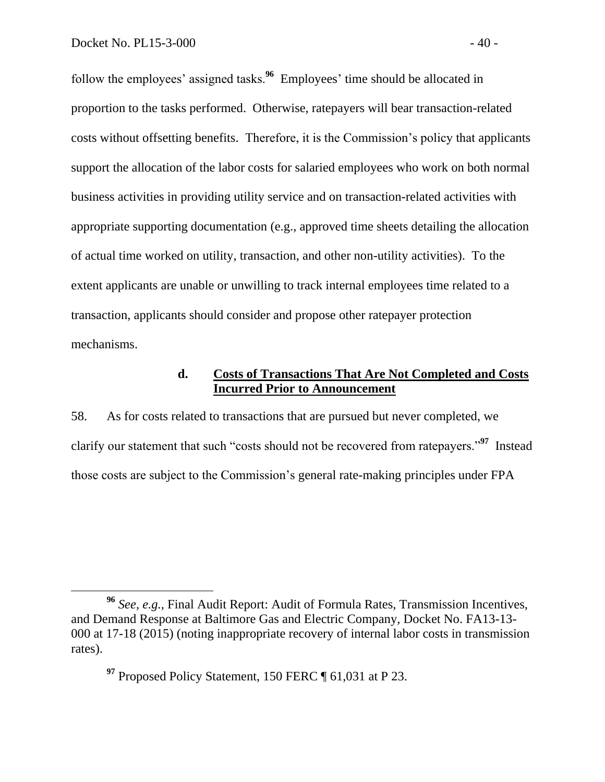follow the employees' assigned tasks.**<sup>96</sup>** Employees' time should be allocated in proportion to the tasks performed. Otherwise, ratepayers will bear transaction-related costs without offsetting benefits. Therefore, it is the Commission's policy that applicants support the allocation of the labor costs for salaried employees who work on both normal business activities in providing utility service and on transaction-related activities with appropriate supporting documentation (e.g., approved time sheets detailing the allocation of actual time worked on utility, transaction, and other non-utility activities). To the extent applicants are unable or unwilling to track internal employees time related to a transaction, applicants should consider and propose other ratepayer protection mechanisms.

## **d. Costs of Transactions That Are Not Completed and Costs Incurred Prior to Announcement**

58. As for costs related to transactions that are pursued but never completed, we clarify our statement that such "costs should not be recovered from ratepayers."**<sup>97</sup>** Instead those costs are subject to the Commission's general rate-making principles under FPA

**<sup>97</sup>** Proposed Policy Statement, 150 FERC ¶ 61,031 at P 23.

**<sup>96</sup>** *See, e.g.,* Final Audit Report: Audit of Formula Rates, Transmission Incentives, and Demand Response at Baltimore Gas and Electric Company, Docket No. FA13-13- 000 at 17-18 (2015) (noting inappropriate recovery of internal labor costs in transmission rates).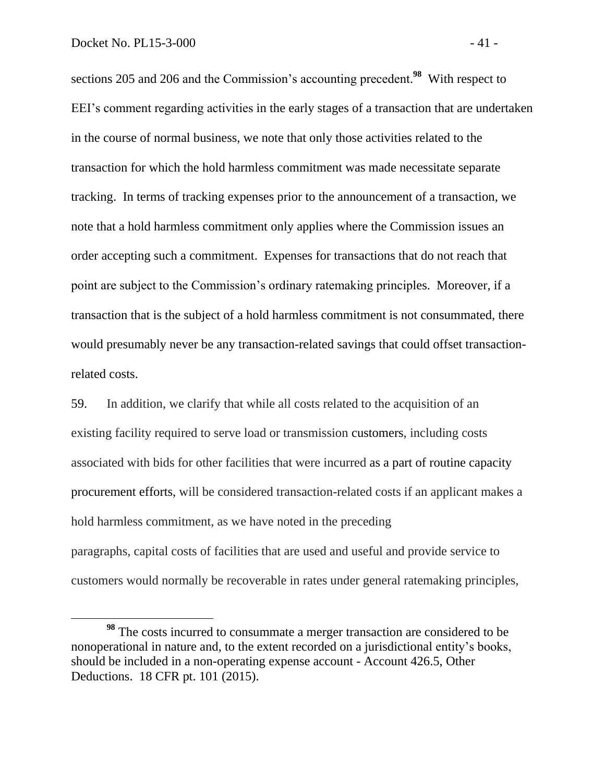sections 205 and 206 and the Commission's accounting precedent. **98** With respect to EEI's comment regarding activities in the early stages of a transaction that are undertaken in the course of normal business, we note that only those activities related to the transaction for which the hold harmless commitment was made necessitate separate tracking. In terms of tracking expenses prior to the announcement of a transaction, we note that a hold harmless commitment only applies where the Commission issues an order accepting such a commitment. Expenses for transactions that do not reach that point are subject to the Commission's ordinary ratemaking principles. Moreover, if a transaction that is the subject of a hold harmless commitment is not consummated, there would presumably never be any transaction-related savings that could offset transactionrelated costs.

59. In addition, we clarify that while all costs related to the acquisition of an existing facility required to serve load or transmission customers, including costs associated with bids for other facilities that were incurred as a part of routine capacity procurement efforts, will be considered transaction-related costs if an applicant makes a hold harmless commitment, as we have noted in the preceding paragraphs, capital costs of facilities that are used and useful and provide service to customers would normally be recoverable in rates under general ratemaking principles,

**<sup>98</sup>** The costs incurred to consummate a merger transaction are considered to be nonoperational in nature and, to the extent recorded on a jurisdictional entity's books, should be included in a non-operating expense account - Account 426.5, Other Deductions. 18 CFR pt. 101 (2015).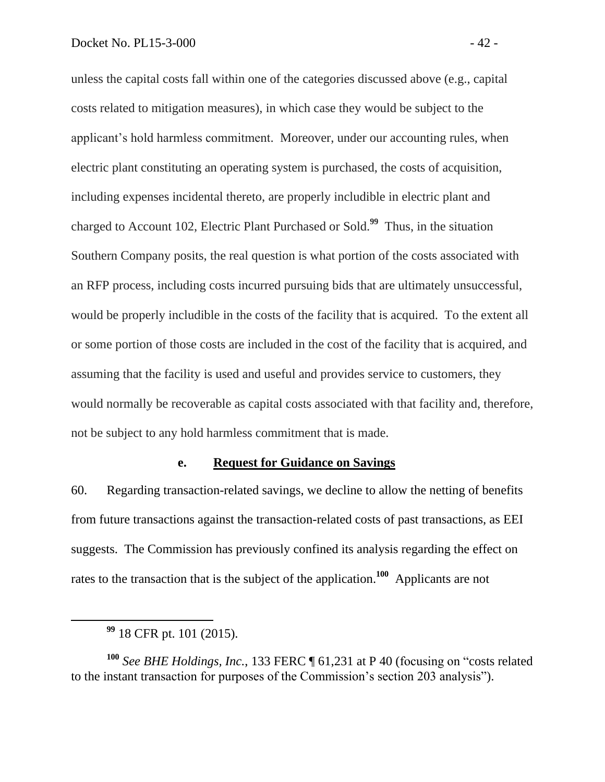unless the capital costs fall within one of the categories discussed above (e.g., capital costs related to mitigation measures), in which case they would be subject to the applicant's hold harmless commitment. Moreover, under our accounting rules, when electric plant constituting an operating system is purchased, the costs of acquisition, including expenses incidental thereto, are properly includible in electric plant and charged to Account 102, Electric Plant Purchased or Sold.**<sup>99</sup>** Thus, in the situation Southern Company posits, the real question is what portion of the costs associated with an RFP process, including costs incurred pursuing bids that are ultimately unsuccessful, would be properly includible in the costs of the facility that is acquired. To the extent all or some portion of those costs are included in the cost of the facility that is acquired, and assuming that the facility is used and useful and provides service to customers, they would normally be recoverable as capital costs associated with that facility and, therefore, not be subject to any hold harmless commitment that is made.

# **e. Request for Guidance on Savings**

60. Regarding transaction-related savings, we decline to allow the netting of benefits from future transactions against the transaction-related costs of past transactions, as EEI suggests. The Commission has previously confined its analysis regarding the effect on rates to the transaction that is the subject of the application.**<sup>100</sup>** Applicants are not

**<sup>99</sup>** 18 CFR pt. 101 (2015).

**<sup>100</sup>** *See BHE Holdings, Inc.*, 133 FERC ¶ 61,231 at P 40 (focusing on "costs related to the instant transaction for purposes of the Commission's section 203 analysis").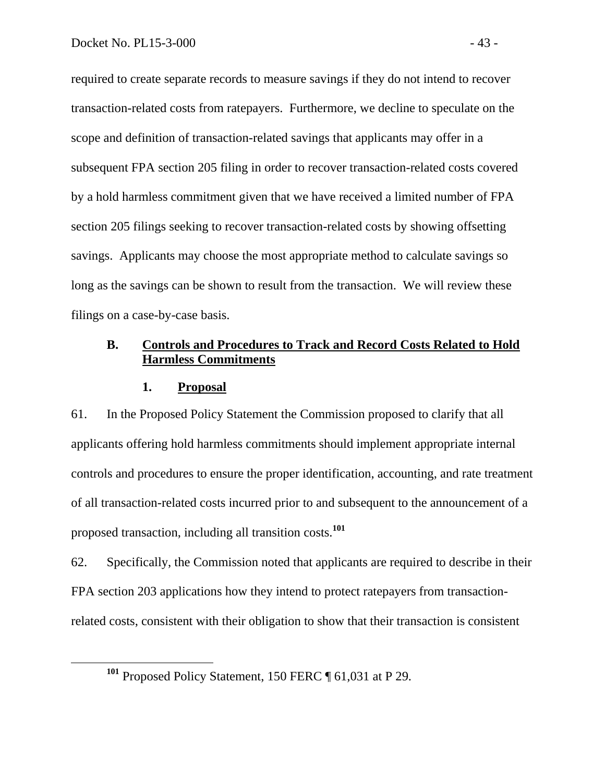required to create separate records to measure savings if they do not intend to recover transaction-related costs from ratepayers. Furthermore, we decline to speculate on the scope and definition of transaction-related savings that applicants may offer in a subsequent FPA section 205 filing in order to recover transaction-related costs covered by a hold harmless commitment given that we have received a limited number of FPA section 205 filings seeking to recover transaction-related costs by showing offsetting savings. Applicants may choose the most appropriate method to calculate savings so long as the savings can be shown to result from the transaction. We will review these filings on a case-by-case basis.

# **B. Controls and Procedures to Track and Record Costs Related to Hold Harmless Commitments**

### **1. Proposal**

 $\overline{a}$ 

61. In the Proposed Policy Statement the Commission proposed to clarify that all applicants offering hold harmless commitments should implement appropriate internal controls and procedures to ensure the proper identification, accounting, and rate treatment of all transaction-related costs incurred prior to and subsequent to the announcement of a proposed transaction, including all transition costs.**<sup>101</sup>**

62. Specifically, the Commission noted that applicants are required to describe in their FPA section 203 applications how they intend to protect ratepayers from transactionrelated costs, consistent with their obligation to show that their transaction is consistent

**<sup>101</sup>** Proposed Policy Statement, 150 FERC ¶ 61,031 at P 29.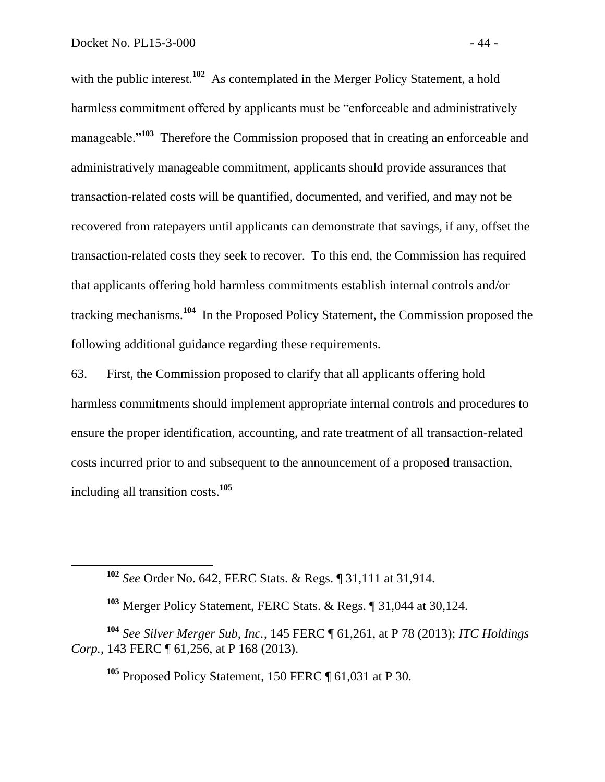with the public interest.<sup>102</sup> As contemplated in the Merger Policy Statement, a hold harmless commitment offered by applicants must be "enforceable and administratively manageable.<sup>"103</sup> Therefore the Commission proposed that in creating an enforceable and administratively manageable commitment, applicants should provide assurances that transaction-related costs will be quantified, documented, and verified, and may not be recovered from ratepayers until applicants can demonstrate that savings, if any, offset the transaction-related costs they seek to recover. To this end, the Commission has required that applicants offering hold harmless commitments establish internal controls and/or tracking mechanisms.**<sup>104</sup>** In the Proposed Policy Statement, the Commission proposed the following additional guidance regarding these requirements.

63. First, the Commission proposed to clarify that all applicants offering hold harmless commitments should implement appropriate internal controls and procedures to ensure the proper identification, accounting, and rate treatment of all transaction-related costs incurred prior to and subsequent to the announcement of a proposed transaction, including all transition costs.**<sup>105</sup>**

**<sup>102</sup>** *See* Order No. 642, FERC Stats. & Regs. ¶ 31,111 at 31,914.

**<sup>103</sup>** Merger Policy Statement, FERC Stats. & Regs. ¶ 31,044 at 30,124.

**<sup>104</sup>** *See Silver Merger Sub, Inc.,* 145 FERC ¶ 61,261, at P 78 (2013); *ITC Holdings Corp.*, 143 FERC **[61,256, at P 168 (2013).** 

**<sup>105</sup>** Proposed Policy Statement, 150 FERC ¶ 61,031 at P 30.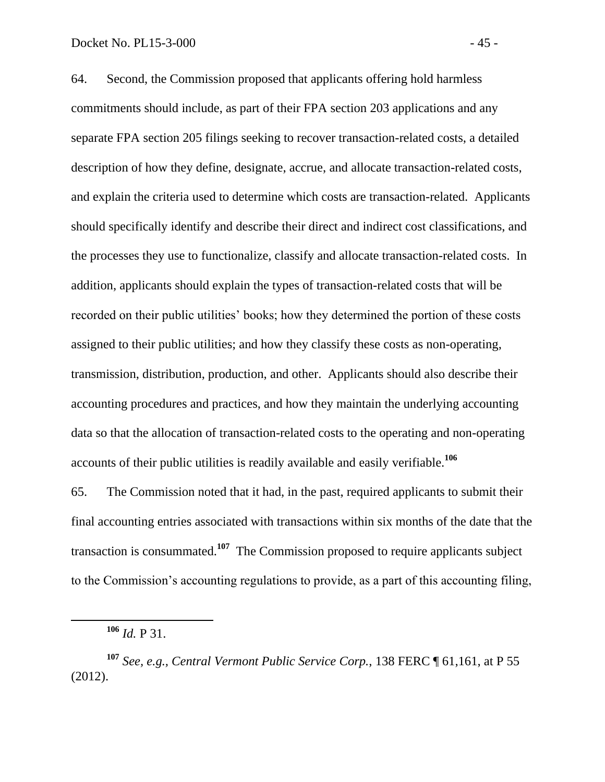64. Second, the Commission proposed that applicants offering hold harmless commitments should include, as part of their FPA section 203 applications and any separate FPA section 205 filings seeking to recover transaction-related costs, a detailed description of how they define, designate, accrue, and allocate transaction-related costs, and explain the criteria used to determine which costs are transaction-related. Applicants should specifically identify and describe their direct and indirect cost classifications, and the processes they use to functionalize, classify and allocate transaction-related costs. In addition, applicants should explain the types of transaction-related costs that will be recorded on their public utilities' books; how they determined the portion of these costs assigned to their public utilities; and how they classify these costs as non-operating, transmission, distribution, production, and other. Applicants should also describe their accounting procedures and practices, and how they maintain the underlying accounting data so that the allocation of transaction-related costs to the operating and non-operating accounts of their public utilities is readily available and easily verifiable.**<sup>106</sup>**

65. The Commission noted that it had, in the past, required applicants to submit their final accounting entries associated with transactions within six months of the date that the transaction is consummated.**<sup>107</sup>** The Commission proposed to require applicants subject to the Commission's accounting regulations to provide, as a part of this accounting filing,

**<sup>106</sup>** *Id.* P 31.

**<sup>107</sup>** *See, e.g., Central Vermont Public Service Corp.*, 138 FERC ¶ 61,161, at P 55 (2012).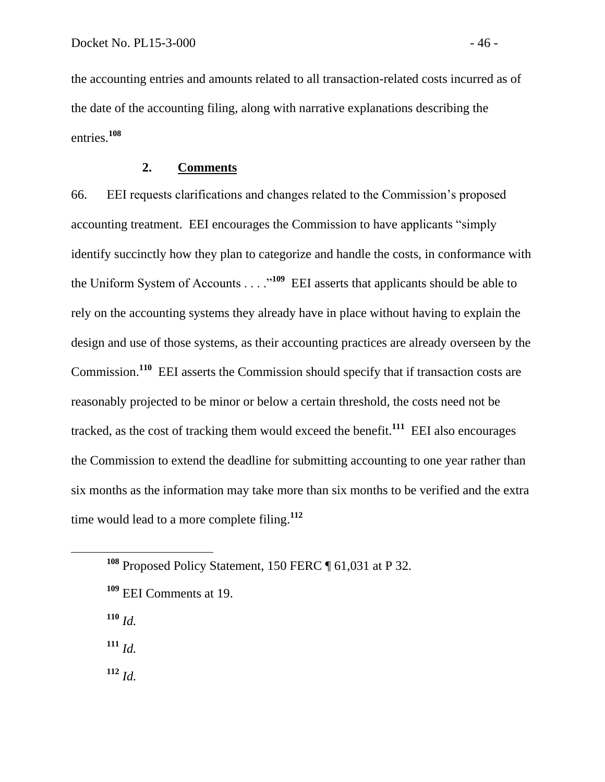the accounting entries and amounts related to all transaction-related costs incurred as of the date of the accounting filing, along with narrative explanations describing the entries.**<sup>108</sup>**

## **2. Comments**

66. EEI requests clarifications and changes related to the Commission's proposed accounting treatment. EEI encourages the Commission to have applicants "simply identify succinctly how they plan to categorize and handle the costs, in conformance with the Uniform System of Accounts . . . .<sup>109</sup> EEI asserts that applicants should be able to rely on the accounting systems they already have in place without having to explain the design and use of those systems, as their accounting practices are already overseen by the Commission.<sup>110</sup> EEI asserts the Commission should specify that if transaction costs are reasonably projected to be minor or below a certain threshold, the costs need not be tracked, as the cost of tracking them would exceed the benefit.**<sup>111</sup>** EEI also encourages the Commission to extend the deadline for submitting accounting to one year rather than six months as the information may take more than six months to be verified and the extra time would lead to a more complete filing.**<sup>112</sup>**

**<sup>110</sup>** *Id.*

 $\overline{a}$ 

**<sup>111</sup>** *Id.*

**<sup>112</sup>** *Id.*

**<sup>108</sup>** Proposed Policy Statement, 150 FERC ¶ 61,031 at P 32.

**<sup>109</sup>** EEI Comments at 19.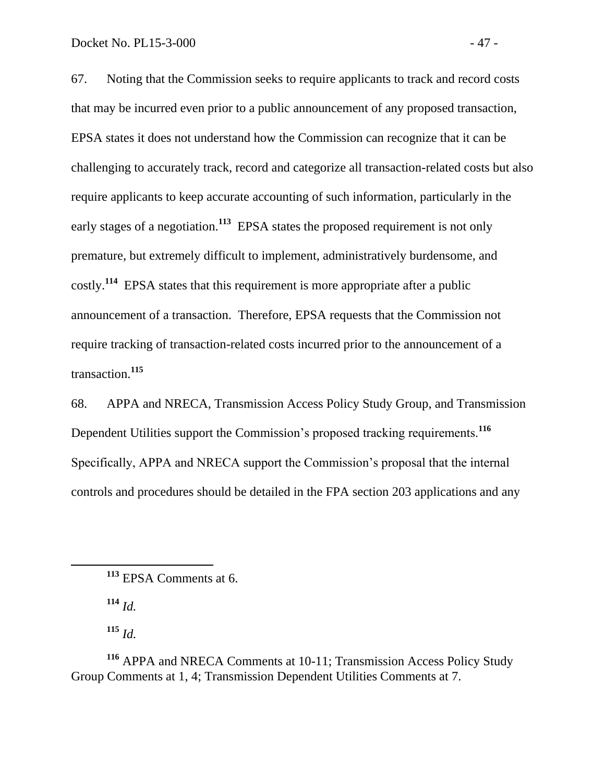67. Noting that the Commission seeks to require applicants to track and record costs that may be incurred even prior to a public announcement of any proposed transaction, EPSA states it does not understand how the Commission can recognize that it can be challenging to accurately track, record and categorize all transaction-related costs but also require applicants to keep accurate accounting of such information, particularly in the early stages of a negotiation.<sup>113</sup> EPSA states the proposed requirement is not only premature, but extremely difficult to implement, administratively burdensome, and costly.**<sup>114</sup>** EPSA states that this requirement is more appropriate after a public announcement of a transaction. Therefore, EPSA requests that the Commission not require tracking of transaction-related costs incurred prior to the announcement of a transaction.**<sup>115</sup>**

68. APPA and NRECA, Transmission Access Policy Study Group, and Transmission Dependent Utilities support the Commission's proposed tracking requirements.**<sup>116</sup>** Specifically, APPA and NRECA support the Commission's proposal that the internal controls and procedures should be detailed in the FPA section 203 applications and any

**<sup>114</sup>** *Id.*

**<sup>115</sup>** *Id.*

**<sup>113</sup>** EPSA Comments at 6.

**<sup>116</sup>** APPA and NRECA Comments at 10-11; Transmission Access Policy Study Group Comments at 1, 4; Transmission Dependent Utilities Comments at 7.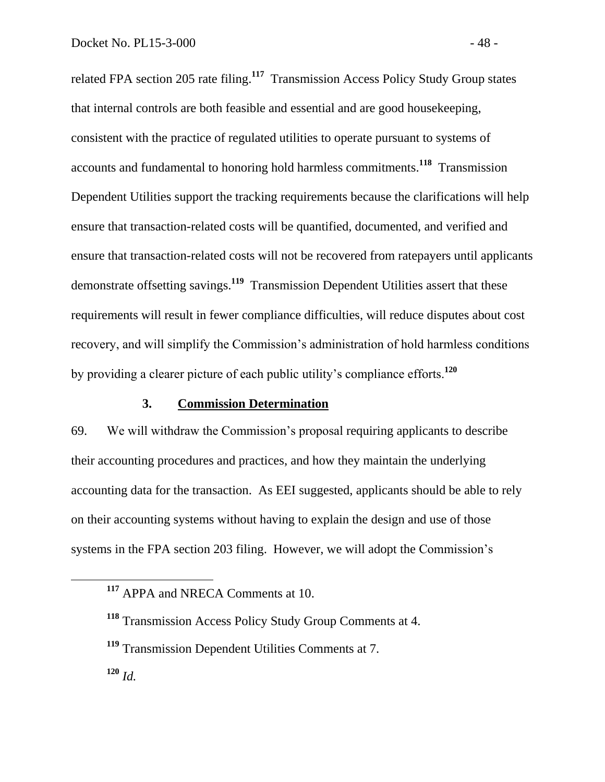related FPA section 205 rate filing.**<sup>117</sup>** Transmission Access Policy Study Group states that internal controls are both feasible and essential and are good housekeeping, consistent with the practice of regulated utilities to operate pursuant to systems of accounts and fundamental to honoring hold harmless commitments.**<sup>118</sup>** Transmission Dependent Utilities support the tracking requirements because the clarifications will help ensure that transaction-related costs will be quantified, documented, and verified and ensure that transaction-related costs will not be recovered from ratepayers until applicants demonstrate offsetting savings.**<sup>119</sup>** Transmission Dependent Utilities assert that these requirements will result in fewer compliance difficulties, will reduce disputes about cost recovery, and will simplify the Commission's administration of hold harmless conditions by providing a clearer picture of each public utility's compliance efforts.**<sup>120</sup>**

## **3. Commission Determination**

69. We will withdraw the Commission's proposal requiring applicants to describe their accounting procedures and practices, and how they maintain the underlying accounting data for the transaction. As EEI suggested, applicants should be able to rely on their accounting systems without having to explain the design and use of those systems in the FPA section 203 filing. However, we will adopt the Commission's

 $\overline{a}$ 

**<sup>117</sup>** APPA and NRECA Comments at 10.

**<sup>118</sup>** Transmission Access Policy Study Group Comments at 4.

**<sup>119</sup>** Transmission Dependent Utilities Comments at 7.

**<sup>120</sup>** *Id.*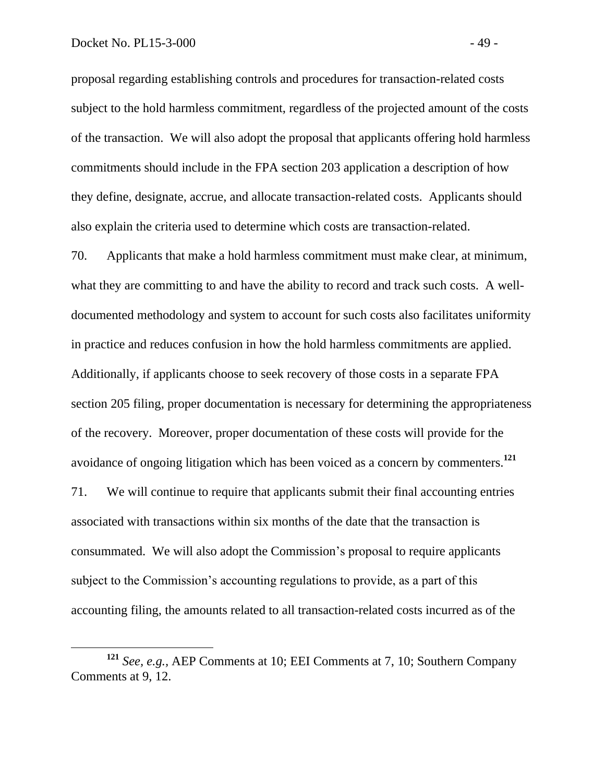proposal regarding establishing controls and procedures for transaction-related costs subject to the hold harmless commitment, regardless of the projected amount of the costs of the transaction. We will also adopt the proposal that applicants offering hold harmless commitments should include in the FPA section 203 application a description of how they define, designate, accrue, and allocate transaction-related costs. Applicants should also explain the criteria used to determine which costs are transaction-related.

70. Applicants that make a hold harmless commitment must make clear, at minimum, what they are committing to and have the ability to record and track such costs. A welldocumented methodology and system to account for such costs also facilitates uniformity in practice and reduces confusion in how the hold harmless commitments are applied. Additionally, if applicants choose to seek recovery of those costs in a separate FPA section 205 filing, proper documentation is necessary for determining the appropriateness of the recovery. Moreover, proper documentation of these costs will provide for the avoidance of ongoing litigation which has been voiced as a concern by commenters.**<sup>121</sup>**

71. We will continue to require that applicants submit their final accounting entries associated with transactions within six months of the date that the transaction is consummated. We will also adopt the Commission's proposal to require applicants subject to the Commission's accounting regulations to provide, as a part of this accounting filing, the amounts related to all transaction-related costs incurred as of the

**<sup>121</sup>** *See, e.g.,* AEP Comments at 10; EEI Comments at 7, 10; Southern Company Comments at 9, 12.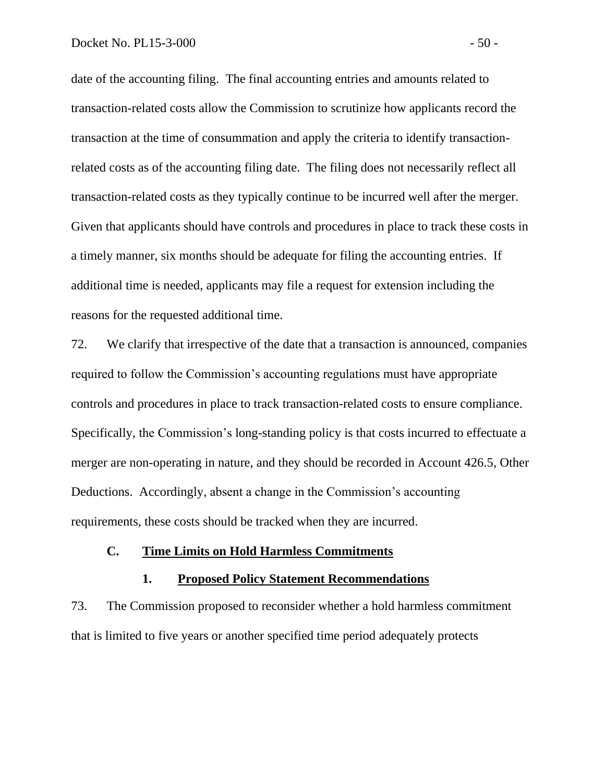date of the accounting filing. The final accounting entries and amounts related to transaction-related costs allow the Commission to scrutinize how applicants record the transaction at the time of consummation and apply the criteria to identify transactionrelated costs as of the accounting filing date. The filing does not necessarily reflect all transaction-related costs as they typically continue to be incurred well after the merger. Given that applicants should have controls and procedures in place to track these costs in a timely manner, six months should be adequate for filing the accounting entries. If additional time is needed, applicants may file a request for extension including the reasons for the requested additional time.

72. We clarify that irrespective of the date that a transaction is announced, companies required to follow the Commission's accounting regulations must have appropriate controls and procedures in place to track transaction-related costs to ensure compliance. Specifically, the Commission's long-standing policy is that costs incurred to effectuate a merger are non-operating in nature, and they should be recorded in Account 426.5, Other Deductions. Accordingly, absent a change in the Commission's accounting requirements, these costs should be tracked when they are incurred.

## **C. Time Limits on Hold Harmless Commitments**

#### **1. Proposed Policy Statement Recommendations**

73. The Commission proposed to reconsider whether a hold harmless commitment that is limited to five years or another specified time period adequately protects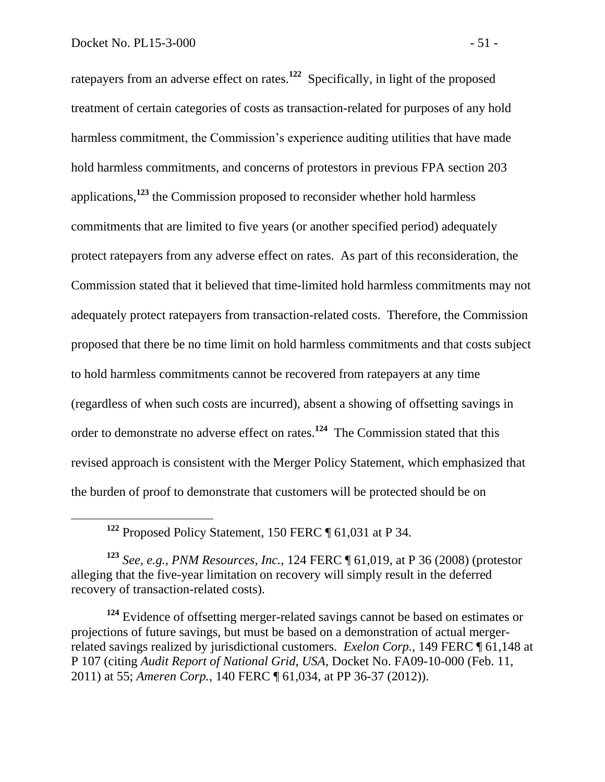ratepayers from an adverse effect on rates.**<sup>122</sup>** Specifically, in light of the proposed treatment of certain categories of costs as transaction-related for purposes of any hold harmless commitment, the Commission's experience auditing utilities that have made hold harmless commitments, and concerns of protestors in previous FPA section 203 applications,**<sup>123</sup>** the Commission proposed to reconsider whether hold harmless commitments that are limited to five years (or another specified period) adequately protect ratepayers from any adverse effect on rates. As part of this reconsideration, the Commission stated that it believed that time-limited hold harmless commitments may not adequately protect ratepayers from transaction-related costs. Therefore, the Commission proposed that there be no time limit on hold harmless commitments and that costs subject to hold harmless commitments cannot be recovered from ratepayers at any time (regardless of when such costs are incurred), absent a showing of offsetting savings in order to demonstrate no adverse effect on rates.**<sup>124</sup>** The Commission stated that this revised approach is consistent with the Merger Policy Statement, which emphasized that the burden of proof to demonstrate that customers will be protected should be on

**<sup>122</sup>** Proposed Policy Statement, 150 FERC ¶ 61,031 at P 34.

**<sup>123</sup>** *See, e.g., PNM Resources, Inc.*, 124 FERC ¶ 61,019, at P 36 (2008) (protestor alleging that the five-year limitation on recovery will simply result in the deferred recovery of transaction-related costs).

**<sup>124</sup>** Evidence of offsetting merger-related savings cannot be based on estimates or projections of future savings, but must be based on a demonstration of actual mergerrelated savings realized by jurisdictional customers. *Exelon Corp.*, 149 FERC ¶ 61,148 at P 107 (citing *Audit Report of National Grid, USA*, Docket No. FA09-10-000 (Feb. 11, 2011) at 55; *Ameren Corp.*, 140 FERC ¶ 61,034, at PP 36-37 (2012)).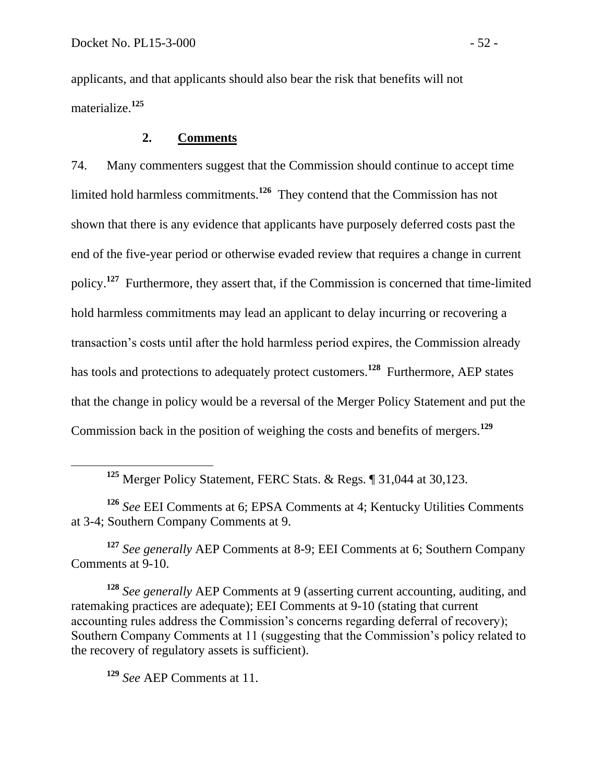applicants, and that applicants should also bear the risk that benefits will not materialize.**<sup>125</sup>**

# **2. Comments**

74. Many commenters suggest that the Commission should continue to accept time limited hold harmless commitments.**<sup>126</sup>** They contend that the Commission has not shown that there is any evidence that applicants have purposely deferred costs past the end of the five-year period or otherwise evaded review that requires a change in current policy.**<sup>127</sup>** Furthermore, they assert that, if the Commission is concerned that time-limited hold harmless commitments may lead an applicant to delay incurring or recovering a transaction's costs until after the hold harmless period expires, the Commission already has tools and protections to adequately protect customers.**<sup>128</sup>** Furthermore, AEP states that the change in policy would be a reversal of the Merger Policy Statement and put the Commission back in the position of weighing the costs and benefits of mergers.**<sup>129</sup>**

**<sup>125</sup>** Merger Policy Statement, FERC Stats. & Regs. ¶ 31,044 at 30,123.

**<sup>126</sup>** *See* EEI Comments at 6; EPSA Comments at 4; Kentucky Utilities Comments at 3-4; Southern Company Comments at 9.

**<sup>127</sup>** *See generally* AEP Comments at 8-9; EEI Comments at 6; Southern Company Comments at 9-10.

**<sup>128</sup>** *See generally* AEP Comments at 9 (asserting current accounting, auditing, and ratemaking practices are adequate); EEI Comments at 9-10 (stating that current accounting rules address the Commission's concerns regarding deferral of recovery); Southern Company Comments at 11 (suggesting that the Commission's policy related to the recovery of regulatory assets is sufficient).

**<sup>129</sup>** *See* AEP Comments at 11.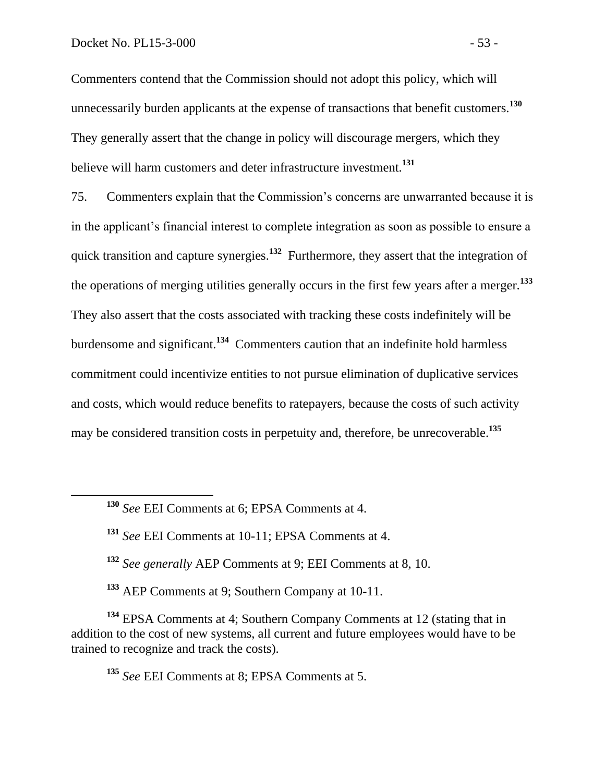Commenters contend that the Commission should not adopt this policy, which will unnecessarily burden applicants at the expense of transactions that benefit customers.**<sup>130</sup>** They generally assert that the change in policy will discourage mergers, which they believe will harm customers and deter infrastructure investment. **131**

75. Commenters explain that the Commission's concerns are unwarranted because it is in the applicant's financial interest to complete integration as soon as possible to ensure a quick transition and capture synergies.**<sup>132</sup>** Furthermore, they assert that the integration of the operations of merging utilities generally occurs in the first few years after a merger.**<sup>133</sup>** They also assert that the costs associated with tracking these costs indefinitely will be burdensome and significant.**<sup>134</sup>** Commenters caution that an indefinite hold harmless commitment could incentivize entities to not pursue elimination of duplicative services and costs, which would reduce benefits to ratepayers, because the costs of such activity may be considered transition costs in perpetuity and, therefore, be unrecoverable.**<sup>135</sup>**

- **<sup>132</sup>** *See generally* AEP Comments at 9; EEI Comments at 8, 10.
- **<sup>133</sup>** AEP Comments at 9; Southern Company at 10-11.

**<sup>134</sup>** EPSA Comments at 4; Southern Company Comments at 12 (stating that in addition to the cost of new systems, all current and future employees would have to be trained to recognize and track the costs).

**<sup>135</sup>** *See* EEI Comments at 8; EPSA Comments at 5.

**<sup>130</sup>** *See* EEI Comments at 6; EPSA Comments at 4.

**<sup>131</sup>** *See* EEI Comments at 10-11; EPSA Comments at 4.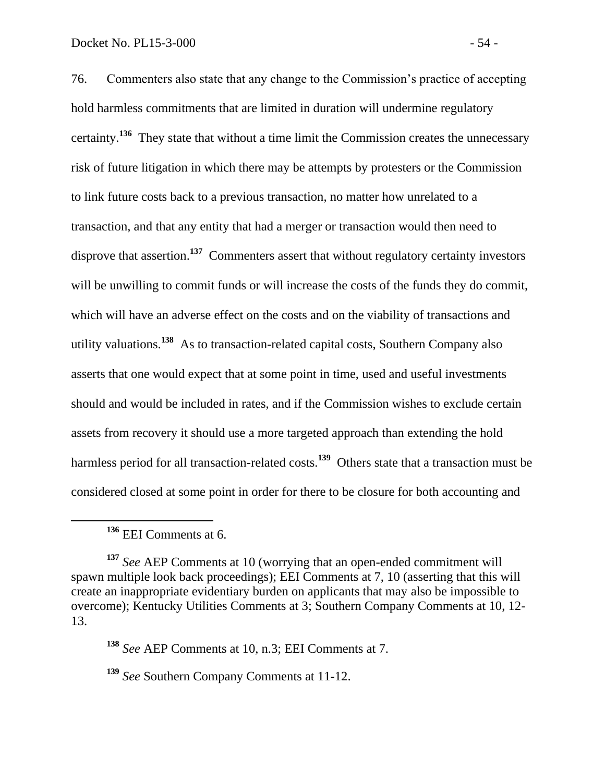76. Commenters also state that any change to the Commission's practice of accepting hold harmless commitments that are limited in duration will undermine regulatory certainty.**<sup>136</sup>** They state that without a time limit the Commission creates the unnecessary risk of future litigation in which there may be attempts by protesters or the Commission to link future costs back to a previous transaction, no matter how unrelated to a transaction, and that any entity that had a merger or transaction would then need to disprove that assertion.<sup>137</sup> Commenters assert that without regulatory certainty investors will be unwilling to commit funds or will increase the costs of the funds they do commit, which will have an adverse effect on the costs and on the viability of transactions and utility valuations.**<sup>138</sup>** As to transaction-related capital costs, Southern Company also asserts that one would expect that at some point in time, used and useful investments should and would be included in rates, and if the Commission wishes to exclude certain assets from recovery it should use a more targeted approach than extending the hold harmless period for all transaction-related costs.**<sup>139</sup>** Others state that a transaction must be considered closed at some point in order for there to be closure for both accounting and

 $\overline{a}$ 

**<sup>138</sup>** *See* AEP Comments at 10, n.3; EEI Comments at 7.

**<sup>139</sup>** *See* Southern Company Comments at 11-12.

**<sup>136</sup>** EEI Comments at 6.

**<sup>137</sup>** *See* AEP Comments at 10 (worrying that an open-ended commitment will spawn multiple look back proceedings); EEI Comments at 7, 10 (asserting that this will create an inappropriate evidentiary burden on applicants that may also be impossible to overcome); Kentucky Utilities Comments at 3; Southern Company Comments at 10, 12- 13.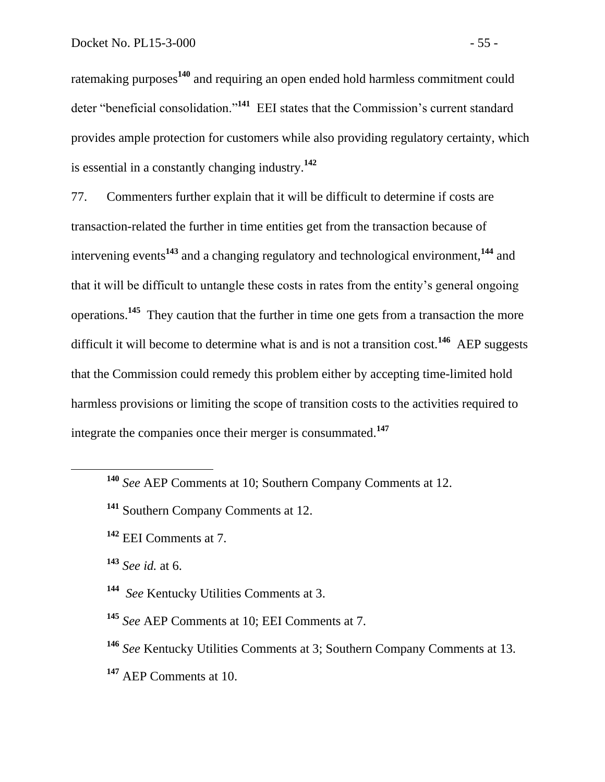ratemaking purposes**<sup>140</sup>** and requiring an open ended hold harmless commitment could deter "beneficial consolidation."**<sup>141</sup>** EEI states that the Commission's current standard provides ample protection for customers while also providing regulatory certainty, which is essential in a constantly changing industry.**<sup>142</sup>**

77. Commenters further explain that it will be difficult to determine if costs are transaction-related the further in time entities get from the transaction because of intervening events**<sup>143</sup>** and a changing regulatory and technological environment,**<sup>144</sup>** and that it will be difficult to untangle these costs in rates from the entity's general ongoing operations.**<sup>145</sup>** They caution that the further in time one gets from a transaction the more difficult it will become to determine what is and is not a transition cost.**<sup>146</sup>** AEP suggests that the Commission could remedy this problem either by accepting time-limited hold harmless provisions or limiting the scope of transition costs to the activities required to integrate the companies once their merger is consummated.**<sup>147</sup>**

- **<sup>140</sup>** *See* AEP Comments at 10; Southern Company Comments at 12.
- **<sup>141</sup>** Southern Company Comments at 12.
- **<sup>142</sup>** EEI Comments at 7.

**<sup>143</sup>** *See id.* at 6.

 $\overline{a}$ 

- **<sup>144</sup>** *See* Kentucky Utilities Comments at 3.
- **<sup>145</sup>** *See* AEP Comments at 10; EEI Comments at 7.
- **<sup>146</sup>** *See* Kentucky Utilities Comments at 3; Southern Company Comments at 13.
- **<sup>147</sup>** AEP Comments at 10.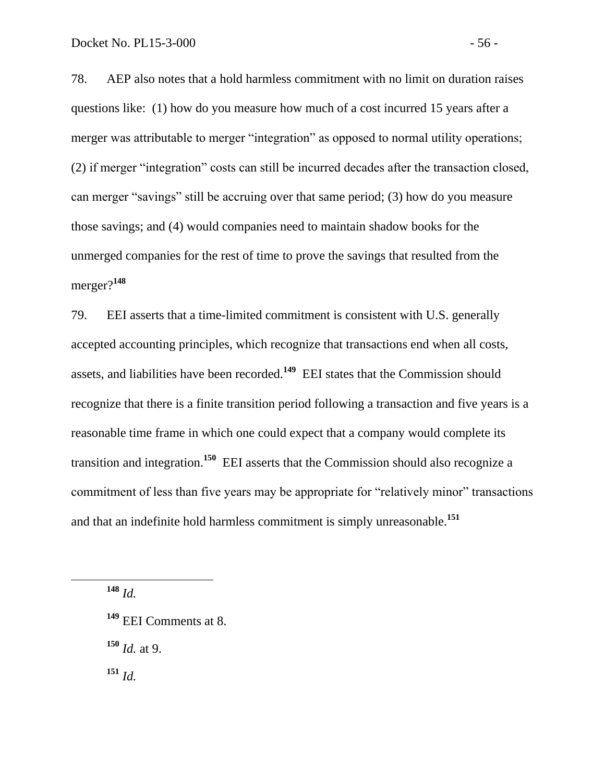78. AEP also notes that a hold harmless commitment with no limit on duration raises questions like: (1) how do you measure how much of a cost incurred 15 years after a merger was attributable to merger "integration" as opposed to normal utility operations; (2) if merger "integration" costs can still be incurred decades after the transaction closed, can merger "savings" still be accruing over that same period; (3) how do you measure those savings; and (4) would companies need to maintain shadow books for the unmerged companies for the rest of time to prove the savings that resulted from the merger?**<sup>148</sup>**

79. EEI asserts that a time-limited commitment is consistent with U.S. generally accepted accounting principles, which recognize that transactions end when all costs, assets, and liabilities have been recorded.**<sup>149</sup>** EEI states that the Commission should recognize that there is a finite transition period following a transaction and five years is a reasonable time frame in which one could expect that a company would complete its transition and integration.**<sup>150</sup>** EEI asserts that the Commission should also recognize a commitment of less than five years may be appropriate for "relatively minor" transactions and that an indefinite hold harmless commitment is simply unreasonable.**<sup>151</sup>**

**<sup>148</sup>** *Id.*

 $\overline{a}$ 

**<sup>149</sup>** EEI Comments at 8.

**<sup>150</sup>** *Id.* at 9.

**<sup>151</sup>** *Id.*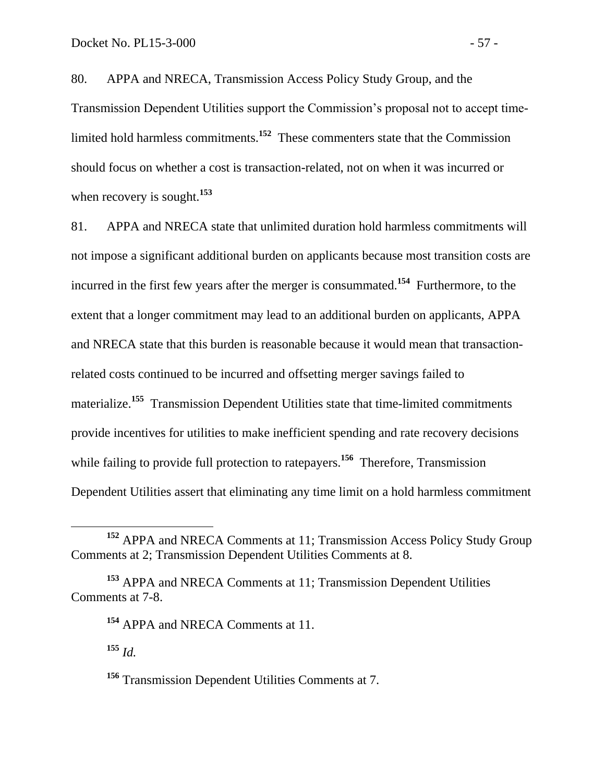80. APPA and NRECA, Transmission Access Policy Study Group, and the Transmission Dependent Utilities support the Commission's proposal not to accept timelimited hold harmless commitments.**<sup>152</sup>** These commenters state that the Commission should focus on whether a cost is transaction-related, not on when it was incurred or when recovery is sought.**<sup>153</sup>**

81. APPA and NRECA state that unlimited duration hold harmless commitments will not impose a significant additional burden on applicants because most transition costs are incurred in the first few years after the merger is consummated.**<sup>154</sup>** Furthermore, to the extent that a longer commitment may lead to an additional burden on applicants, APPA and NRECA state that this burden is reasonable because it would mean that transactionrelated costs continued to be incurred and offsetting merger savings failed to materialize.**<sup>155</sup>** Transmission Dependent Utilities state that time-limited commitments provide incentives for utilities to make inefficient spending and rate recovery decisions while failing to provide full protection to ratepayers.<sup>156</sup> Therefore, Transmission Dependent Utilities assert that eliminating any time limit on a hold harmless commitment

**<sup>155</sup>** *Id.*

**<sup>152</sup>** APPA and NRECA Comments at 11; Transmission Access Policy Study Group Comments at 2; Transmission Dependent Utilities Comments at 8.

**<sup>153</sup>** APPA and NRECA Comments at 11; Transmission Dependent Utilities Comments at 7-8.

**<sup>154</sup>** APPA and NRECA Comments at 11.

**<sup>156</sup>** Transmission Dependent Utilities Comments at 7.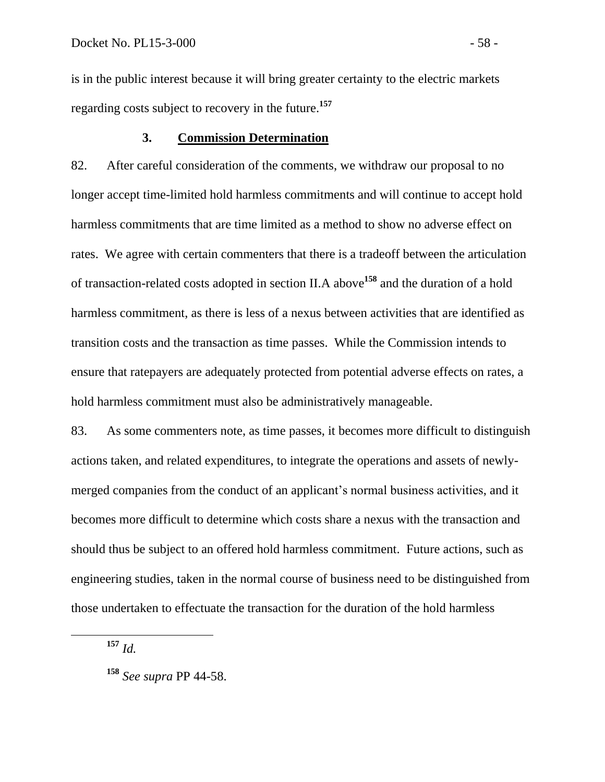is in the public interest because it will bring greater certainty to the electric markets regarding costs subject to recovery in the future.**<sup>157</sup>**

## **3. Commission Determination**

82. After careful consideration of the comments, we withdraw our proposal to no longer accept time-limited hold harmless commitments and will continue to accept hold harmless commitments that are time limited as a method to show no adverse effect on rates. We agree with certain commenters that there is a tradeoff between the articulation of transaction-related costs adopted in section II.A above**<sup>158</sup>** and the duration of a hold harmless commitment, as there is less of a nexus between activities that are identified as transition costs and the transaction as time passes. While the Commission intends to ensure that ratepayers are adequately protected from potential adverse effects on rates, a hold harmless commitment must also be administratively manageable.

83. As some commenters note, as time passes, it becomes more difficult to distinguish actions taken, and related expenditures, to integrate the operations and assets of newlymerged companies from the conduct of an applicant's normal business activities, and it becomes more difficult to determine which costs share a nexus with the transaction and should thus be subject to an offered hold harmless commitment. Future actions, such as engineering studies, taken in the normal course of business need to be distinguished from those undertaken to effectuate the transaction for the duration of the hold harmless

**<sup>157</sup>** *Id.*

**<sup>158</sup>** *See supra* PP 44-58.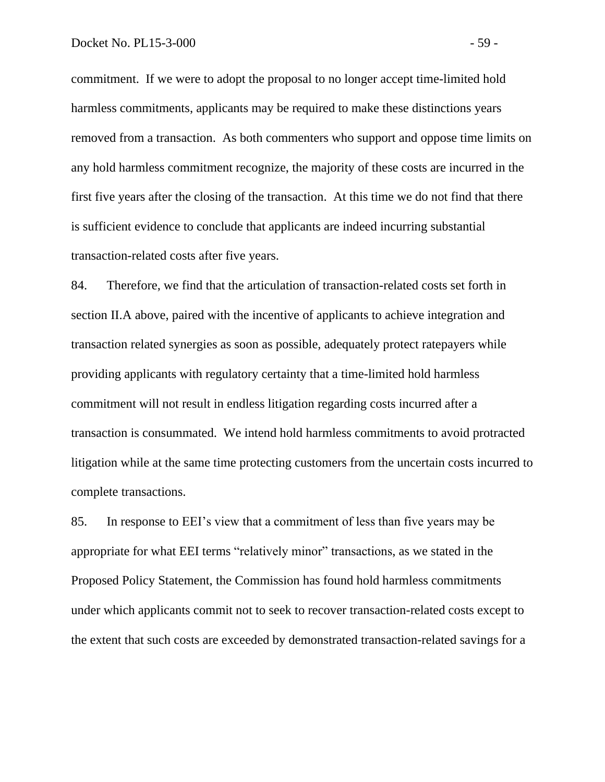commitment. If we were to adopt the proposal to no longer accept time-limited hold harmless commitments, applicants may be required to make these distinctions years removed from a transaction. As both commenters who support and oppose time limits on any hold harmless commitment recognize, the majority of these costs are incurred in the first five years after the closing of the transaction. At this time we do not find that there is sufficient evidence to conclude that applicants are indeed incurring substantial transaction-related costs after five years.

84. Therefore, we find that the articulation of transaction-related costs set forth in section II.A above, paired with the incentive of applicants to achieve integration and transaction related synergies as soon as possible, adequately protect ratepayers while providing applicants with regulatory certainty that a time-limited hold harmless commitment will not result in endless litigation regarding costs incurred after a transaction is consummated. We intend hold harmless commitments to avoid protracted litigation while at the same time protecting customers from the uncertain costs incurred to complete transactions.

85. In response to EEI's view that a commitment of less than five years may be appropriate for what EEI terms "relatively minor" transactions, as we stated in the Proposed Policy Statement, the Commission has found hold harmless commitments under which applicants commit not to seek to recover transaction-related costs except to the extent that such costs are exceeded by demonstrated transaction-related savings for a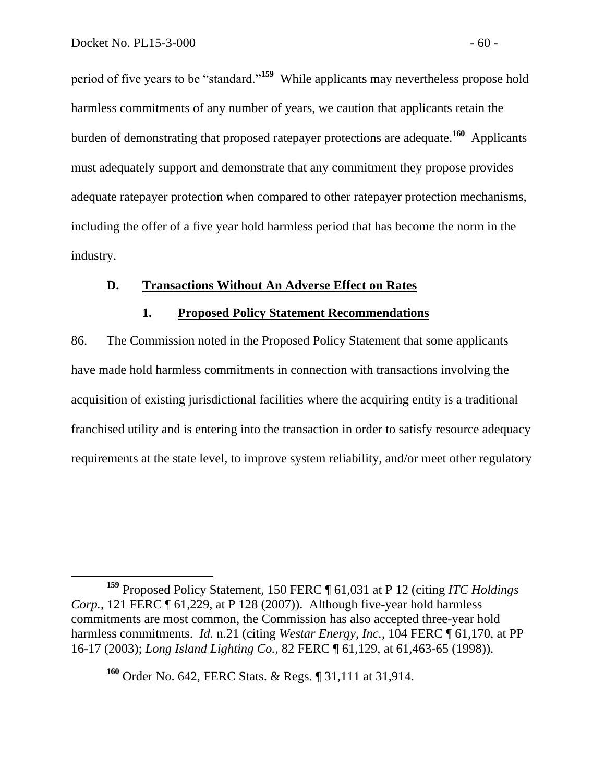period of five years to be "standard."**<sup>159</sup>** While applicants may nevertheless propose hold harmless commitments of any number of years, we caution that applicants retain the burden of demonstrating that proposed ratepayer protections are adequate.**<sup>160</sup>** Applicants must adequately support and demonstrate that any commitment they propose provides adequate ratepayer protection when compared to other ratepayer protection mechanisms, including the offer of a five year hold harmless period that has become the norm in the industry.

## **D. Transactions Without An Adverse Effect on Rates**

### **1. Proposed Policy Statement Recommendations**

86. The Commission noted in the Proposed Policy Statement that some applicants have made hold harmless commitments in connection with transactions involving the acquisition of existing jurisdictional facilities where the acquiring entity is a traditional franchised utility and is entering into the transaction in order to satisfy resource adequacy requirements at the state level, to improve system reliability, and/or meet other regulatory

**<sup>159</sup>** Proposed Policy Statement, 150 FERC ¶ 61,031 at P 12 (citing *ITC Holdings Corp.*, 121 FERC ¶ 61,229, at P 128 (2007)). Although five-year hold harmless commitments are most common, the Commission has also accepted three-year hold harmless commitments. *Id.* n.21 (citing *Westar Energy, Inc.,* 104 FERC [61,170, at PP 16-17 (2003); *Long Island Lighting Co.*, 82 FERC ¶ 61,129, at 61,463-65 (1998)).

**<sup>160</sup>** Order No. 642, FERC Stats. & Regs. ¶ 31,111 at 31,914.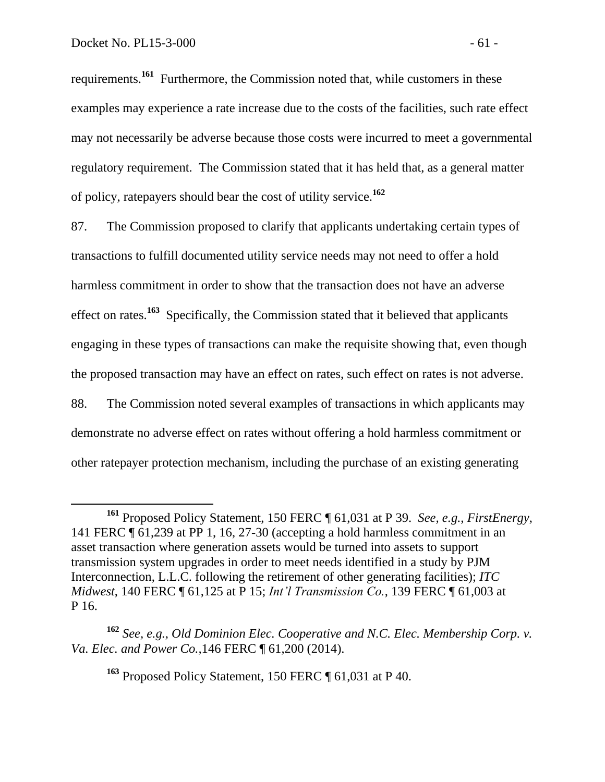requirements. **161** Furthermore, the Commission noted that, while customers in these examples may experience a rate increase due to the costs of the facilities, such rate effect may not necessarily be adverse because those costs were incurred to meet a governmental regulatory requirement. The Commission stated that it has held that, as a general matter of policy, ratepayers should bear the cost of utility service.**<sup>162</sup>**

87. The Commission proposed to clarify that applicants undertaking certain types of transactions to fulfill documented utility service needs may not need to offer a hold harmless commitment in order to show that the transaction does not have an adverse effect on rates.**<sup>163</sup>** Specifically, the Commission stated that it believed that applicants engaging in these types of transactions can make the requisite showing that, even though the proposed transaction may have an effect on rates, such effect on rates is not adverse. 88. The Commission noted several examples of transactions in which applicants may demonstrate no adverse effect on rates without offering a hold harmless commitment or other ratepayer protection mechanism, including the purchase of an existing generating

**<sup>161</sup>** Proposed Policy Statement, 150 FERC ¶ 61,031 at P 39. *See, e.g.*, *FirstEnergy*, 141 FERC ¶ 61,239 at PP 1, 16, 27-30 (accepting a hold harmless commitment in an asset transaction where generation assets would be turned into assets to support transmission system upgrades in order to meet needs identified in a study by PJM Interconnection, L.L.C. following the retirement of other generating facilities); *ITC Midwest*, 140 FERC ¶ 61,125 at P 15; *Int'l Transmission Co.*, 139 FERC ¶ 61,003 at P 16.

**<sup>162</sup>** *See, e.g.*, *Old Dominion Elec. Cooperative and N.C. Elec. Membership Corp. v. Va. Elec. and Power Co.,*146 FERC ¶ 61,200 (2014).

**<sup>163</sup>** Proposed Policy Statement, 150 FERC ¶ 61,031 at P 40.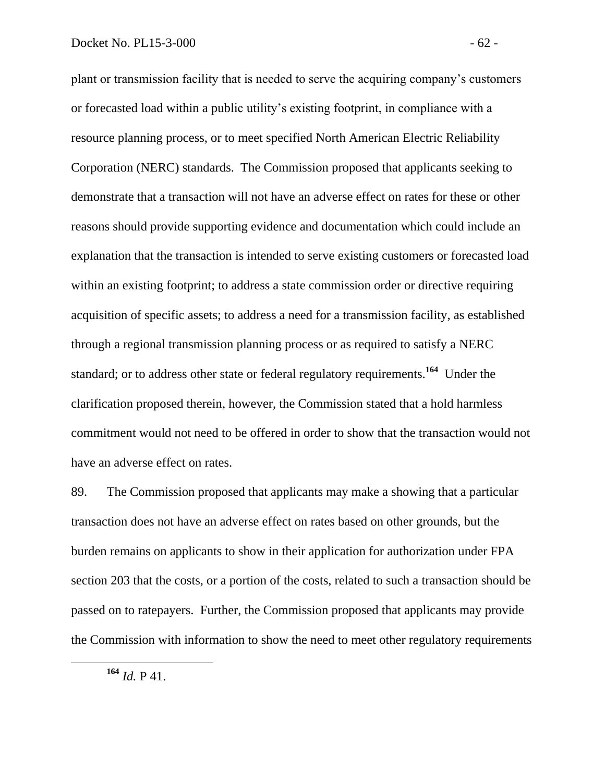plant or transmission facility that is needed to serve the acquiring company's customers or forecasted load within a public utility's existing footprint, in compliance with a resource planning process, or to meet specified North American Electric Reliability Corporation (NERC) standards. The Commission proposed that applicants seeking to demonstrate that a transaction will not have an adverse effect on rates for these or other reasons should provide supporting evidence and documentation which could include an explanation that the transaction is intended to serve existing customers or forecasted load within an existing footprint; to address a state commission order or directive requiring acquisition of specific assets; to address a need for a transmission facility, as established through a regional transmission planning process or as required to satisfy a NERC standard; or to address other state or federal regulatory requirements.<sup>164</sup> Under the clarification proposed therein, however, the Commission stated that a hold harmless commitment would not need to be offered in order to show that the transaction would not have an adverse effect on rates.

89. The Commission proposed that applicants may make a showing that a particular transaction does not have an adverse effect on rates based on other grounds, but the burden remains on applicants to show in their application for authorization under FPA section 203 that the costs, or a portion of the costs, related to such a transaction should be passed on to ratepayers. Further, the Commission proposed that applicants may provide the Commission with information to show the need to meet other regulatory requirements

 $\overline{a}$ 

**<sup>164</sup>** *Id.* P 41.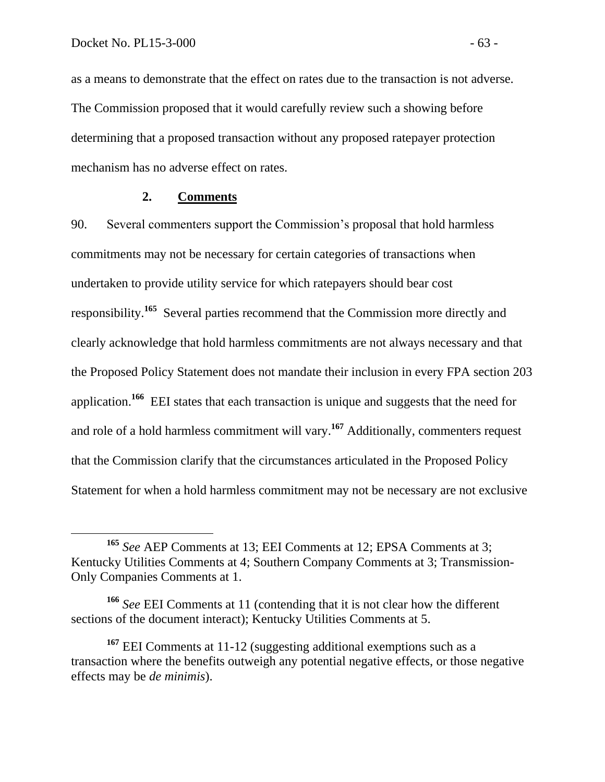as a means to demonstrate that the effect on rates due to the transaction is not adverse. The Commission proposed that it would carefully review such a showing before determining that a proposed transaction without any proposed ratepayer protection mechanism has no adverse effect on rates.

## **2. Comments**

90. Several commenters support the Commission's proposal that hold harmless commitments may not be necessary for certain categories of transactions when undertaken to provide utility service for which ratepayers should bear cost responsibility.**<sup>165</sup>** Several parties recommend that the Commission more directly and clearly acknowledge that hold harmless commitments are not always necessary and that the Proposed Policy Statement does not mandate their inclusion in every FPA section 203 application.<sup>166</sup> EEI states that each transaction is unique and suggests that the need for and role of a hold harmless commitment will vary.<sup>167</sup> Additionally, commenters request that the Commission clarify that the circumstances articulated in the Proposed Policy Statement for when a hold harmless commitment may not be necessary are not exclusive

**<sup>165</sup>** *See* AEP Comments at 13; EEI Comments at 12; EPSA Comments at 3; Kentucky Utilities Comments at 4; Southern Company Comments at 3; Transmission-Only Companies Comments at 1.

**<sup>166</sup>** *See* EEI Comments at 11 (contending that it is not clear how the different sections of the document interact); Kentucky Utilities Comments at 5.

<sup>&</sup>lt;sup>167</sup> EEI Comments at 11-12 (suggesting additional exemptions such as a transaction where the benefits outweigh any potential negative effects, or those negative effects may be *de minimis*).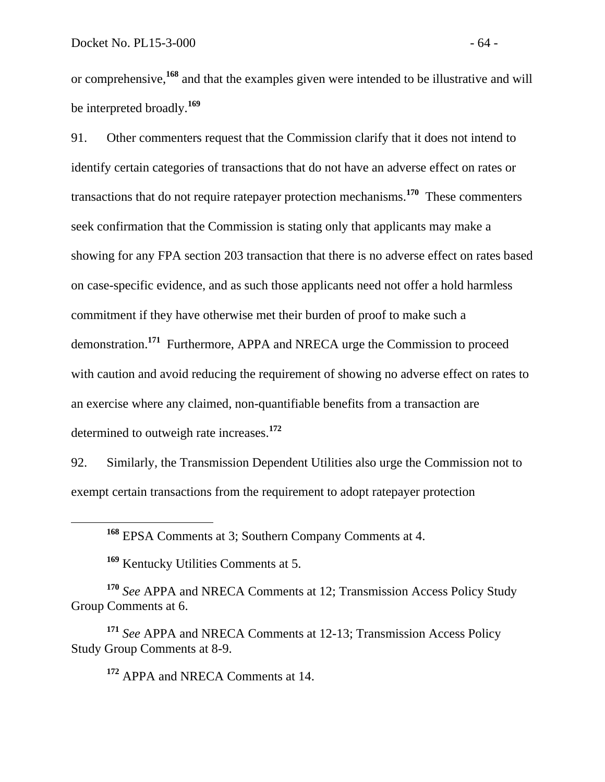or comprehensive,**<sup>168</sup>** and that the examples given were intended to be illustrative and will be interpreted broadly.**<sup>169</sup>**

91. Other commenters request that the Commission clarify that it does not intend to identify certain categories of transactions that do not have an adverse effect on rates or transactions that do not require ratepayer protection mechanisms.**<sup>170</sup>** These commenters seek confirmation that the Commission is stating only that applicants may make a showing for any FPA section 203 transaction that there is no adverse effect on rates based on case-specific evidence, and as such those applicants need not offer a hold harmless commitment if they have otherwise met their burden of proof to make such a demonstration.**<sup>171</sup>** Furthermore, APPA and NRECA urge the Commission to proceed with caution and avoid reducing the requirement of showing no adverse effect on rates to an exercise where any claimed, non-quantifiable benefits from a transaction are determined to outweigh rate increases.**<sup>172</sup>**

92. Similarly, the Transmission Dependent Utilities also urge the Commission not to exempt certain transactions from the requirement to adopt ratepayer protection

**<sup>169</sup>** Kentucky Utilities Comments at 5.

 $\overline{a}$ 

**<sup>170</sup>** *See* APPA and NRECA Comments at 12; Transmission Access Policy Study Group Comments at 6.

**<sup>171</sup>** *See* APPA and NRECA Comments at 12-13; Transmission Access Policy Study Group Comments at 8-9.

**<sup>172</sup>** APPA and NRECA Comments at 14.

**<sup>168</sup>** EPSA Comments at 3; Southern Company Comments at 4.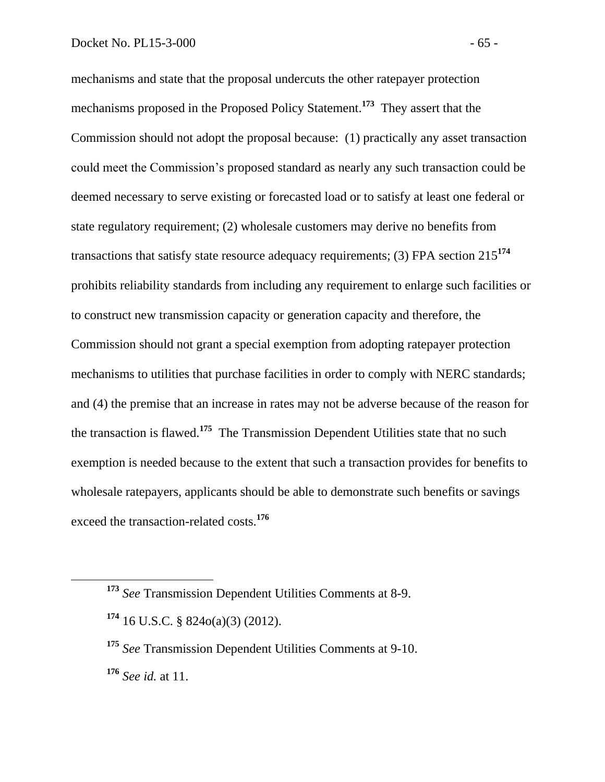mechanisms and state that the proposal undercuts the other ratepayer protection mechanisms proposed in the Proposed Policy Statement.**<sup>173</sup>** They assert that the Commission should not adopt the proposal because: (1) practically any asset transaction could meet the Commission's proposed standard as nearly any such transaction could be deemed necessary to serve existing or forecasted load or to satisfy at least one federal or state regulatory requirement; (2) wholesale customers may derive no benefits from transactions that satisfy state resource adequacy requirements; (3) FPA section 215**<sup>174</sup>** prohibits reliability standards from including any requirement to enlarge such facilities or to construct new transmission capacity or generation capacity and therefore, the Commission should not grant a special exemption from adopting ratepayer protection mechanisms to utilities that purchase facilities in order to comply with NERC standards; and (4) the premise that an increase in rates may not be adverse because of the reason for the transaction is flawed.**<sup>175</sup>** The Transmission Dependent Utilities state that no such exemption is needed because to the extent that such a transaction provides for benefits to wholesale ratepayers, applicants should be able to demonstrate such benefits or savings exceed the transaction-related costs.**<sup>176</sup>**

 $\overline{a}$ 

**<sup>173</sup>** *See* Transmission Dependent Utilities Comments at 8-9.

**<sup>174</sup>** 16 U.S.C. § 824o(a)(3) (2012).

**<sup>175</sup>** *See* Transmission Dependent Utilities Comments at 9-10. **<sup>176</sup>** *See id.* at 11.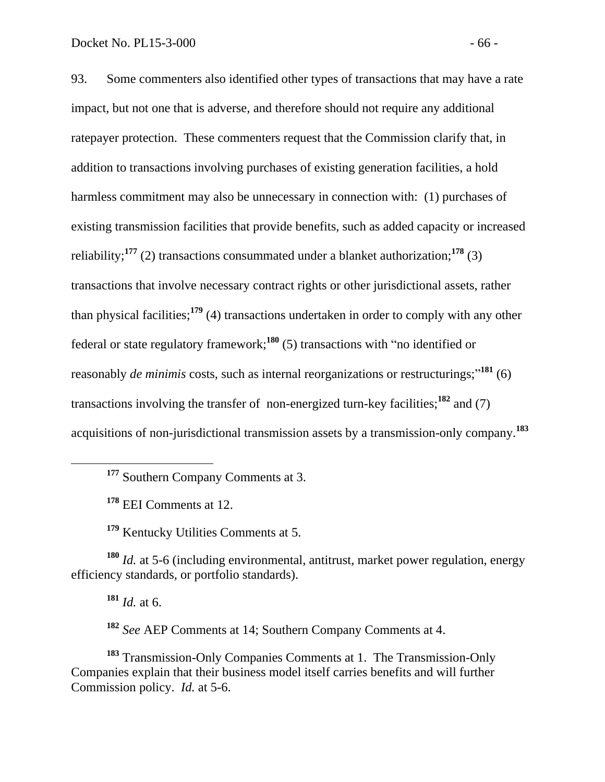93. Some commenters also identified other types of transactions that may have a rate impact, but not one that is adverse, and therefore should not require any additional ratepayer protection. These commenters request that the Commission clarify that, in addition to transactions involving purchases of existing generation facilities, a hold harmless commitment may also be unnecessary in connection with: (1) purchases of existing transmission facilities that provide benefits, such as added capacity or increased reliability;**<sup>177</sup>** (2) transactions consummated under a blanket authorization;**<sup>178</sup>** (3) transactions that involve necessary contract rights or other jurisdictional assets, rather than physical facilities;**<sup>179</sup>** (4) transactions undertaken in order to comply with any other federal or state regulatory framework; **<sup>180</sup>** (5) transactions with "no identified or reasonably *de minimis* costs, such as internal reorganizations or restructurings;"<sup>181</sup> (6) transactions involving the transfer of non-energized turn-key facilities;**<sup>182</sup>** and (7) acquisitions of non-jurisdictional transmission assets by a transmission-only company.**<sup>183</sup>**

**<sup>177</sup>** Southern Company Comments at 3.

**<sup>178</sup>** EEI Comments at 12.

**<sup>179</sup>** Kentucky Utilities Comments at 5.

**<sup>180</sup>** *Id.* at 5-6 (including environmental, antitrust, market power regulation, energy efficiency standards, or portfolio standards).

**<sup>181</sup>** *Id.* at 6.

 $\overline{a}$ 

**<sup>182</sup>** *See* AEP Comments at 14; Southern Company Comments at 4.

**<sup>183</sup>** Transmission-Only Companies Comments at 1. The Transmission-Only Companies explain that their business model itself carries benefits and will further Commission policy. *Id.* at 5-6.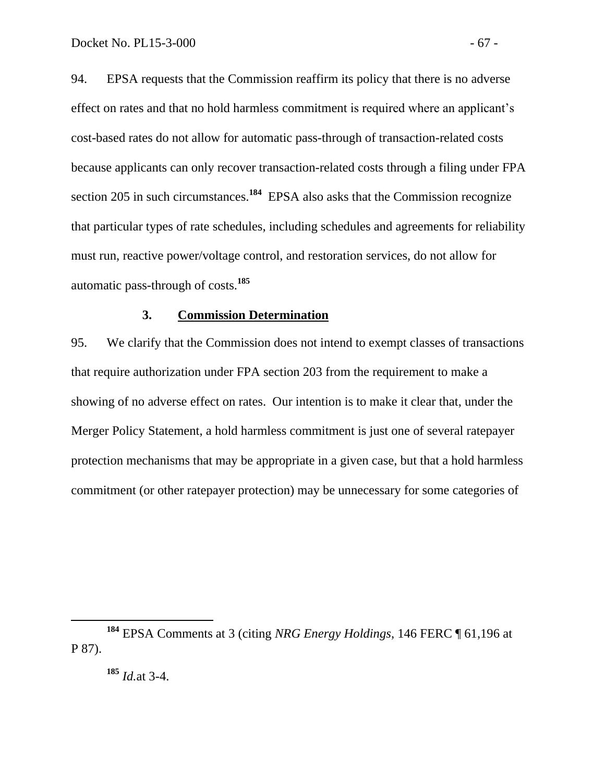94. EPSA requests that the Commission reaffirm its policy that there is no adverse effect on rates and that no hold harmless commitment is required where an applicant's cost-based rates do not allow for automatic pass-through of transaction-related costs because applicants can only recover transaction-related costs through a filing under FPA section 205 in such circumstances.<sup>184</sup> EPSA also asks that the Commission recognize that particular types of rate schedules, including schedules and agreements for reliability must run, reactive power/voltage control, and restoration services, do not allow for automatic pass-through of costs.**<sup>185</sup>**

#### **3. Commission Determination**

95. We clarify that the Commission does not intend to exempt classes of transactions that require authorization under FPA section 203 from the requirement to make a showing of no adverse effect on rates. Our intention is to make it clear that, under the Merger Policy Statement, a hold harmless commitment is just one of several ratepayer protection mechanisms that may be appropriate in a given case, but that a hold harmless commitment (or other ratepayer protection) may be unnecessary for some categories of

**<sup>184</sup>** EPSA Comments at 3 (citing *NRG Energy Holdings*, 146 FERC ¶ 61,196 at P 87).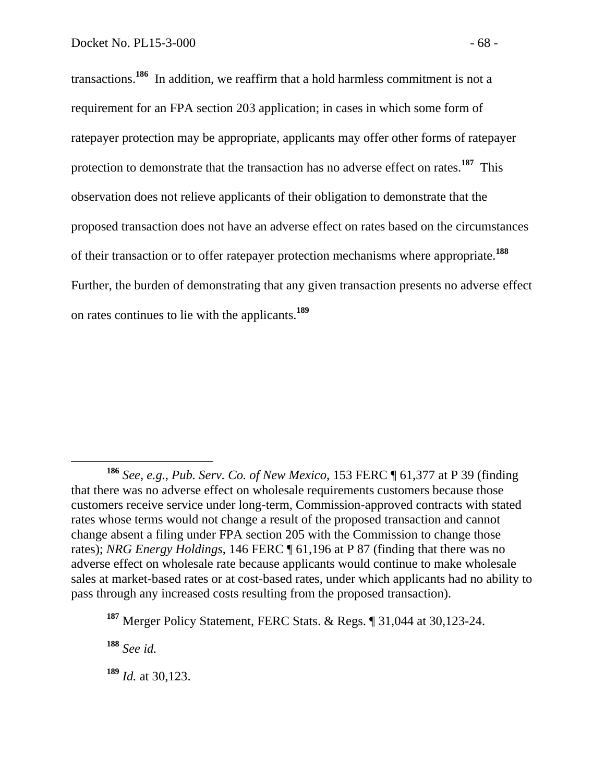transactions.**<sup>186</sup>** In addition, we reaffirm that a hold harmless commitment is not a requirement for an FPA section 203 application; in cases in which some form of ratepayer protection may be appropriate, applicants may offer other forms of ratepayer protection to demonstrate that the transaction has no adverse effect on rates.**<sup>187</sup>** This observation does not relieve applicants of their obligation to demonstrate that the proposed transaction does not have an adverse effect on rates based on the circumstances of their transaction or to offer ratepayer protection mechanisms where appropriate.**<sup>188</sup>** Further, the burden of demonstrating that any given transaction presents no adverse effect on rates continues to lie with the applicants.**<sup>189</sup>**

**<sup>188</sup>** *See id.*

**<sup>186</sup>** *See, e.g.*, *Pub. Serv. Co. of New Mexico*, 153 FERC ¶ 61,377 at P 39 (finding that there was no adverse effect on wholesale requirements customers because those customers receive service under long-term, Commission-approved contracts with stated rates whose terms would not change a result of the proposed transaction and cannot change absent a filing under FPA section 205 with the Commission to change those rates); *NRG Energy Holdings*, 146 FERC ¶ 61,196 at P 87 (finding that there was no adverse effect on wholesale rate because applicants would continue to make wholesale sales at market-based rates or at cost-based rates, under which applicants had no ability to pass through any increased costs resulting from the proposed transaction).

**<sup>187</sup>** Merger Policy Statement, FERC Stats. & Regs. ¶ 31,044 at 30,123-24.

**<sup>189</sup>** *Id.* at 30,123.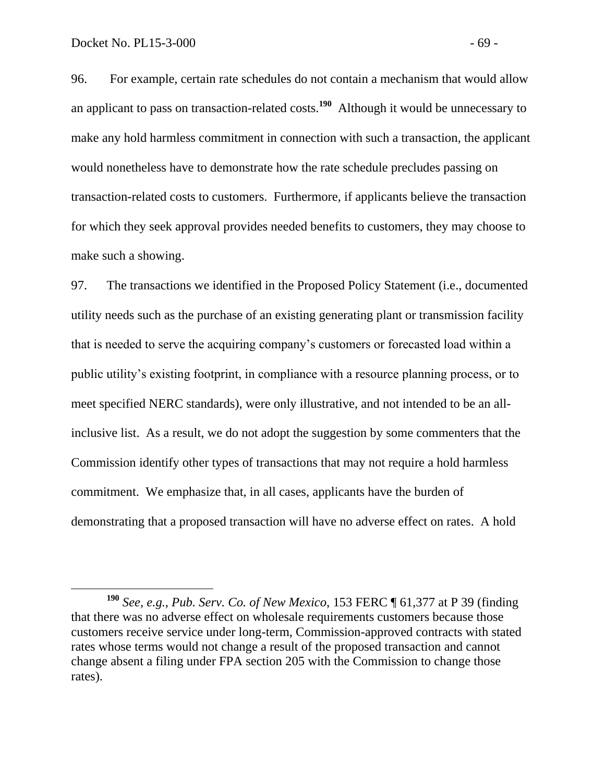96. For example, certain rate schedules do not contain a mechanism that would allow an applicant to pass on transaction-related costs. **<sup>190</sup>** Although it would be unnecessary to make any hold harmless commitment in connection with such a transaction, the applicant would nonetheless have to demonstrate how the rate schedule precludes passing on transaction-related costs to customers. Furthermore, if applicants believe the transaction for which they seek approval provides needed benefits to customers, they may choose to make such a showing.

97. The transactions we identified in the Proposed Policy Statement (i.e., documented utility needs such as the purchase of an existing generating plant or transmission facility that is needed to serve the acquiring company's customers or forecasted load within a public utility's existing footprint, in compliance with a resource planning process, or to meet specified NERC standards), were only illustrative, and not intended to be an allinclusive list. As a result, we do not adopt the suggestion by some commenters that the Commission identify other types of transactions that may not require a hold harmless commitment. We emphasize that, in all cases, applicants have the burden of demonstrating that a proposed transaction will have no adverse effect on rates. A hold

**<sup>190</sup>** *See, e.g.*, *Pub. Serv. Co. of New Mexico*, 153 FERC ¶ 61,377 at P 39 (finding that there was no adverse effect on wholesale requirements customers because those customers receive service under long-term, Commission-approved contracts with stated rates whose terms would not change a result of the proposed transaction and cannot change absent a filing under FPA section 205 with the Commission to change those rates).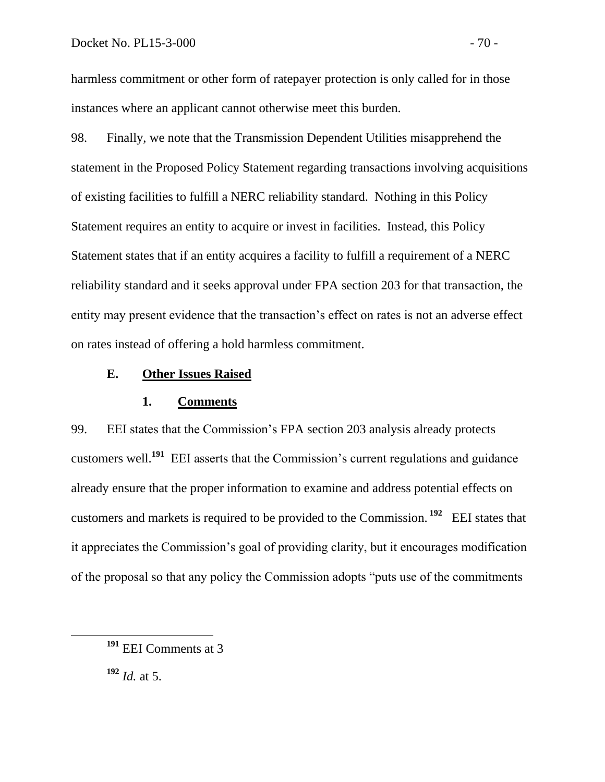harmless commitment or other form of ratepayer protection is only called for in those instances where an applicant cannot otherwise meet this burden.

98. Finally, we note that the Transmission Dependent Utilities misapprehend the statement in the Proposed Policy Statement regarding transactions involving acquisitions of existing facilities to fulfill a NERC reliability standard. Nothing in this Policy Statement requires an entity to acquire or invest in facilities. Instead, this Policy Statement states that if an entity acquires a facility to fulfill a requirement of a NERC reliability standard and it seeks approval under FPA section 203 for that transaction, the entity may present evidence that the transaction's effect on rates is not an adverse effect on rates instead of offering a hold harmless commitment.

### **E. Other Issues Raised**

## **1. Comments**

99. EEI states that the Commission's FPA section 203 analysis already protects customers well.**<sup>191</sup>** EEI asserts that the Commission's current regulations and guidance already ensure that the proper information to examine and address potential effects on customers and markets is required to be provided to the Commission. **<sup>192</sup>** EEI states that it appreciates the Commission's goal of providing clarity, but it encourages modification of the proposal so that any policy the Commission adopts "puts use of the commitments

**<sup>192</sup>** *Id.* at 5.

**<sup>191</sup>** EEI Comments at 3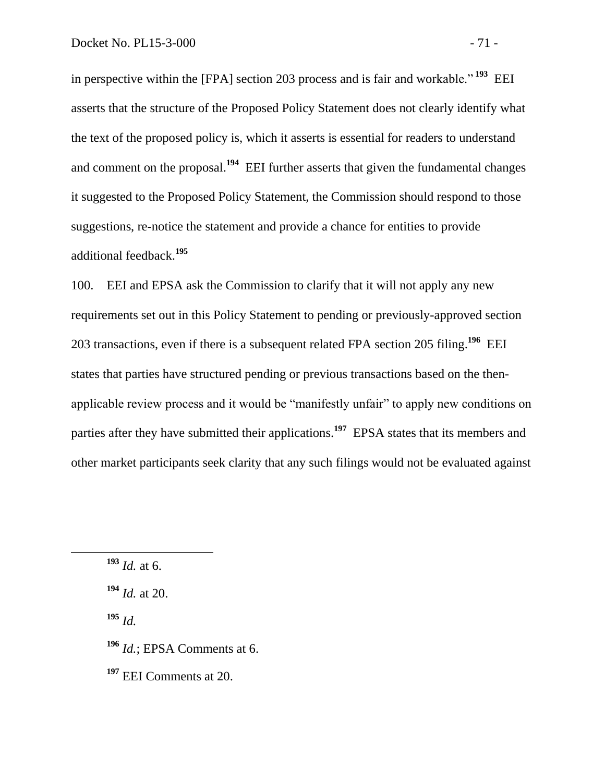in perspective within the [FPA] section 203 process and is fair and workable." **<sup>193</sup>** EEI asserts that the structure of the Proposed Policy Statement does not clearly identify what the text of the proposed policy is, which it asserts is essential for readers to understand and comment on the proposal.**<sup>194</sup>** EEI further asserts that given the fundamental changes it suggested to the Proposed Policy Statement, the Commission should respond to those suggestions, re-notice the statement and provide a chance for entities to provide additional feedback.**<sup>195</sup>**

100. EEI and EPSA ask the Commission to clarify that it will not apply any new requirements set out in this Policy Statement to pending or previously-approved section 203 transactions, even if there is a subsequent related FPA section 205 filing.**<sup>196</sup>** EEI states that parties have structured pending or previous transactions based on the thenapplicable review process and it would be "manifestly unfair" to apply new conditions on parties after they have submitted their applications.**<sup>197</sup>** EPSA states that its members and other market participants seek clarity that any such filings would not be evaluated against

 $\overline{a}$ 

**<sup>195</sup>** *Id.*

- **<sup>196</sup>** *Id.*; EPSA Comments at 6.
- **<sup>197</sup>** EEI Comments at 20.

**<sup>193</sup>** *Id.* at 6.

**<sup>194</sup>** *Id.* at 20.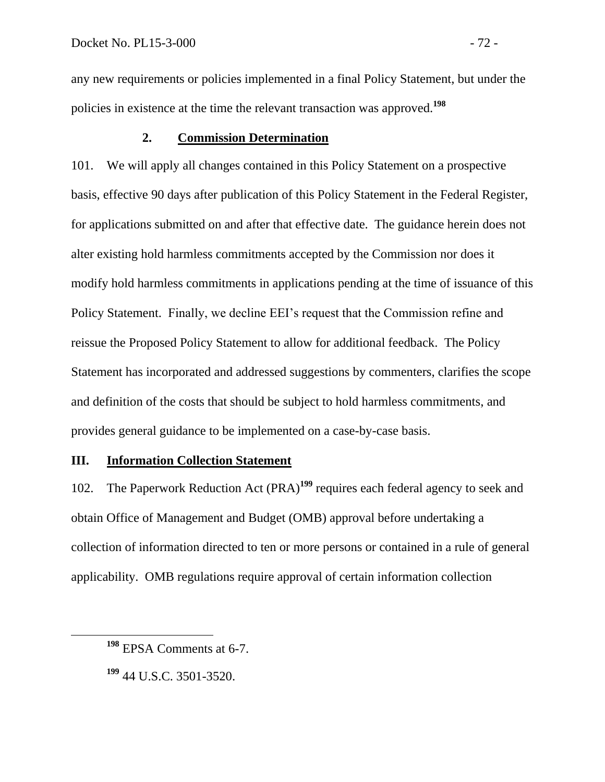any new requirements or policies implemented in a final Policy Statement, but under the policies in existence at the time the relevant transaction was approved.**<sup>198</sup>**

## **2. Commission Determination**

101. We will apply all changes contained in this Policy Statement on a prospective basis, effective 90 days after publication of this Policy Statement in the Federal Register, for applications submitted on and after that effective date. The guidance herein does not alter existing hold harmless commitments accepted by the Commission nor does it modify hold harmless commitments in applications pending at the time of issuance of this Policy Statement. Finally, we decline EEI's request that the Commission refine and reissue the Proposed Policy Statement to allow for additional feedback. The Policy Statement has incorporated and addressed suggestions by commenters, clarifies the scope and definition of the costs that should be subject to hold harmless commitments, and provides general guidance to be implemented on a case-by-case basis.

## **III. Information Collection Statement**

102. The Paperwork Reduction Act (PRA)**<sup>199</sup>** requires each federal agency to seek and obtain Office of Management and Budget (OMB) approval before undertaking a collection of information directed to ten or more persons or contained in a rule of general applicability. OMB regulations require approval of certain information collection

**<sup>198</sup>** EPSA Comments at 6-7.

**<sup>199</sup>** 44 U.S.C. 3501-3520.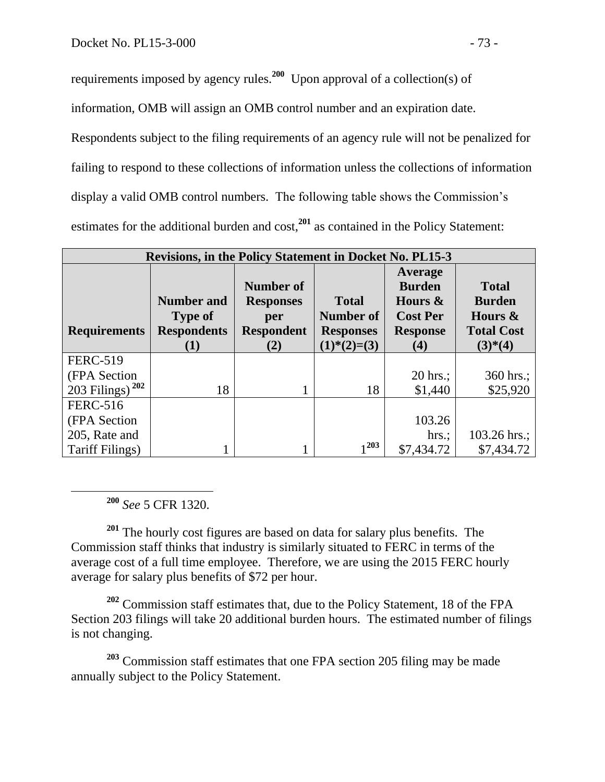requirements imposed by agency rules.**<sup>200</sup>** Upon approval of a collection(s) of

information, OMB will assign an OMB control number and an expiration date.

Respondents subject to the filing requirements of an agency rule will not be penalized for failing to respond to these collections of information unless the collections of information display a valid OMB control numbers. The following table shows the Commission's estimates for the additional burden and cost,**<sup>201</sup>** as contained in the Policy Statement:

| <b>Revisions, in the Policy Statement in Docket No. PL15-3</b> |                                                                  |                                                                  |                                                                |                                                                                                |                                                                               |  |  |  |
|----------------------------------------------------------------|------------------------------------------------------------------|------------------------------------------------------------------|----------------------------------------------------------------|------------------------------------------------------------------------------------------------|-------------------------------------------------------------------------------|--|--|--|
| <b>Requirements</b>                                            | <b>Number and</b><br><b>Type of</b><br><b>Respondents</b><br>(1) | Number of<br><b>Responses</b><br>per<br><b>Respondent</b><br>(2) | <b>Total</b><br>Number of<br><b>Responses</b><br>$(1)*(2)=(3)$ | Average<br><b>Burden</b><br>Hours &<br><b>Cost Per</b><br><b>Response</b><br>$\left( 4\right)$ | <b>Total</b><br><b>Burden</b><br>Hours $\&$<br><b>Total Cost</b><br>$(3)*(4)$ |  |  |  |
| <b>FERC-519</b>                                                |                                                                  |                                                                  |                                                                |                                                                                                |                                                                               |  |  |  |
| (FPA Section)                                                  |                                                                  |                                                                  |                                                                | $20$ hrs.;                                                                                     | 360 hrs.;                                                                     |  |  |  |
| 203 Filings) <sup>202</sup>                                    | 18                                                               |                                                                  | 18                                                             | \$1,440                                                                                        | \$25,920                                                                      |  |  |  |
| <b>FERC-516</b>                                                |                                                                  |                                                                  |                                                                |                                                                                                |                                                                               |  |  |  |
| (FPA Section)                                                  |                                                                  |                                                                  |                                                                | 103.26                                                                                         |                                                                               |  |  |  |
| 205, Rate and                                                  |                                                                  |                                                                  |                                                                | $hrs$ .;                                                                                       | 103.26 hrs.;                                                                  |  |  |  |
| Tariff Filings)                                                |                                                                  |                                                                  | 1203                                                           | \$7,434.72                                                                                     | \$7,434.72                                                                    |  |  |  |

**<sup>200</sup>** *See* 5 CFR 1320.

 $\overline{a}$ 

**<sup>201</sup>** The hourly cost figures are based on data for salary plus benefits. The Commission staff thinks that industry is similarly situated to FERC in terms of the average cost of a full time employee. Therefore, we are using the 2015 FERC hourly average for salary plus benefits of \$72 per hour.

**<sup>202</sup>** Commission staff estimates that, due to the Policy Statement, 18 of the FPA Section 203 filings will take 20 additional burden hours. The estimated number of filings is not changing.

**<sup>203</sup>** Commission staff estimates that one FPA section 205 filing may be made annually subject to the Policy Statement.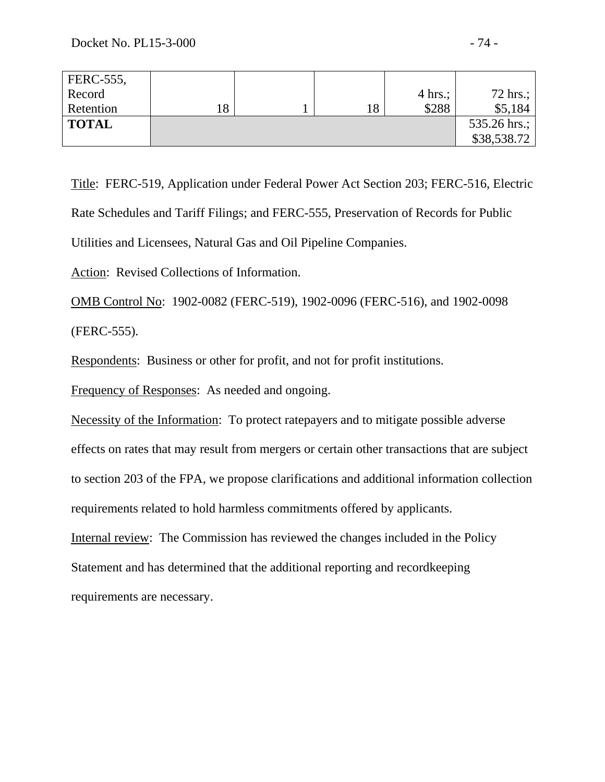| FERC-555,    |  |                   |                  |
|--------------|--|-------------------|------------------|
| Record       |  | $4 \text{ hrs.};$ | 72 hrs.; $\vert$ |
| Retention    |  | \$288             | \$5,184          |
| <b>TOTAL</b> |  |                   | 535.26 hrs.;     |
|              |  |                   | \$38,538.72      |

Title: FERC-519, Application under Federal Power Act Section 203; FERC-516, Electric Rate Schedules and Tariff Filings; and FERC-555, Preservation of Records for Public Utilities and Licensees, Natural Gas and Oil Pipeline Companies.

Action: Revised Collections of Information.

OMB Control No: 1902-0082 (FERC-519), 1902-0096 (FERC-516), and 1902-0098 (FERC-555).

Respondents:Business or other for profit, and not for profit institutions.

Frequency of Responses: As needed and ongoing.

Necessity of the Information: To protect ratepayers and to mitigate possible adverse

effects on rates that may result from mergers or certain other transactions that are subject

to section 203 of the FPA, we propose clarifications and additional information collection

requirements related to hold harmless commitments offered by applicants.

Internal review: The Commission has reviewed the changes included in the Policy Statement and has determined that the additional reporting and recordkeeping requirements are necessary.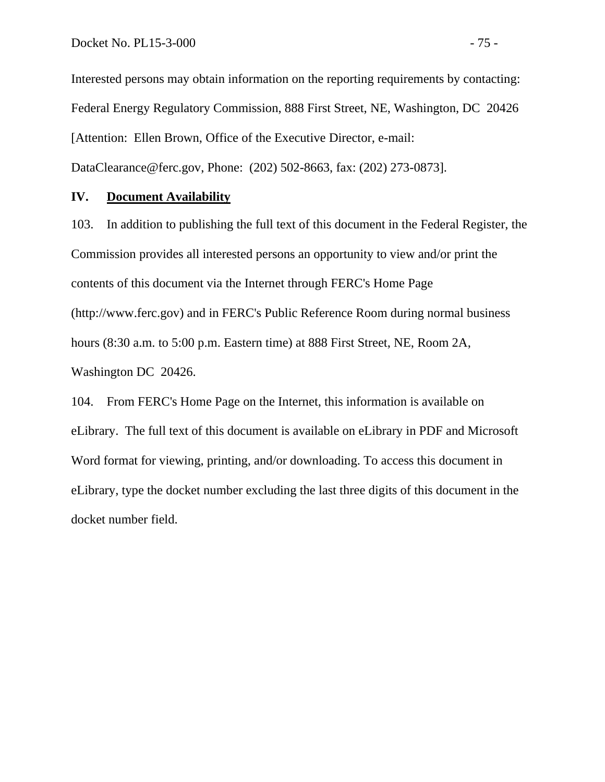Interested persons may obtain information on the reporting requirements by contacting: Federal Energy Regulatory Commission, 888 First Street, NE, Washington, DC 20426 [Attention: Ellen Brown, Office of the Executive Director, e-mail: DataClearance@ferc.gov, Phone: (202) 502-8663, fax: (202) 273-0873].

## **IV. Document Availability**

103. In addition to publishing the full text of this document in the Federal Register, the Commission provides all interested persons an opportunity to view and/or print the contents of this document via the Internet through FERC's Home Page (http://www.ferc.gov) and in FERC's Public Reference Room during normal business hours (8:30 a.m. to 5:00 p.m. Eastern time) at 888 First Street, NE, Room 2A, Washington DC 20426.

104. From FERC's Home Page on the Internet, this information is available on eLibrary. The full text of this document is available on eLibrary in PDF and Microsoft Word format for viewing, printing, and/or downloading. To access this document in eLibrary, type the docket number excluding the last three digits of this document in the docket number field.